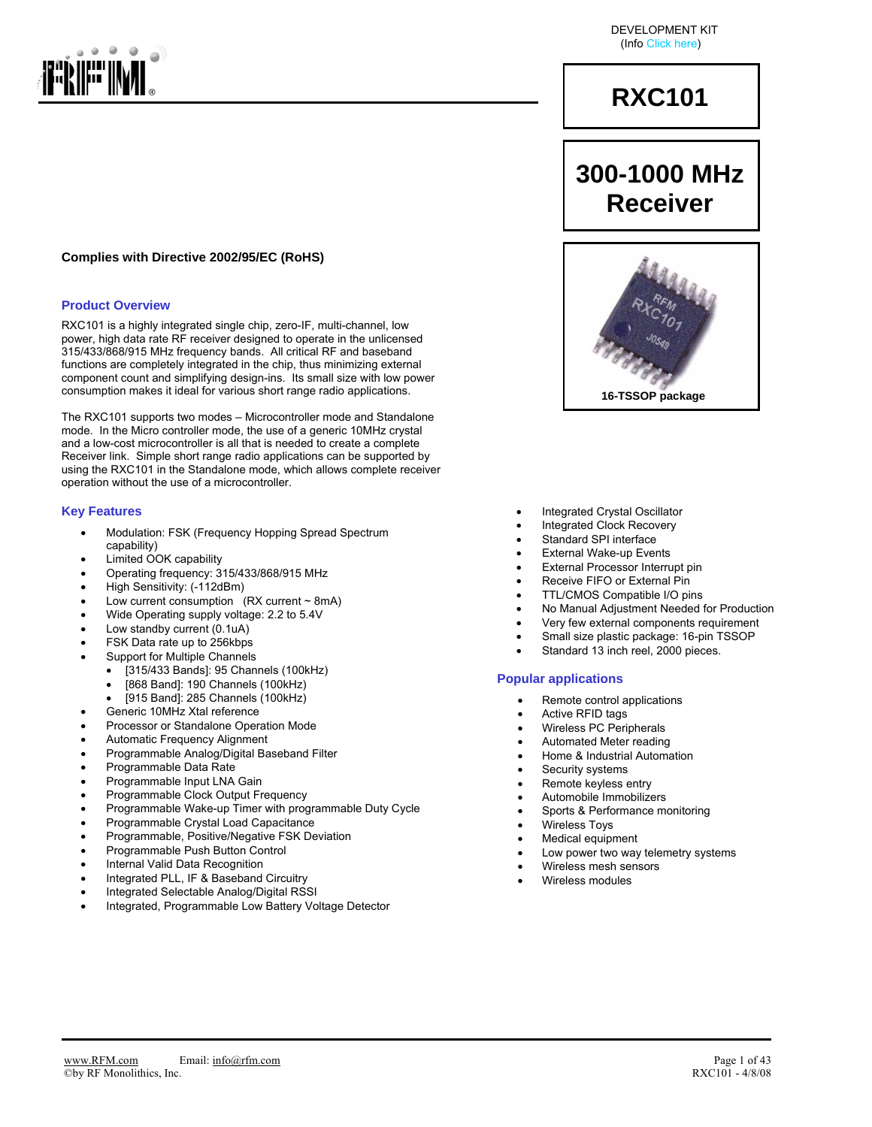

#### **Complies with Directive 2002/95/EC (RoHS)**

#### **Product Overview**

RXC101 is a highly integrated single chip, zero-IF, multi-channel, low power, high data rate RF receiver designed to operate in the unlicensed 315/433/868/915 MHz frequency bands. All critical RF and baseband functions are completely integrated in the chip, thus minimizing external component count and simplifying design-ins. Its small size with low power consumption makes it ideal for various short range radio applications.

The RXC101 supports two modes – Microcontroller mode and Standalone mode. In the Micro controller mode, the use of a generic 10MHz crystal and a low-cost microcontroller is all that is needed to create a complete Receiver link. Simple short range radio applications can be supported by using the RXC101 in the Standalone mode, which allows complete receiver operation without the use of a microcontroller.

#### **Key Features**

- Modulation: FSK (Frequency Hopping Spread Spectrum capability)
- Limited OOK capability
- Operating frequency: 315/433/868/915 MHz
- High Sensitivity: (-112dBm)
- Low current consumption  $(RX current ~ 8mA)$
- Wide Operating supply voltage: 2.2 to 5.4V
- Low standby current (0.1uA)
- FSK Data rate up to 256kbps
- Support for Multiple Channels
	- [315/433 Bands]: 95 Channels (100kHz)
	- [868 Band]: 190 Channels (100kHz)
	- [915 Band]: 285 Channels (100kHz)
- Generic 10MHz Xtal reference
- Processor or Standalone Operation Mode
- Automatic Frequency Alignment
- Programmable Analog/Digital Baseband Filter
- Programmable Data Rate
- Programmable Input LNA Gain
- Programmable Clock Output Frequency
- Programmable Wake-up Timer with programmable Duty Cycle
- Programmable Crystal Load Capacitance
- Programmable, Positive/Negative FSK Deviation
- Programmable Push Button Control
- Internal Valid Data Recognition
- Integrated PLL, IF & Baseband Circuitry
- Integrated Selectable Analog/Digital RSSI
- Integrated, Programmable Low Battery Voltage Detector

DEVELOPMENT KIT (Info Click here)

## **RXC101**

## **300-1000 MHz Receiver**



- Integrated Crystal Oscillator
- Integrated Clock Recovery
- Standard SPI interface
- **External Wake-up Events**
- External Processor Interrupt pin
- Receive FIFO or External Pin
- TTL/CMOS Compatible I/O pins
- No Manual Adjustment Needed for Production
- Very few external components requirement
- Small size plastic package: 16-pin TSSOP Standard 13 inch reel, 2000 pieces.

### **Popular applications**

- Remote control applications
- Active RFID tags
- Wireless PC Peripherals
- Automated Meter reading
- Home & Industrial Automation
- 
- 
- Automobile Immobilizers
- Sports & Performance monitoring
- Wireless Toys
- Medical equipment
- Low power two way telemetry systems
- Wireless mesh sensors
- Wireless modules

Security systems Remote keyless entry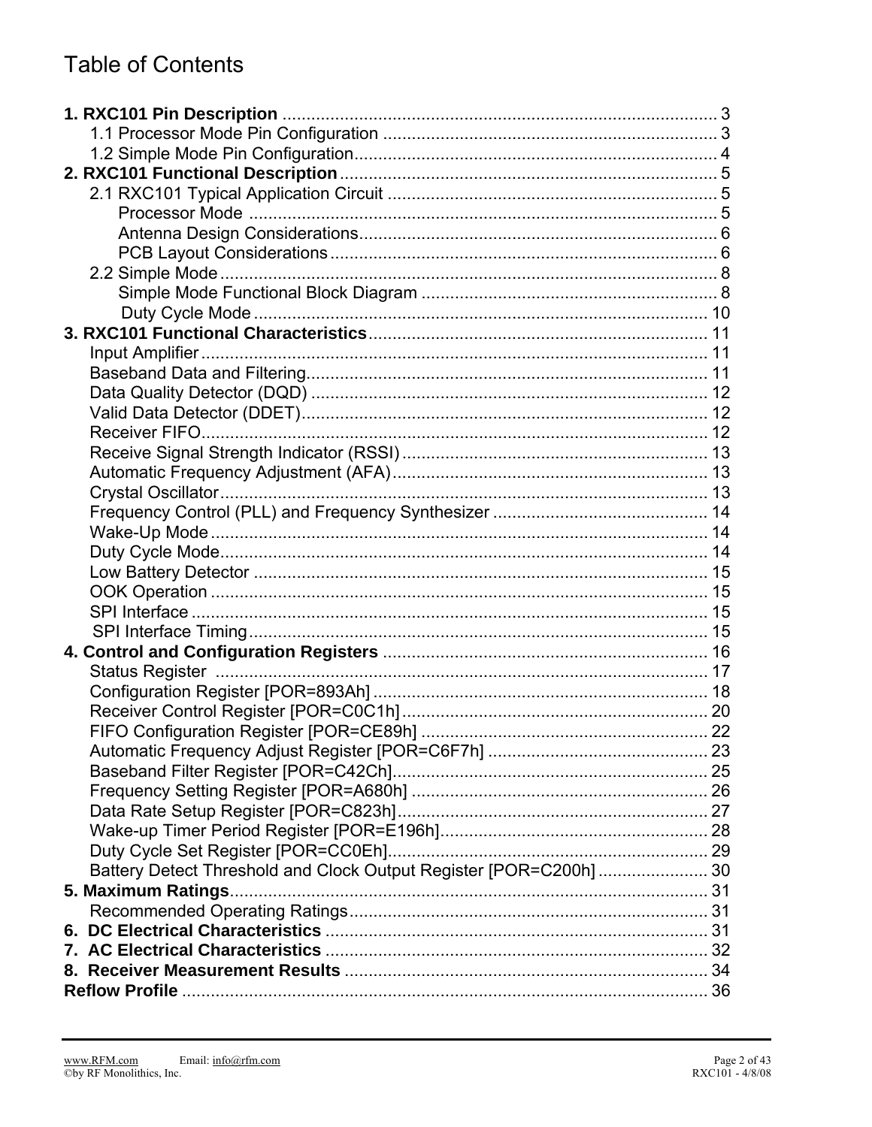## **Table of Contents**

| Battery Detect Threshold and Clock Output Register [POR=C200h] 30 |  |
|-------------------------------------------------------------------|--|
| 5. Maximum Ratings                                                |  |
|                                                                   |  |
|                                                                   |  |
|                                                                   |  |
|                                                                   |  |
|                                                                   |  |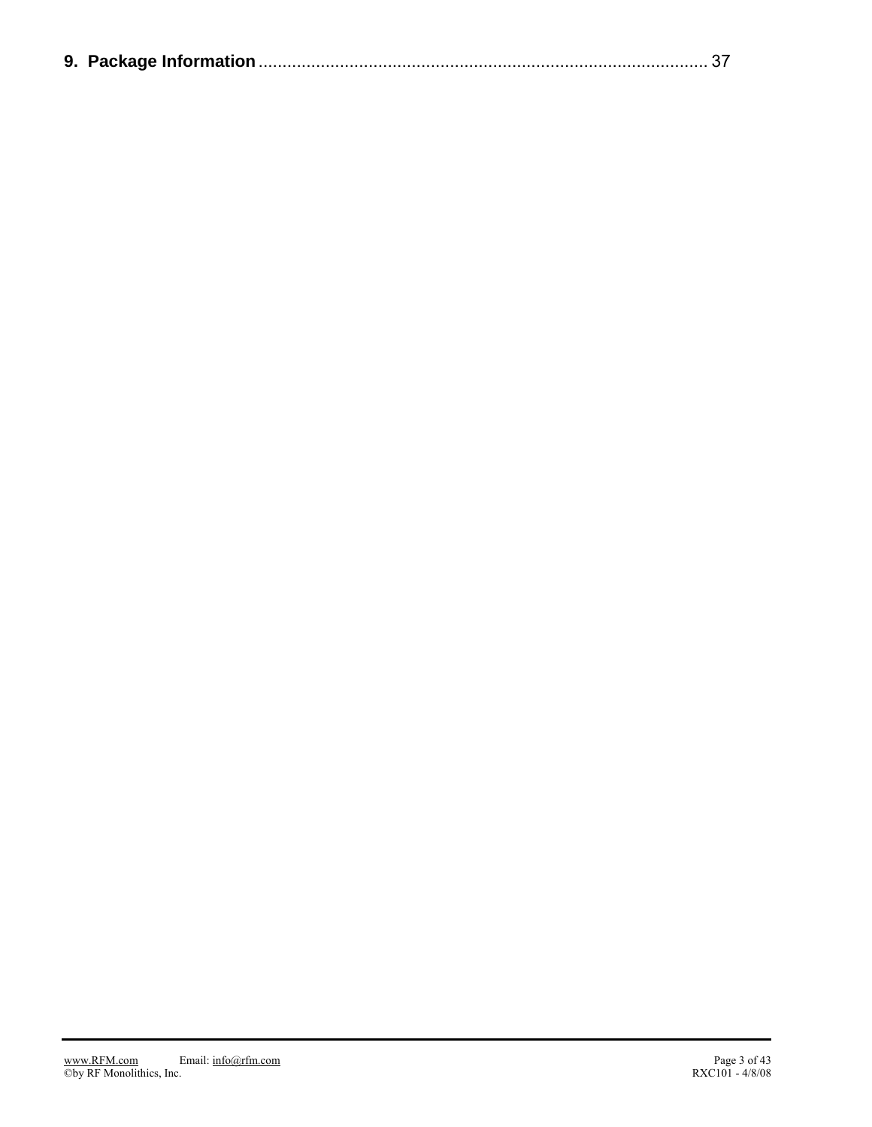|--|--|--|--|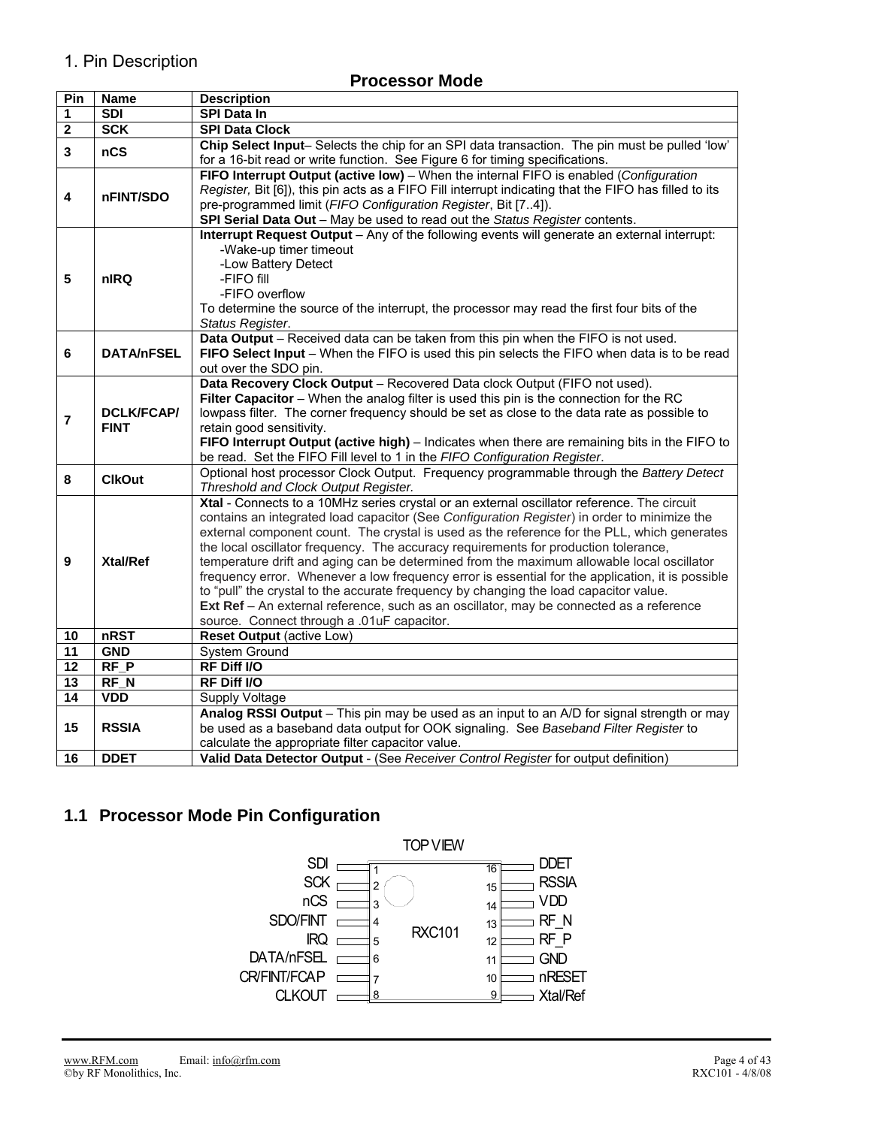## 1. Pin Description

## **Processor Mode**

| Pin             | Name              | <b>Description</b>                                                                                                                                                                         |
|-----------------|-------------------|--------------------------------------------------------------------------------------------------------------------------------------------------------------------------------------------|
| 1               | <b>SDI</b>        | <b>SPI Data In</b>                                                                                                                                                                         |
| $\mathbf{2}$    | <b>SCK</b>        | <b>SPI Data Clock</b>                                                                                                                                                                      |
| 3               | nCS               | Chip Select Input- Selects the chip for an SPI data transaction. The pin must be pulled 'low'                                                                                              |
|                 |                   | for a 16-bit read or write function. See Figure 6 for timing specifications.                                                                                                               |
|                 |                   | FIFO Interrupt Output (active low) - When the internal FIFO is enabled (Configuration                                                                                                      |
| 4               | nFINT/SDO         | Register, Bit [6]), this pin acts as a FIFO Fill interrupt indicating that the FIFO has filled to its                                                                                      |
|                 |                   | pre-programmed limit (FIFO Configuration Register, Bit [74]).                                                                                                                              |
|                 |                   | SPI Serial Data Out - May be used to read out the Status Register contents.                                                                                                                |
|                 |                   | <b>Interrupt Request Output</b> – Any of the following events will generate an external interrupt:                                                                                         |
|                 |                   | -Wake-up timer timeout                                                                                                                                                                     |
|                 |                   | -Low Battery Detect                                                                                                                                                                        |
| 5               | nIRQ              | -FIFO fill                                                                                                                                                                                 |
|                 |                   | -FIFO overflow                                                                                                                                                                             |
|                 |                   | To determine the source of the interrupt, the processor may read the first four bits of the                                                                                                |
|                 |                   | Status Register.                                                                                                                                                                           |
|                 |                   | Data Output - Received data can be taken from this pin when the FIFO is not used.                                                                                                          |
| 6               | <b>DATA/nFSEL</b> | FIFO Select Input - When the FIFO is used this pin selects the FIFO when data is to be read                                                                                                |
|                 |                   | out over the SDO pin.                                                                                                                                                                      |
|                 |                   | Data Recovery Clock Output - Recovered Data clock Output (FIFO not used).                                                                                                                  |
|                 |                   | Filter Capacitor - When the analog filter is used this pin is the connection for the RC                                                                                                    |
| $\overline{7}$  | <b>DCLK/FCAP/</b> | lowpass filter. The corner frequency should be set as close to the data rate as possible to                                                                                                |
|                 | <b>FINT</b>       | retain good sensitivity.                                                                                                                                                                   |
|                 |                   | FIFO Interrupt Output (active high) - Indicates when there are remaining bits in the FIFO to                                                                                               |
|                 |                   | be read. Set the FIFO Fill level to 1 in the FIFO Configuration Register.                                                                                                                  |
| 8               | <b>ClkOut</b>     | Optional host processor Clock Output. Frequency programmable through the Battery Detect                                                                                                    |
|                 |                   | Threshold and Clock Output Register.                                                                                                                                                       |
|                 |                   | Xtal - Connects to a 10MHz series crystal or an external oscillator reference. The circuit                                                                                                 |
|                 |                   | contains an integrated load capacitor (See Configuration Register) in order to minimize the<br>external component count. The crystal is used as the reference for the PLL, which generates |
|                 |                   | the local oscillator frequency. The accuracy requirements for production tolerance,                                                                                                        |
| 9               | Xtal/Ref          | temperature drift and aging can be determined from the maximum allowable local oscillator                                                                                                  |
|                 |                   | frequency error. Whenever a low frequency error is essential for the application, it is possible                                                                                           |
|                 |                   | to "pull" the crystal to the accurate frequency by changing the load capacitor value.                                                                                                      |
|                 |                   | Ext Ref - An external reference, such as an oscillator, may be connected as a reference                                                                                                    |
|                 |                   | source. Connect through a .01uF capacitor.                                                                                                                                                 |
| 10              | <b>nRST</b>       | <b>Reset Output (active Low)</b>                                                                                                                                                           |
| 11              | <b>GND</b>        | <b>System Ground</b>                                                                                                                                                                       |
| $\overline{12}$ | $RF$ $P$          | RF Diff I/O                                                                                                                                                                                |
| 13              | RF_N              | RF Diff I/O                                                                                                                                                                                |
| $\overline{14}$ | <b>VDD</b>        | Supply Voltage                                                                                                                                                                             |
|                 |                   | Analog RSSI Output - This pin may be used as an input to an A/D for signal strength or may                                                                                                 |
| 15              | <b>RSSIA</b>      | be used as a baseband data output for OOK signaling. See Baseband Filter Register to                                                                                                       |
|                 |                   | calculate the appropriate filter capacitor value.                                                                                                                                          |
| 16              | <b>DDET</b>       | Valid Data Detector Output - (See Receiver Control Register for output definition)                                                                                                         |
|                 |                   |                                                                                                                                                                                            |

## **1.1 Processor Mode Pin Configuration**

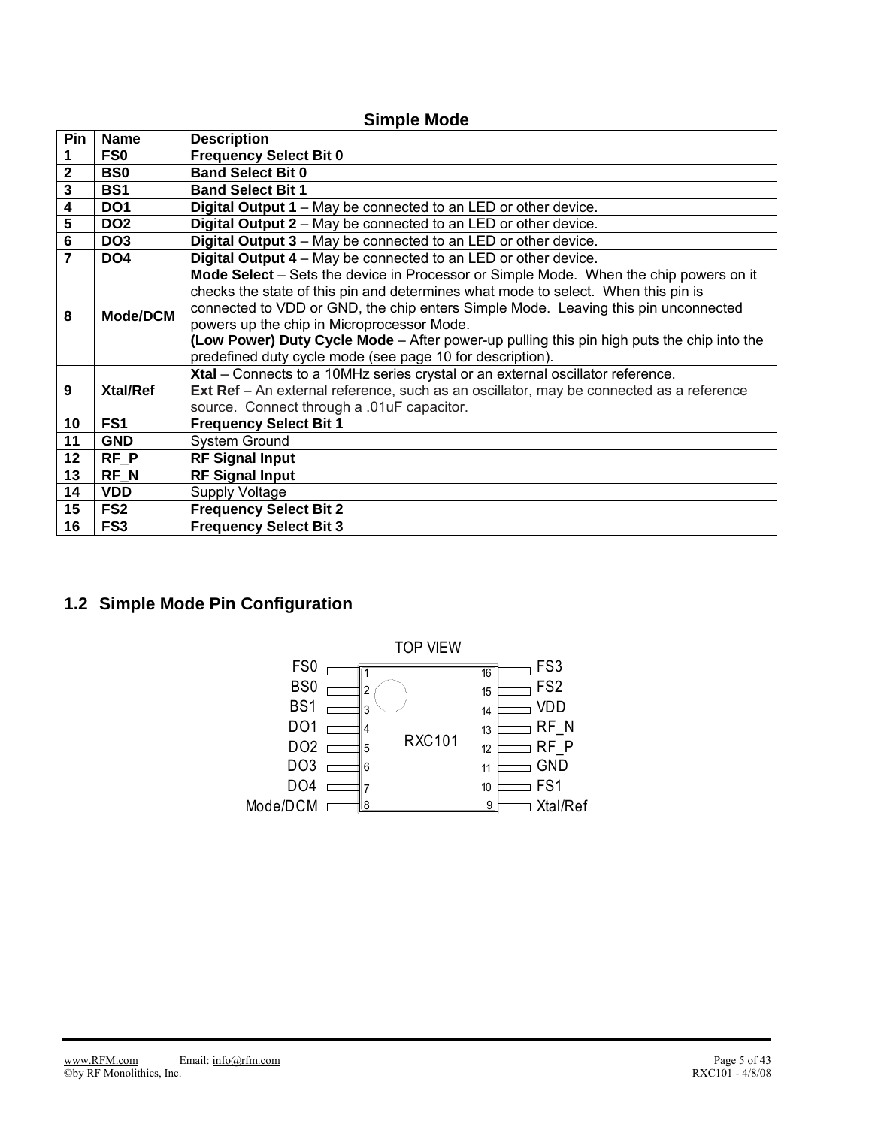|                         | <b>Simple Mode</b>   |                                                                                                                                                                                                                                                                                                                                                                                                                                                                                                                                                                                                                                                       |  |  |  |  |  |  |  |  |  |  |  |
|-------------------------|----------------------|-------------------------------------------------------------------------------------------------------------------------------------------------------------------------------------------------------------------------------------------------------------------------------------------------------------------------------------------------------------------------------------------------------------------------------------------------------------------------------------------------------------------------------------------------------------------------------------------------------------------------------------------------------|--|--|--|--|--|--|--|--|--|--|--|
| <b>Pin</b>              | <b>Name</b>          | <b>Description</b>                                                                                                                                                                                                                                                                                                                                                                                                                                                                                                                                                                                                                                    |  |  |  |  |  |  |  |  |  |  |  |
| 1                       | FS <sub>0</sub>      | <b>Frequency Select Bit 0</b>                                                                                                                                                                                                                                                                                                                                                                                                                                                                                                                                                                                                                         |  |  |  |  |  |  |  |  |  |  |  |
| $\mathbf{2}$            | <b>BS0</b>           | <b>Band Select Bit 0</b>                                                                                                                                                                                                                                                                                                                                                                                                                                                                                                                                                                                                                              |  |  |  |  |  |  |  |  |  |  |  |
| $\overline{\mathbf{3}}$ | <b>BS1</b>           | <b>Band Select Bit 1</b>                                                                                                                                                                                                                                                                                                                                                                                                                                                                                                                                                                                                                              |  |  |  |  |  |  |  |  |  |  |  |
| 4                       | DO <sub>1</sub>      | <b>Digital Output 1</b> – May be connected to an LED or other device.                                                                                                                                                                                                                                                                                                                                                                                                                                                                                                                                                                                 |  |  |  |  |  |  |  |  |  |  |  |
| $5\phantom{.0}$         | DO <sub>2</sub>      | Digital Output 2 – May be connected to an LED or other device.                                                                                                                                                                                                                                                                                                                                                                                                                                                                                                                                                                                        |  |  |  |  |  |  |  |  |  |  |  |
| 6                       | DO <sub>3</sub>      | Digital Output 3 - May be connected to an LED or other device.                                                                                                                                                                                                                                                                                                                                                                                                                                                                                                                                                                                        |  |  |  |  |  |  |  |  |  |  |  |
| $\overline{7}$          | DO <sub>4</sub>      | Digital Output 4 - May be connected to an LED or other device.                                                                                                                                                                                                                                                                                                                                                                                                                                                                                                                                                                                        |  |  |  |  |  |  |  |  |  |  |  |
| 8<br>9                  | Mode/DCM<br>Xtal/Ref | Mode Select – Sets the device in Processor or Simple Mode. When the chip powers on it<br>checks the state of this pin and determines what mode to select. When this pin is<br>connected to VDD or GND, the chip enters Simple Mode. Leaving this pin unconnected<br>powers up the chip in Microprocessor Mode.<br>(Low Power) Duty Cycle Mode – After power-up pulling this pin high puts the chip into the<br>predefined duty cycle mode (see page 10 for description).<br>Xtal - Connects to a 10MHz series crystal or an external oscillator reference.<br>Ext Ref - An external reference, such as an oscillator, may be connected as a reference |  |  |  |  |  |  |  |  |  |  |  |
|                         |                      | source. Connect through a .01uF capacitor.                                                                                                                                                                                                                                                                                                                                                                                                                                                                                                                                                                                                            |  |  |  |  |  |  |  |  |  |  |  |
| 10                      | FS <sub>1</sub>      | <b>Frequency Select Bit 1</b>                                                                                                                                                                                                                                                                                                                                                                                                                                                                                                                                                                                                                         |  |  |  |  |  |  |  |  |  |  |  |
| 11                      | <b>GND</b>           | System Ground                                                                                                                                                                                                                                                                                                                                                                                                                                                                                                                                                                                                                                         |  |  |  |  |  |  |  |  |  |  |  |
| 12                      | $RF_P$               | <b>RF Signal Input</b>                                                                                                                                                                                                                                                                                                                                                                                                                                                                                                                                                                                                                                |  |  |  |  |  |  |  |  |  |  |  |
| 13                      | RF N                 | <b>RF Signal Input</b>                                                                                                                                                                                                                                                                                                                                                                                                                                                                                                                                                                                                                                |  |  |  |  |  |  |  |  |  |  |  |
| 14                      | <b>VDD</b>           | Supply Voltage                                                                                                                                                                                                                                                                                                                                                                                                                                                                                                                                                                                                                                        |  |  |  |  |  |  |  |  |  |  |  |
| 15                      | FS <sub>2</sub>      | <b>Frequency Select Bit 2</b>                                                                                                                                                                                                                                                                                                                                                                                                                                                                                                                                                                                                                         |  |  |  |  |  |  |  |  |  |  |  |
| 16                      | FS <sub>3</sub>      | <b>Frequency Select Bit 3</b>                                                                                                                                                                                                                                                                                                                                                                                                                                                                                                                                                                                                                         |  |  |  |  |  |  |  |  |  |  |  |

## **1.2 Simple Mode Pin Configuration**

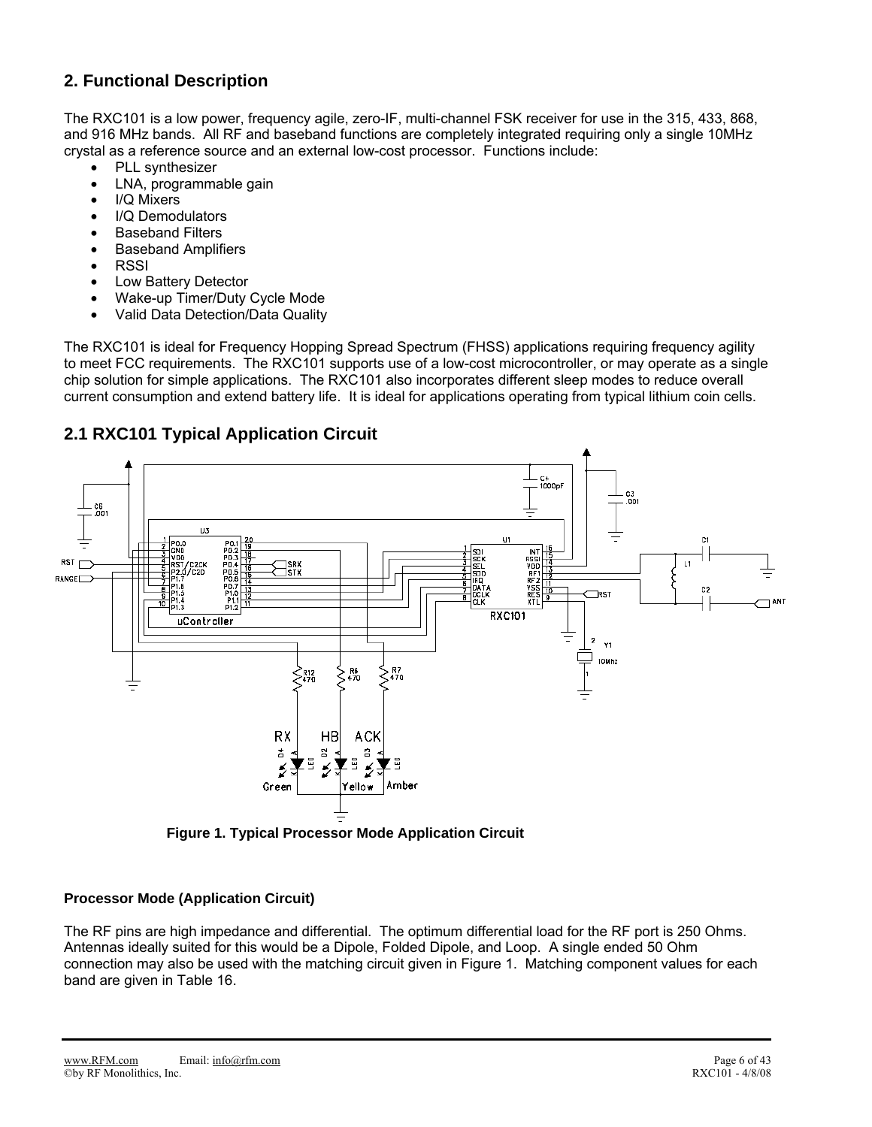## **2. Functional Description**

The RXC101 is a low power, frequency agile, zero-IF, multi-channel FSK receiver for use in the 315, 433, 868, and 916 MHz bands. All RF and baseband functions are completely integrated requiring only a single 10MHz crystal as a reference source and an external low-cost processor. Functions include:

- PLL synthesizer
- LNA, programmable gain
- I/Q Mixers
- I/Q Demodulators
- **Baseband Filters**
- Baseband Amplifiers
- **RSSI**
- Low Battery Detector
- Wake-up Timer/Duty Cycle Mode
- Valid Data Detection/Data Quality

The RXC101 is ideal for Frequency Hopping Spread Spectrum (FHSS) applications requiring frequency agility to meet FCC requirements. The RXC101 supports use of a low-cost microcontroller, or may operate as a single chip solution for simple applications. The RXC101 also incorporates different sleep modes to reduce overall current consumption and extend battery life. It is ideal for applications operating from typical lithium coin cells.

## **2.1 RXC101 Typical Application Circuit**



**Figure 1. Typical Processor Mode Application Circuit** 

### **Processor Mode (Application Circuit)**

The RF pins are high impedance and differential. The optimum differential load for the RF port is 250 Ohms. Antennas ideally suited for this would be a Dipole, Folded Dipole, and Loop. A single ended 50 Ohm connection may also be used with the matching circuit given in Figure 1. Matching component values for each band are given in Table 16.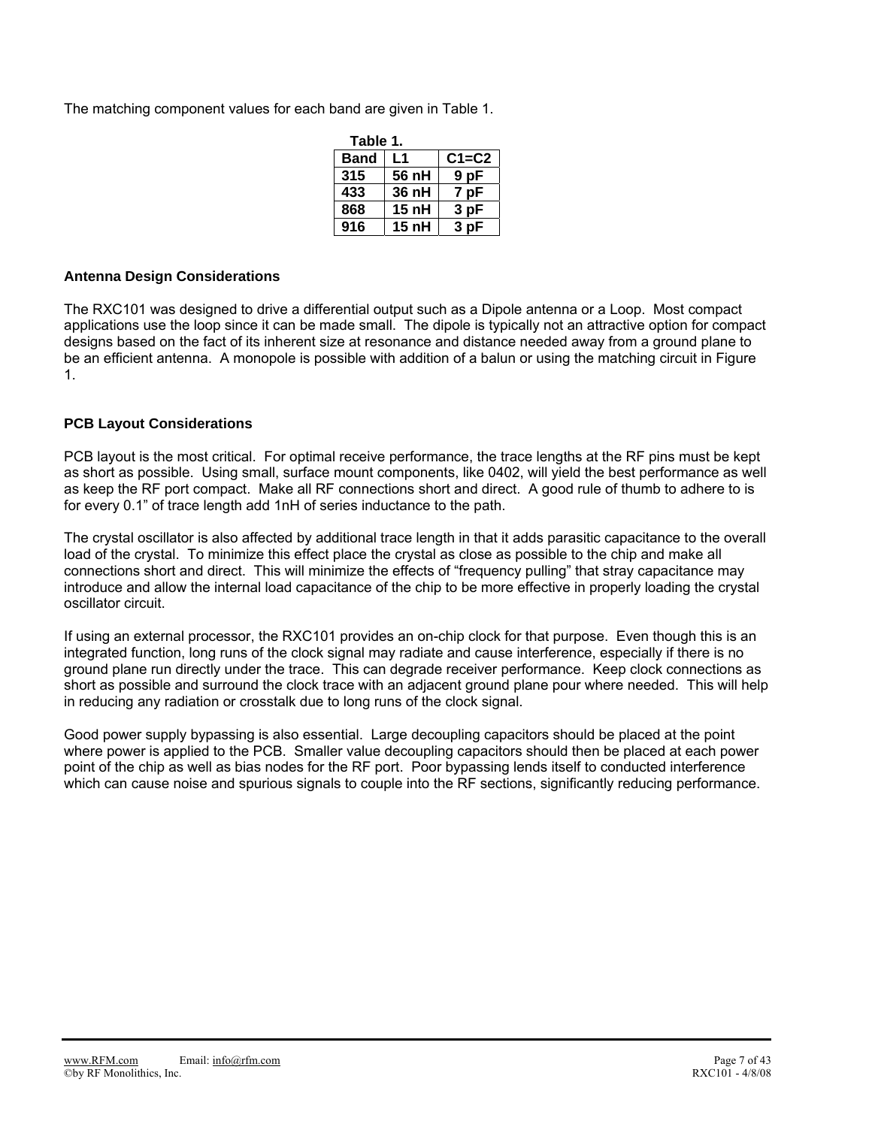The matching component values for each band are given in Table 1.

| Table 1.    |                  |           |
|-------------|------------------|-----------|
| <b>Band</b> | L1               | $C1 = C2$ |
| 315         | 56 nH            | 9 pF      |
| 433         | 36 nH            | 7 pF      |
| 868         | 15 <sub>nh</sub> | 3 pF      |
| 916         | 15 <sub>nh</sub> | 3 pF      |

### **Antenna Design Considerations**

The RXC101 was designed to drive a differential output such as a Dipole antenna or a Loop. Most compact applications use the loop since it can be made small. The dipole is typically not an attractive option for compact designs based on the fact of its inherent size at resonance and distance needed away from a ground plane to be an efficient antenna. A monopole is possible with addition of a balun or using the matching circuit in Figure 1.

### **PCB Layout Considerations**

PCB layout is the most critical. For optimal receive performance, the trace lengths at the RF pins must be kept as short as possible. Using small, surface mount components, like 0402, will yield the best performance as well as keep the RF port compact. Make all RF connections short and direct. A good rule of thumb to adhere to is for every 0.1" of trace length add 1nH of series inductance to the path.

The crystal oscillator is also affected by additional trace length in that it adds parasitic capacitance to the overall load of the crystal. To minimize this effect place the crystal as close as possible to the chip and make all connections short and direct. This will minimize the effects of "frequency pulling" that stray capacitance may introduce and allow the internal load capacitance of the chip to be more effective in properly loading the crystal oscillator circuit.

If using an external processor, the RXC101 provides an on-chip clock for that purpose. Even though this is an integrated function, long runs of the clock signal may radiate and cause interference, especially if there is no ground plane run directly under the trace. This can degrade receiver performance. Keep clock connections as short as possible and surround the clock trace with an adjacent ground plane pour where needed. This will help in reducing any radiation or crosstalk due to long runs of the clock signal.

Good power supply bypassing is also essential. Large decoupling capacitors should be placed at the point where power is applied to the PCB. Smaller value decoupling capacitors should then be placed at each power point of the chip as well as bias nodes for the RF port. Poor bypassing lends itself to conducted interference which can cause noise and spurious signals to couple into the RF sections, significantly reducing performance.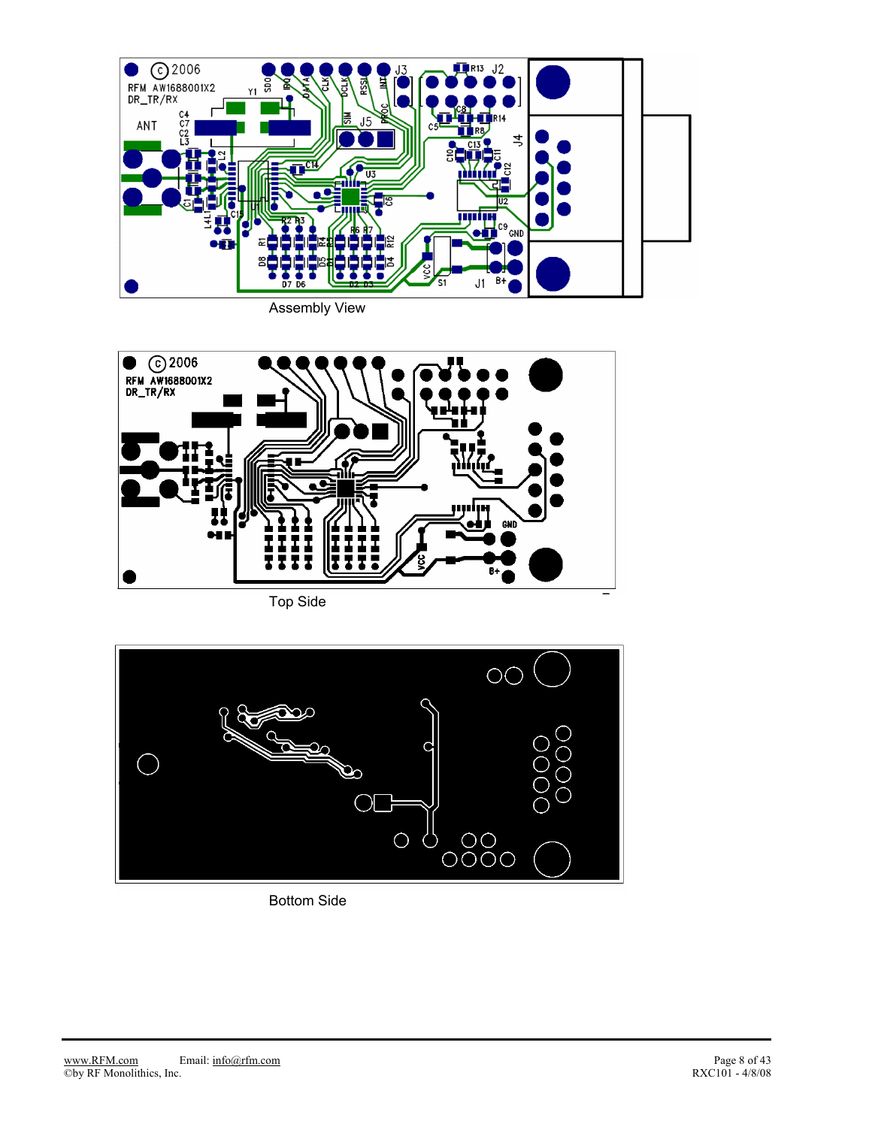

Assembly View



Top Side



Bottom Side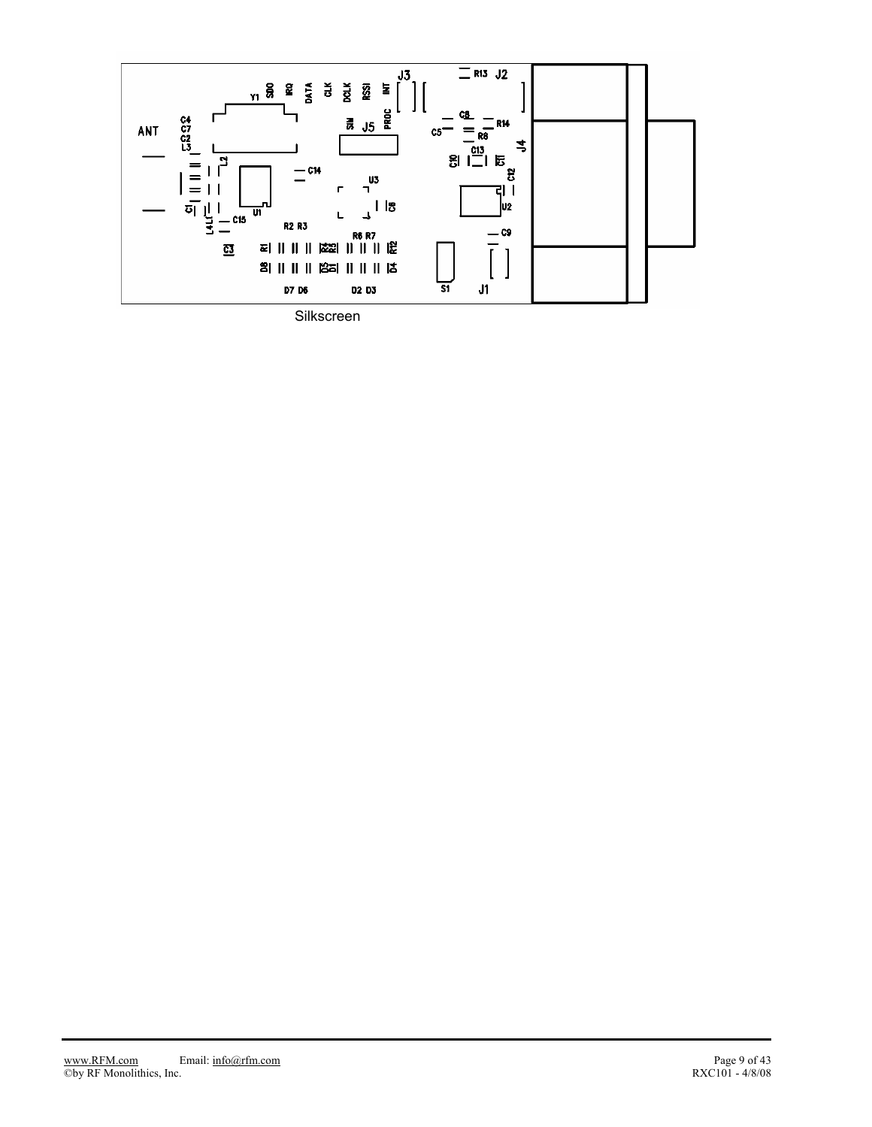

Silkscreen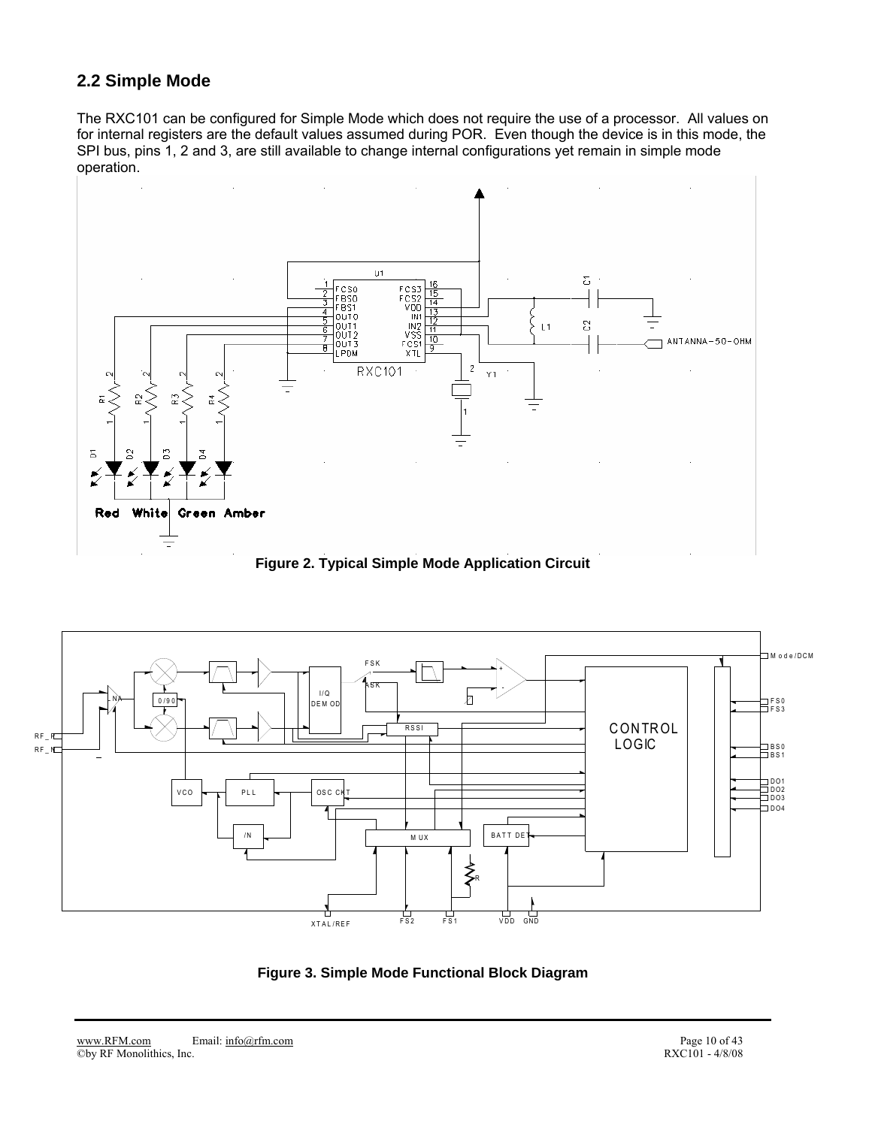## **2.2 Simple Mode**

The RXC101 can be configured for Simple Mode which does not require the use of a processor. All values on for internal registers are the default values assumed during POR. Even though the device is in this mode, the SPI bus, pins 1, 2 and 3, are still available to change internal configurations yet remain in simple mode operation.



**Figure 2. Typical Simple Mode Application Circuit** 



**Figure 3. Simple Mode Functional Block Diagram**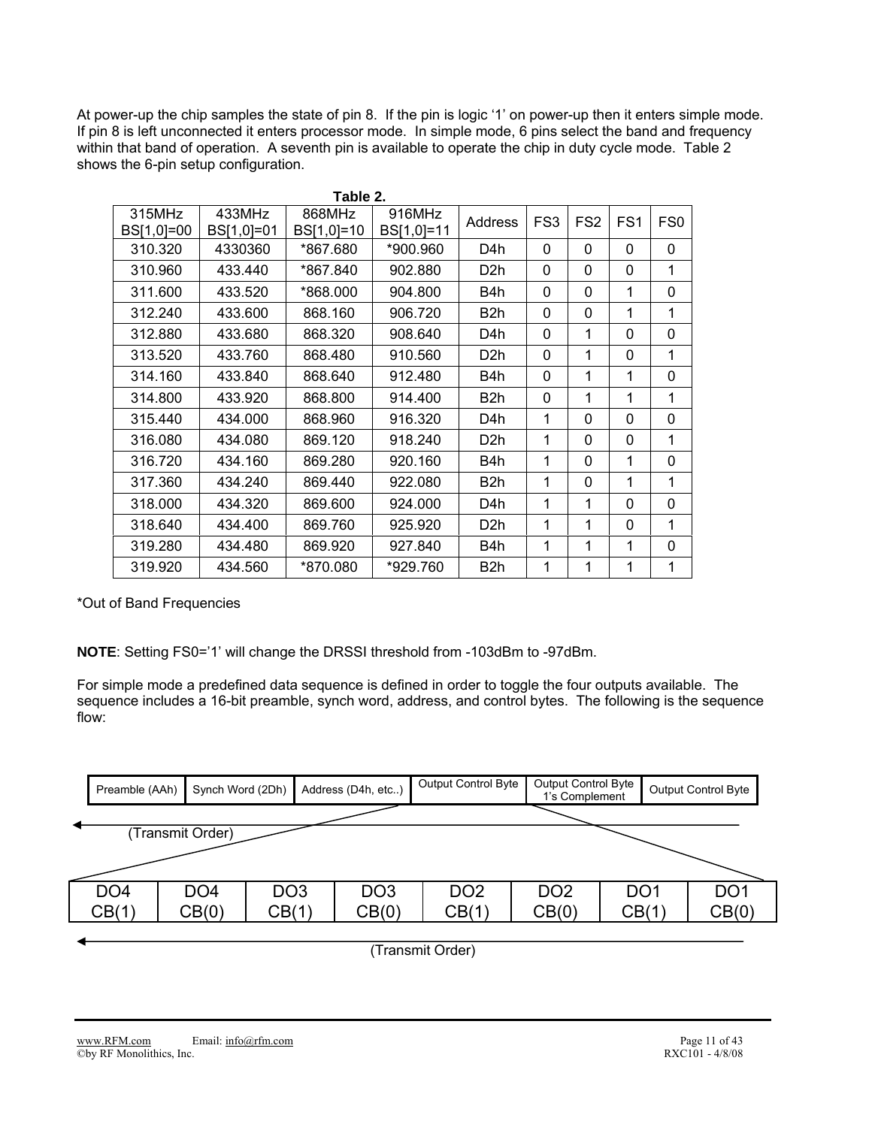At power-up the chip samples the state of pin 8. If the pin is logic '1' on power-up then it enters simple mode. If pin 8 is left unconnected it enters processor mode. In simple mode, 6 pins select the band and frequency within that band of operation. A seventh pin is available to operate the chip in duty cycle mode. Table 2 shows the 6-pin setup configuration.

|                      |                      | Table 2.             |                      |                  |                 |                 |                 |                 |
|----------------------|----------------------|----------------------|----------------------|------------------|-----------------|-----------------|-----------------|-----------------|
| 315MHz<br>BS[1,0]=00 | 433MHz<br>BS[1,0]=01 | 868MHz<br>BS[1,0]=10 | 916MHz<br>BS[1,0]=11 | Address          | FS <sub>3</sub> | FS <sub>2</sub> | FS <sub>1</sub> | FS <sub>0</sub> |
| 310.320              | 4330360              | *867.680             | *900.960             | D4h              | 0               | 0               | 0               | 0               |
| 310.960              | 433.440              | *867.840             | 902.880              | D <sub>2</sub> h | 0               | 0               | 0               | 1               |
| 311.600              | 433.520              | *868.000             | 904.800              | B4h              | 0               | 0               | 1               | 0               |
| 312.240              | 433.600              | 868.160              | 906.720              | B <sub>2</sub> h | 0               | 0               | 1               | 1               |
| 312.880              | 433.680              | 868.320              | 908.640              | D4h              | 0               | 1               | $\Omega$        | 0               |
| 313.520              | 433.760              | 868.480              | 910.560              | D <sub>2</sub> h | 0               | 1               | 0               | 1               |
| 314.160              | 433.840              | 868.640              | 912.480              | B4h              | 0               | $\mathbf{1}$    | 1               | 0               |
| 314.800              | 433.920              | 868,800              | 914.400              | B <sub>2</sub> h | 0               | 1               | 1               | 1               |
| 315.440              | 434.000              | 868.960              | 916.320              | D4h              | 1               | 0               | $\Omega$        | 0               |
| 316.080              | 434.080              | 869.120              | 918.240              | D <sub>2</sub> h | 1               | 0               | 0               | 1               |
| 316.720              | 434.160              | 869.280              | 920.160              | B4h              | 1               | $\Omega$        | 1               | 0               |
| 317.360              | 434.240              | 869.440              | 922.080              | B <sub>2</sub> h | 1               | 0               | 1               | 1               |
| 318.000              | 434.320              | 869,600              | 924.000              | D4h              | 1               | 1               | 0               | 0               |
| 318.640              | 434.400              | 869.760              | 925.920              | D <sub>2</sub> h | 1               | 1               | $\Omega$        | 1               |
| 319,280              | 434.480              | 869.920              | 927.840              | B4h              | 1               | 1               | 1               | 0               |
| 319.920              | 434.560              | *870.080             | *929.760             | B <sub>2</sub> h | 1               | 1               | 1               | 1               |

\*Out of Band Frequencies

**NOTE**: Setting FS0='1' will change the DRSSI threshold from -103dBm to -97dBm.

For simple mode a predefined data sequence is defined in order to toggle the four outputs available. The sequence includes a 16-bit preamble, synch word, address, and control bytes. The following is the sequence flow:

| Preamble (AAh)   | Synch Word (2Dh) |                 | Address (D4h, etc) |                 | Output Control Byte |                 | Output Control Byte<br>1's Complement | <b>Output Control Byte</b> |                 |  |  |  |  |
|------------------|------------------|-----------------|--------------------|-----------------|---------------------|-----------------|---------------------------------------|----------------------------|-----------------|--|--|--|--|
|                  |                  |                 |                    |                 |                     |                 |                                       |                            |                 |  |  |  |  |
| (Transmit Order) |                  |                 |                    |                 |                     |                 |                                       |                            |                 |  |  |  |  |
|                  |                  |                 |                    |                 |                     |                 |                                       |                            |                 |  |  |  |  |
| DO <sub>4</sub>  | DO <sub>4</sub>  | DO <sub>3</sub> |                    | DO <sub>3</sub> | DO <sub>2</sub>     | DO <sub>2</sub> |                                       | DO <sub>1</sub>            | DO <sub>1</sub> |  |  |  |  |
| CB(1)            | CB(0)            | CB(1)           |                    | CB(0)           | CB(1)               | CB(0)           |                                       | CB(1)                      | CB(0)           |  |  |  |  |

(Transmit Order)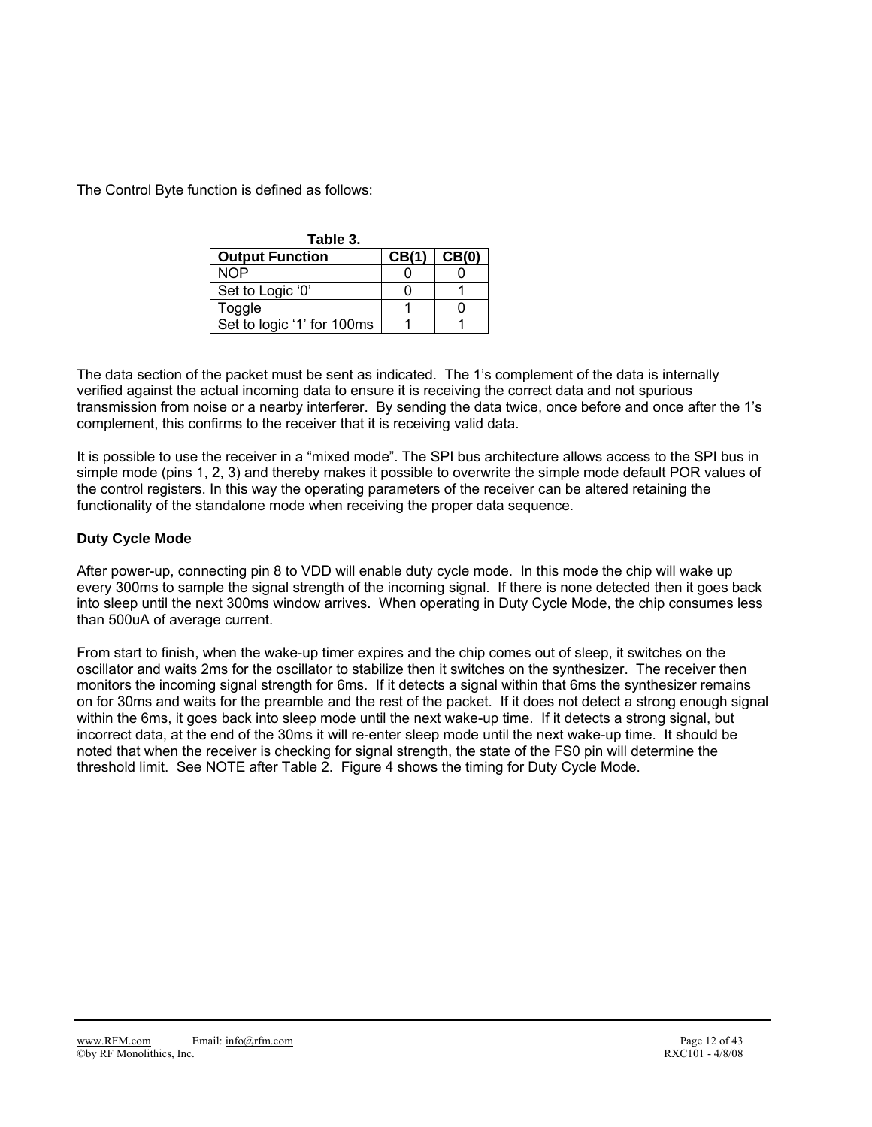The Control Byte function is defined as follows:

| Table 3.                   |                  |       |
|----------------------------|------------------|-------|
| <b>Output Function</b>     | CB <sub>(1</sub> | CB(0) |
| NOP                        |                  |       |
| Set to Logic '0'           |                  |       |
| Toggle                     |                  |       |
| Set to logic '1' for 100ms |                  |       |

The data section of the packet must be sent as indicated. The 1's complement of the data is internally verified against the actual incoming data to ensure it is receiving the correct data and not spurious transmission from noise or a nearby interferer. By sending the data twice, once before and once after the 1's complement, this confirms to the receiver that it is receiving valid data.

It is possible to use the receiver in a "mixed mode". The SPI bus architecture allows access to the SPI bus in simple mode (pins 1, 2, 3) and thereby makes it possible to overwrite the simple mode default POR values of the control registers. In this way the operating parameters of the receiver can be altered retaining the functionality of the standalone mode when receiving the proper data sequence.

### **Duty Cycle Mode**

After power-up, connecting pin 8 to VDD will enable duty cycle mode. In this mode the chip will wake up every 300ms to sample the signal strength of the incoming signal. If there is none detected then it goes back into sleep until the next 300ms window arrives. When operating in Duty Cycle Mode, the chip consumes less than 500uA of average current.

From start to finish, when the wake-up timer expires and the chip comes out of sleep, it switches on the oscillator and waits 2ms for the oscillator to stabilize then it switches on the synthesizer. The receiver then monitors the incoming signal strength for 6ms. If it detects a signal within that 6ms the synthesizer remains on for 30ms and waits for the preamble and the rest of the packet. If it does not detect a strong enough signal within the 6ms, it goes back into sleep mode until the next wake-up time. If it detects a strong signal, but incorrect data, at the end of the 30ms it will re-enter sleep mode until the next wake-up time. It should be noted that when the receiver is checking for signal strength, the state of the FS0 pin will determine the threshold limit. See NOTE after Table 2. Figure 4 shows the timing for Duty Cycle Mode.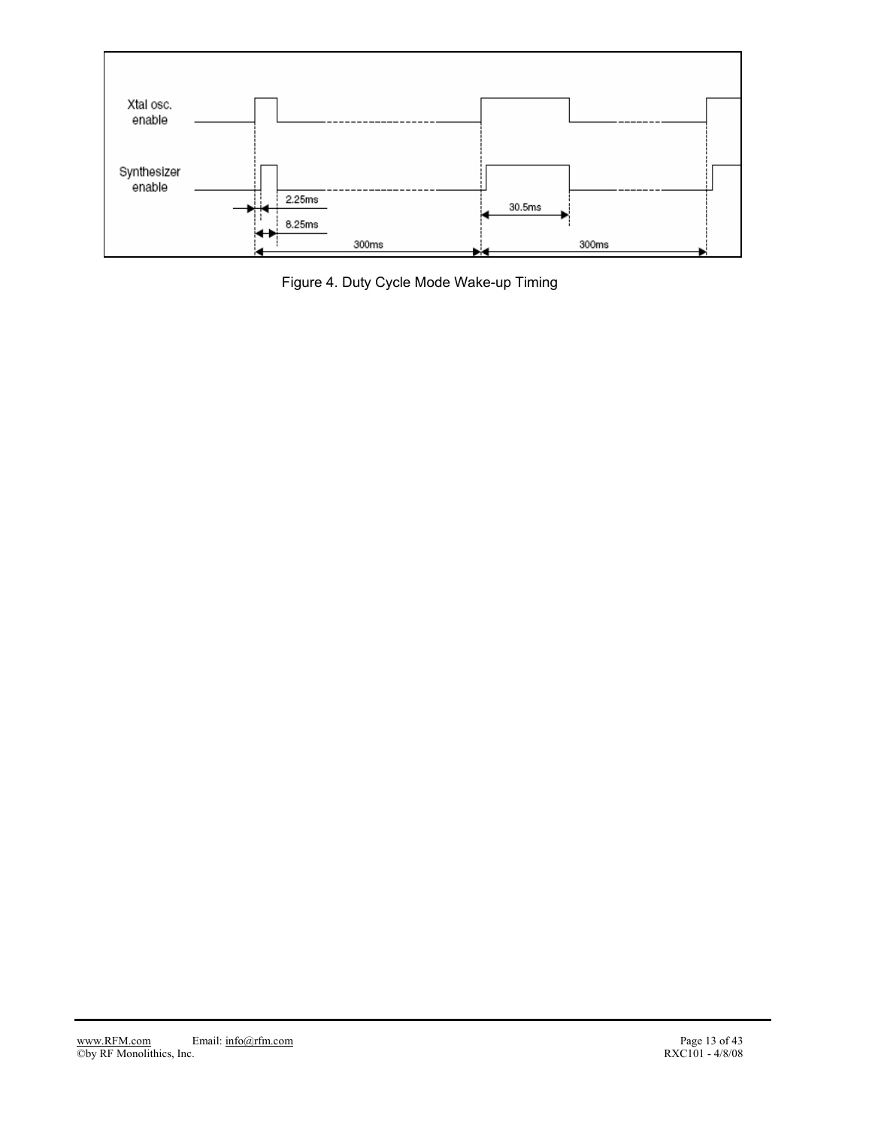

Figure 4. Duty Cycle Mode Wake-up Timing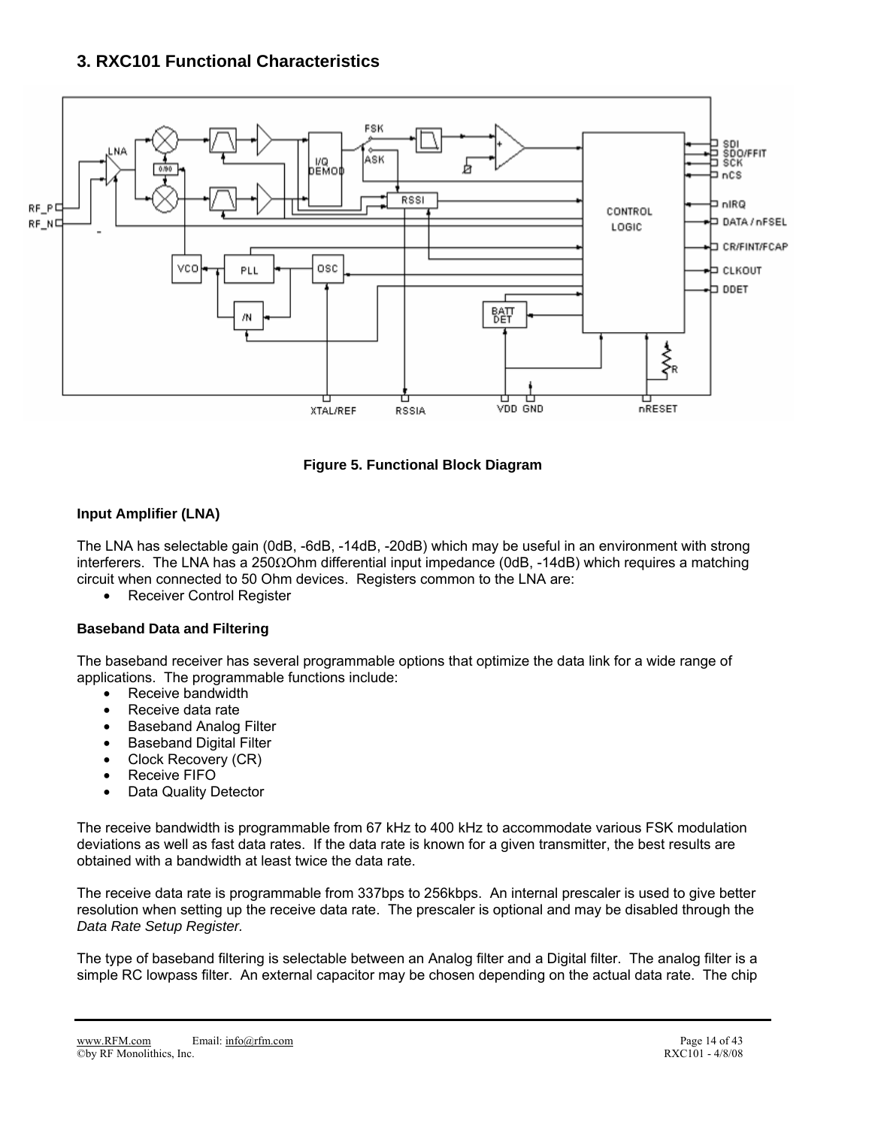## **3. RXC101 Functional Characteristics**



**Figure 5. Functional Block Diagram** 

### **Input Amplifier (LNA)**

The LNA has selectable gain (0dB, -6dB, -14dB, -20dB) which may be useful in an environment with strong interferers. The LNA has a 250ΩOhm differential input impedance (0dB, -14dB) which requires a matching circuit when connected to 50 Ohm devices. Registers common to the LNA are:

• Receiver Control Register

### **Baseband Data and Filtering**

The baseband receiver has several programmable options that optimize the data link for a wide range of applications. The programmable functions include:

- Receive bandwidth
- Receive data rate
- Baseband Analog Filter
- **Baseband Digital Filter**
- Clock Recovery (CR)
- Receive FIFO
- Data Quality Detector

The receive bandwidth is programmable from 67 kHz to 400 kHz to accommodate various FSK modulation deviations as well as fast data rates. If the data rate is known for a given transmitter, the best results are obtained with a bandwidth at least twice the data rate.

The receive data rate is programmable from 337bps to 256kbps. An internal prescaler is used to give better resolution when setting up the receive data rate. The prescaler is optional and may be disabled through the *Data Rate Setup Register.* 

The type of baseband filtering is selectable between an Analog filter and a Digital filter. The analog filter is a simple RC lowpass filter. An external capacitor may be chosen depending on the actual data rate. The chip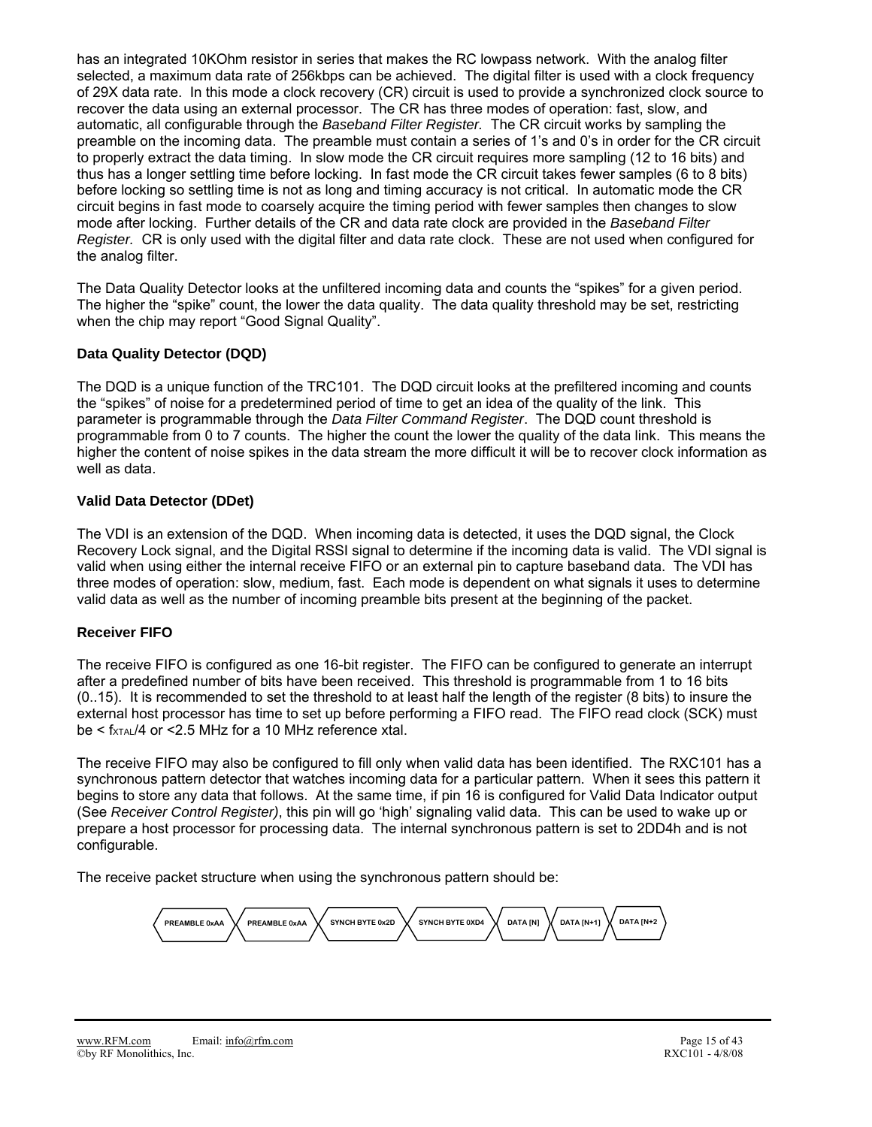has an integrated 10KOhm resistor in series that makes the RC lowpass network. With the analog filter selected, a maximum data rate of 256kbps can be achieved. The digital filter is used with a clock frequency of 29X data rate. In this mode a clock recovery (CR) circuit is used to provide a synchronized clock source to recover the data using an external processor. The CR has three modes of operation: fast, slow, and automatic, all configurable through the *Baseband Filter Register.* The CR circuit works by sampling the preamble on the incoming data. The preamble must contain a series of 1's and 0's in order for the CR circuit to properly extract the data timing. In slow mode the CR circuit requires more sampling (12 to 16 bits) and thus has a longer settling time before locking. In fast mode the CR circuit takes fewer samples (6 to 8 bits) before locking so settling time is not as long and timing accuracy is not critical. In automatic mode the CR circuit begins in fast mode to coarsely acquire the timing period with fewer samples then changes to slow mode after locking. Further details of the CR and data rate clock are provided in the *Baseband Filter Register.* CR is only used with the digital filter and data rate clock. These are not used when configured for the analog filter.

The Data Quality Detector looks at the unfiltered incoming data and counts the "spikes" for a given period. The higher the "spike" count, the lower the data quality. The data quality threshold may be set, restricting when the chip may report "Good Signal Quality".

### **Data Quality Detector (DQD)**

The DQD is a unique function of the TRC101. The DQD circuit looks at the prefiltered incoming and counts the "spikes" of noise for a predetermined period of time to get an idea of the quality of the link. This parameter is programmable through the *Data Filter Command Register*. The DQD count threshold is programmable from 0 to 7 counts. The higher the count the lower the quality of the data link. This means the higher the content of noise spikes in the data stream the more difficult it will be to recover clock information as well as data.

### **Valid Data Detector (DDet)**

The VDI is an extension of the DQD. When incoming data is detected, it uses the DQD signal, the Clock Recovery Lock signal, and the Digital RSSI signal to determine if the incoming data is valid. The VDI signal is valid when using either the internal receive FIFO or an external pin to capture baseband data. The VDI has three modes of operation: slow, medium, fast. Each mode is dependent on what signals it uses to determine valid data as well as the number of incoming preamble bits present at the beginning of the packet.

### **Receiver FIFO**

The receive FIFO is configured as one 16-bit register. The FIFO can be configured to generate an interrupt after a predefined number of bits have been received. This threshold is programmable from 1 to 16 bits (0..15). It is recommended to set the threshold to at least half the length of the register (8 bits) to insure the external host processor has time to set up before performing a FIFO read. The FIFO read clock (SCK) must  $be < f_{\text{XTAL}}/4$  or <2.5 MHz for a 10 MHz reference xtal.

The receive FIFO may also be configured to fill only when valid data has been identified. The RXC101 has a synchronous pattern detector that watches incoming data for a particular pattern. When it sees this pattern it begins to store any data that follows. At the same time, if pin 16 is configured for Valid Data Indicator output (See *Receiver Control Register)*, this pin will go 'high' signaling valid data. This can be used to wake up or prepare a host processor for processing data. The internal synchronous pattern is set to 2DD4h and is not configurable.

The receive packet structure when using the synchronous pattern should be:

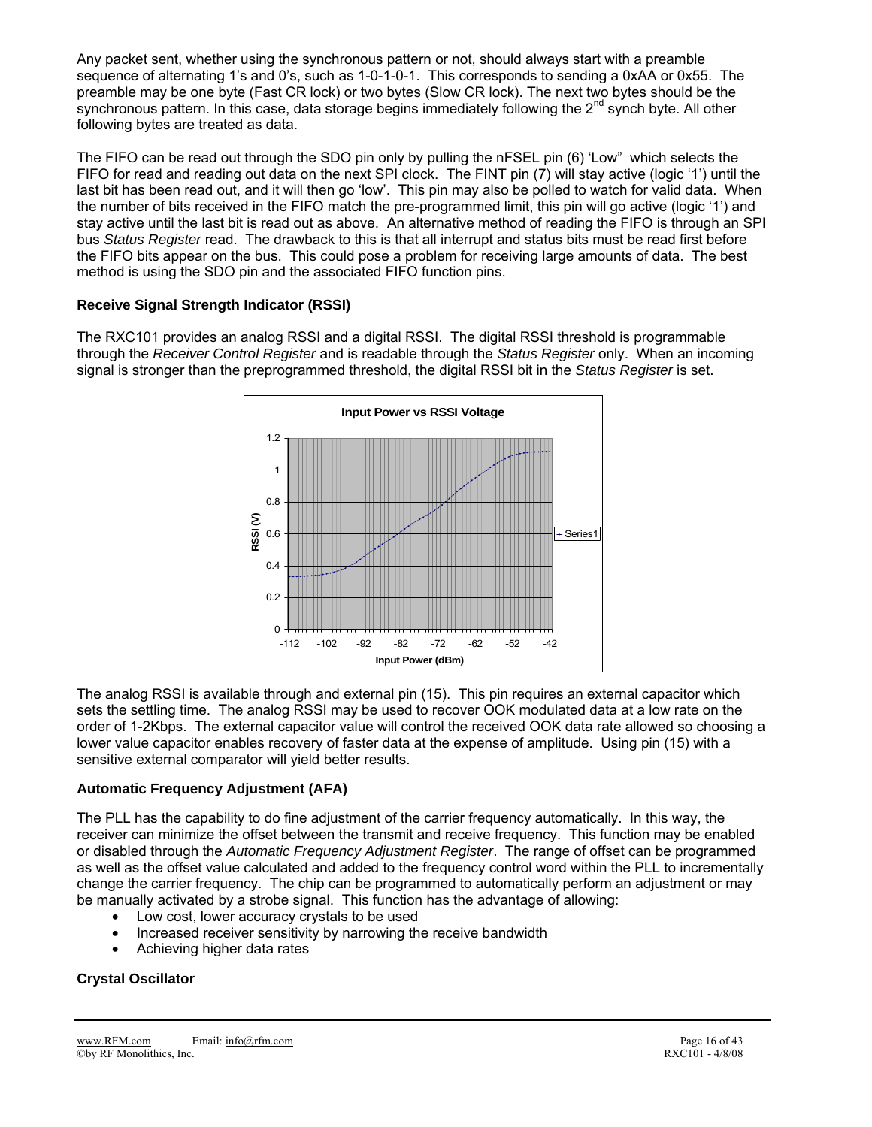Any packet sent, whether using the synchronous pattern or not, should always start with a preamble sequence of alternating 1's and 0's, such as 1-0-1-0-1. This corresponds to sending a 0xAA or 0x55. The preamble may be one byte (Fast CR lock) or two bytes (Slow CR lock). The next two bytes should be the synchronous pattern. In this case, data storage begins immediately following the 2<sup>nd</sup> synch byte. All other following bytes are treated as data.

The FIFO can be read out through the SDO pin only by pulling the nFSEL pin (6) 'Low" which selects the FIFO for read and reading out data on the next SPI clock. The FINT pin (7) will stay active (logic '1') until the last bit has been read out, and it will then go 'low'. This pin may also be polled to watch for valid data. When the number of bits received in the FIFO match the pre-programmed limit, this pin will go active (logic '1') and stay active until the last bit is read out as above. An alternative method of reading the FIFO is through an SPI bus *Status Register* read. The drawback to this is that all interrupt and status bits must be read first before the FIFO bits appear on the bus. This could pose a problem for receiving large amounts of data. The best method is using the SDO pin and the associated FIFO function pins.

### **Receive Signal Strength Indicator (RSSI)**

The RXC101 provides an analog RSSI and a digital RSSI. The digital RSSI threshold is programmable through the *Receiver Control Register* and is readable through the *Status Register* only. When an incoming signal is stronger than the preprogrammed threshold, the digital RSSI bit in the *Status Register* is set.



The analog RSSI is available through and external pin (15). This pin requires an external capacitor which sets the settling time. The analog RSSI may be used to recover OOK modulated data at a low rate on the order of 1-2Kbps. The external capacitor value will control the received OOK data rate allowed so choosing a lower value capacitor enables recovery of faster data at the expense of amplitude. Using pin (15) with a sensitive external comparator will yield better results.

### **Automatic Frequency Adjustment (AFA)**

The PLL has the capability to do fine adjustment of the carrier frequency automatically. In this way, the receiver can minimize the offset between the transmit and receive frequency. This function may be enabled or disabled through the *Automatic Frequency Adjustment Register*. The range of offset can be programmed as well as the offset value calculated and added to the frequency control word within the PLL to incrementally change the carrier frequency. The chip can be programmed to automatically perform an adjustment or may be manually activated by a strobe signal. This function has the advantage of allowing:

- Low cost, lower accuracy crystals to be used
- Increased receiver sensitivity by narrowing the receive bandwidth
- Achieving higher data rates

## **Crystal Oscillator**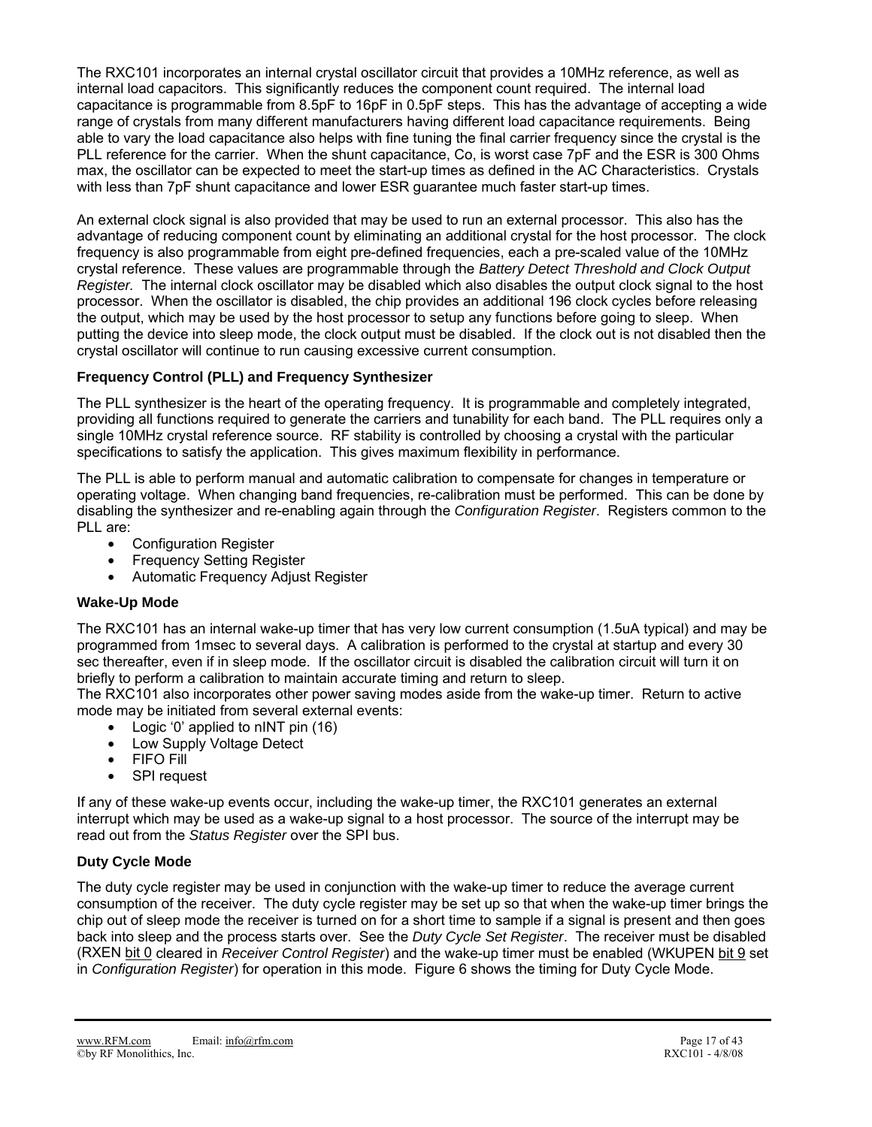The RXC101 incorporates an internal crystal oscillator circuit that provides a 10MHz reference, as well as internal load capacitors. This significantly reduces the component count required. The internal load capacitance is programmable from 8.5pF to 16pF in 0.5pF steps. This has the advantage of accepting a wide range of crystals from many different manufacturers having different load capacitance requirements. Being able to vary the load capacitance also helps with fine tuning the final carrier frequency since the crystal is the PLL reference for the carrier. When the shunt capacitance, Co, is worst case 7pF and the ESR is 300 Ohms max, the oscillator can be expected to meet the start-up times as defined in the AC Characteristics. Crystals with less than 7pF shunt capacitance and lower ESR guarantee much faster start-up times.

An external clock signal is also provided that may be used to run an external processor. This also has the advantage of reducing component count by eliminating an additional crystal for the host processor. The clock frequency is also programmable from eight pre-defined frequencies, each a pre-scaled value of the 10MHz crystal reference. These values are programmable through the *Battery Detect Threshold and Clock Output Register.* The internal clock oscillator may be disabled which also disables the output clock signal to the host processor. When the oscillator is disabled, the chip provides an additional 196 clock cycles before releasing the output, which may be used by the host processor to setup any functions before going to sleep. When putting the device into sleep mode, the clock output must be disabled. If the clock out is not disabled then the crystal oscillator will continue to run causing excessive current consumption.

### **Frequency Control (PLL) and Frequency Synthesizer**

The PLL synthesizer is the heart of the operating frequency. It is programmable and completely integrated, providing all functions required to generate the carriers and tunability for each band. The PLL requires only a single 10MHz crystal reference source. RF stability is controlled by choosing a crystal with the particular specifications to satisfy the application. This gives maximum flexibility in performance.

The PLL is able to perform manual and automatic calibration to compensate for changes in temperature or operating voltage. When changing band frequencies, re-calibration must be performed. This can be done by disabling the synthesizer and re-enabling again through the *Configuration Register*. Registers common to the PLL are:

- Configuration Register
- **Frequency Setting Register**
- Automatic Frequency Adjust Register

### **Wake-Up Mode**

The RXC101 has an internal wake-up timer that has very low current consumption (1.5uA typical) and may be programmed from 1msec to several days. A calibration is performed to the crystal at startup and every 30 sec thereafter, even if in sleep mode. If the oscillator circuit is disabled the calibration circuit will turn it on briefly to perform a calibration to maintain accurate timing and return to sleep.

The RXC101 also incorporates other power saving modes aside from the wake-up timer. Return to active mode may be initiated from several external events:

- Logic '0' applied to nINT pin (16)
- Low Supply Voltage Detect
- FIFO Fill
- SPI request

If any of these wake-up events occur, including the wake-up timer, the RXC101 generates an external interrupt which may be used as a wake-up signal to a host processor. The source of the interrupt may be read out from the *Status Register* over the SPI bus.

### **Duty Cycle Mode**

The duty cycle register may be used in conjunction with the wake-up timer to reduce the average current consumption of the receiver. The duty cycle register may be set up so that when the wake-up timer brings the chip out of sleep mode the receiver is turned on for a short time to sample if a signal is present and then goes back into sleep and the process starts over. See the *Duty Cycle Set Register*. The receiver must be disabled (RXEN bit 0 cleared in *Receiver Control Register*) and the wake-up timer must be enabled (WKUPEN bit 9 set in *Configuration Register*) for operation in this mode. Figure 6 shows the timing for Duty Cycle Mode.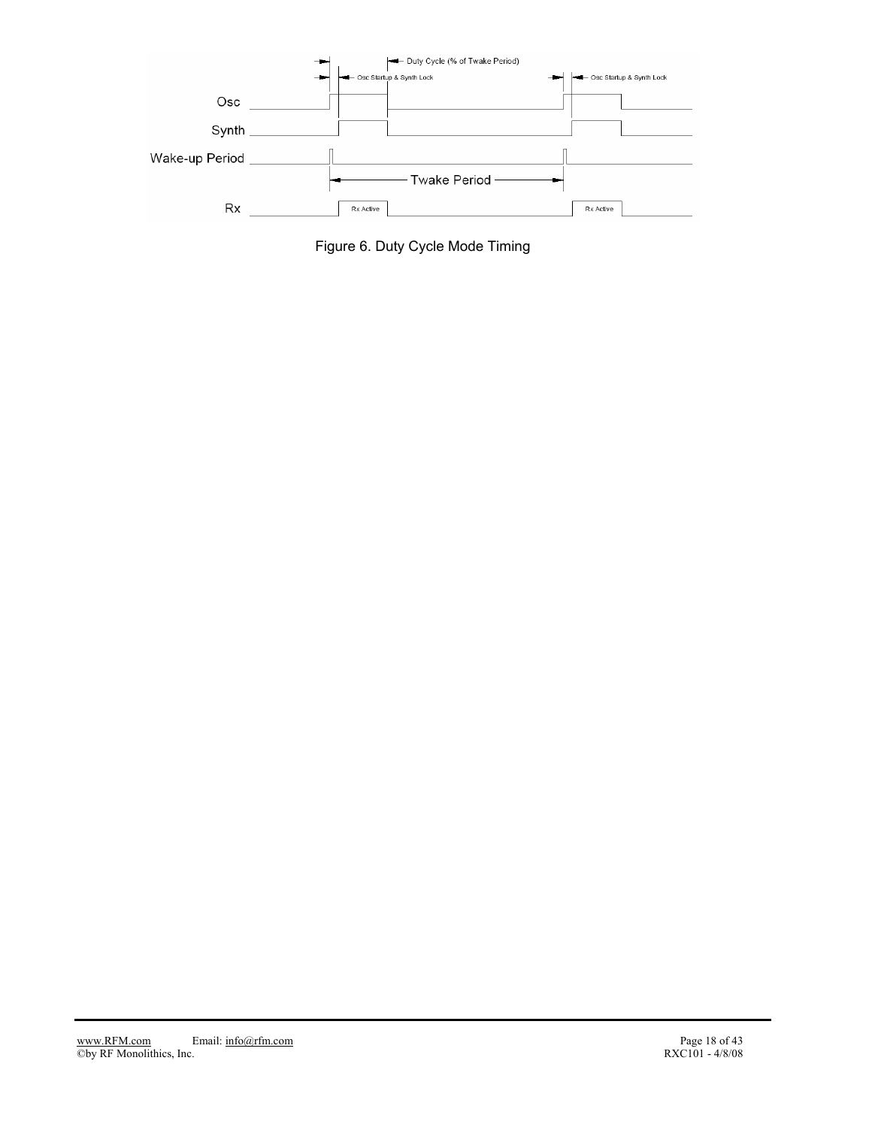

Figure 6. Duty Cycle Mode Timing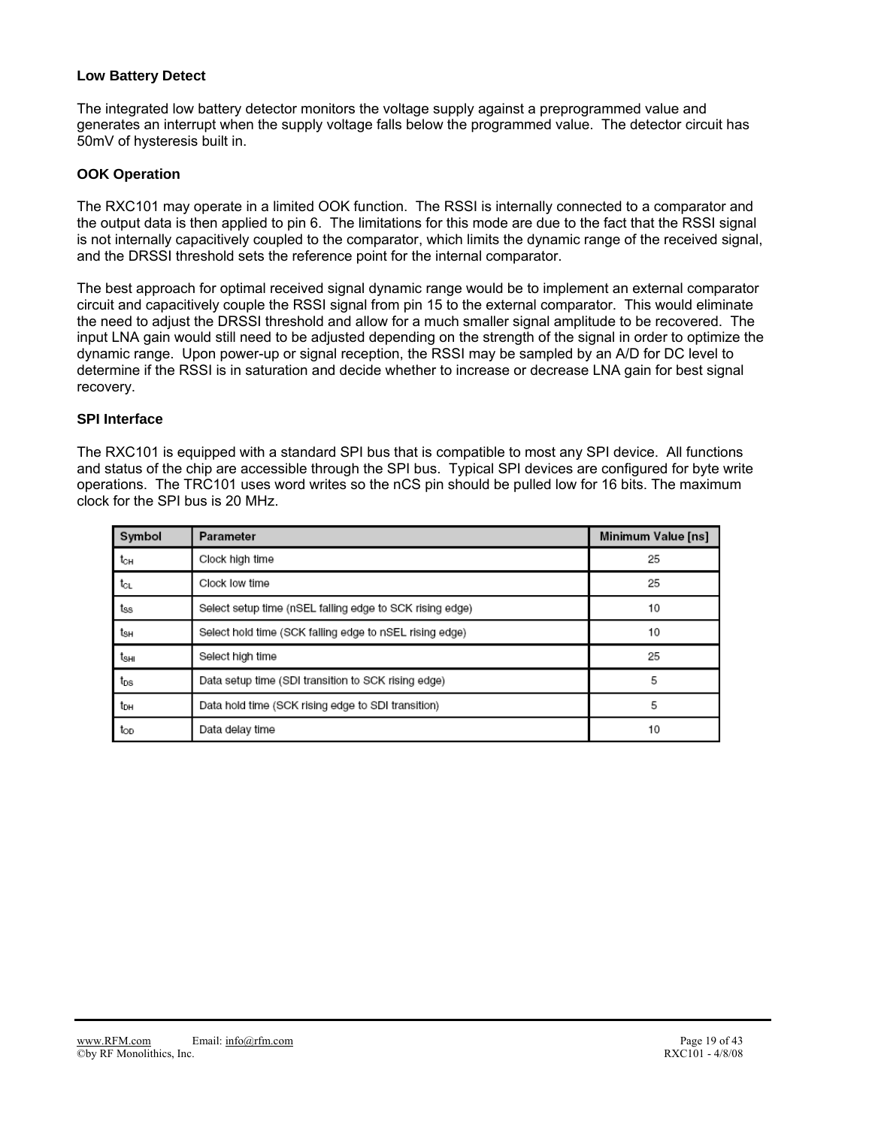### **Low Battery Detect**

The integrated low battery detector monitors the voltage supply against a preprogrammed value and generates an interrupt when the supply voltage falls below the programmed value. The detector circuit has 50mV of hysteresis built in.

### **OOK Operation**

The RXC101 may operate in a limited OOK function. The RSSI is internally connected to a comparator and the output data is then applied to pin 6. The limitations for this mode are due to the fact that the RSSI signal is not internally capacitively coupled to the comparator, which limits the dynamic range of the received signal, and the DRSSI threshold sets the reference point for the internal comparator.

The best approach for optimal received signal dynamic range would be to implement an external comparator circuit and capacitively couple the RSSI signal from pin 15 to the external comparator. This would eliminate the need to adjust the DRSSI threshold and allow for a much smaller signal amplitude to be recovered. The input LNA gain would still need to be adjusted depending on the strength of the signal in order to optimize the dynamic range. Upon power-up or signal reception, the RSSI may be sampled by an A/D for DC level to determine if the RSSI is in saturation and decide whether to increase or decrease LNA gain for best signal recovery.

### **SPI Interface**

The RXC101 is equipped with a standard SPI bus that is compatible to most any SPI device. All functions and status of the chip are accessible through the SPI bus. Typical SPI devices are configured for byte write operations. The TRC101 uses word writes so the nCS pin should be pulled low for 16 bits. The maximum clock for the SPI bus is 20 MHz.

| Symbol          | Parameter                                                | Minimum Value [ns] |
|-----------------|----------------------------------------------------------|--------------------|
| tсн             | Clock high time                                          | 25                 |
| tcL             | Clock low time                                           | 25                 |
| tss             | Select setup time (nSEL falling edge to SCK rising edge) | 10                 |
| tын             | Select hold time (SCK falling edge to nSEL rising edge)  | 10                 |
| tsнı            | Select high time                                         | 25                 |
| t <sub>os</sub> | Data setup time (SDI transition to SCK rising edge)      | 5                  |
| tон             | Data hold time (SCK rising edge to SDI transition)       | 5                  |
| top             | Data delay time                                          | 10                 |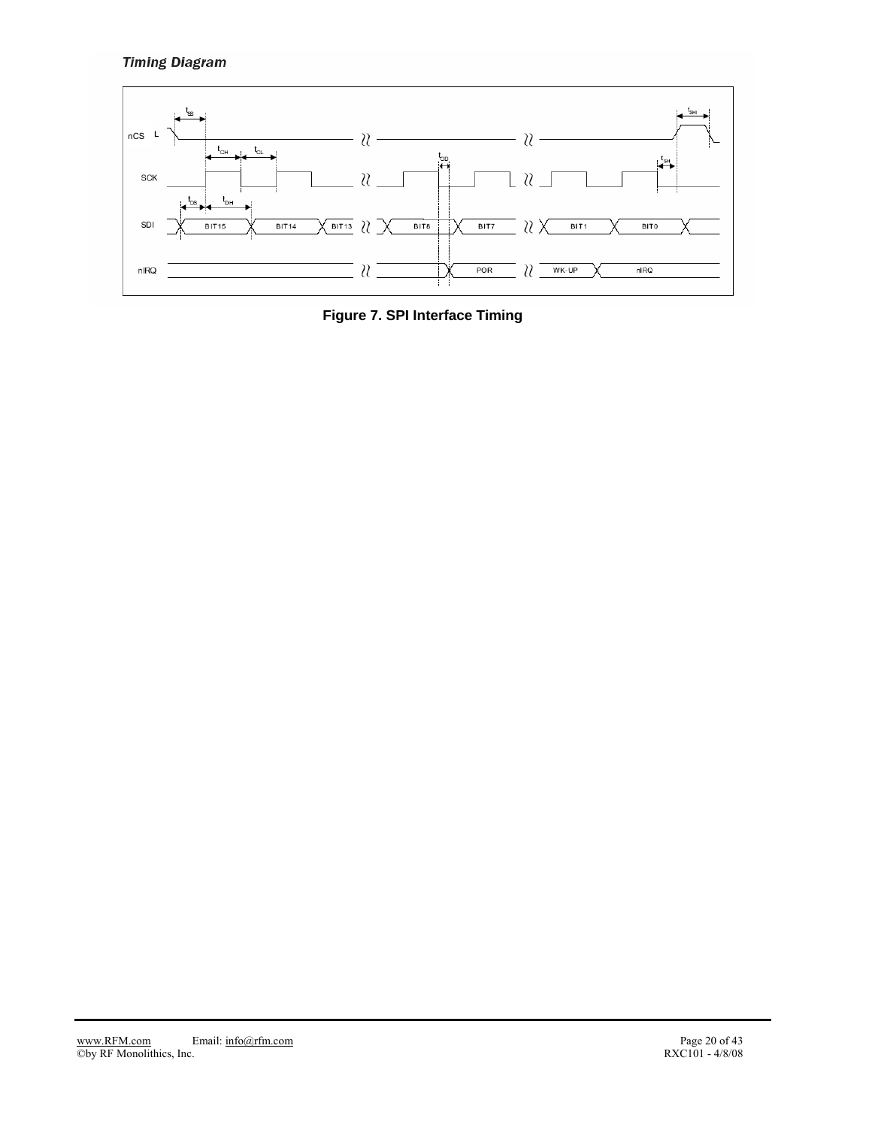## **Timing Diagram**



**Figure 7. SPI Interface Timing**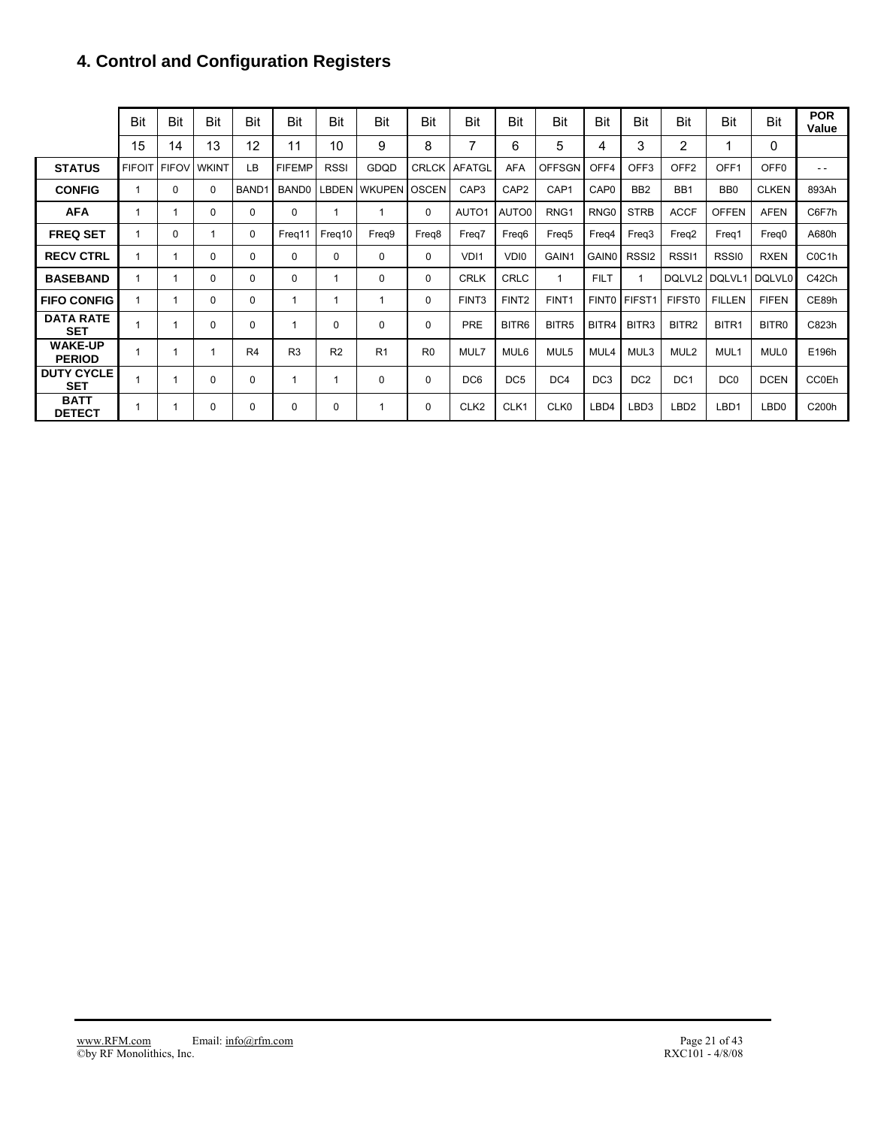## **4. Control and Configuration Registers**

|                                 | Bit           | Bit          | Bit          | Bit               | Bit               | Bit            | Bit           | Bit            | Bit               | Bit               | Bit               | Bit               | Bit               | Bit               | Bit             | Bit               | <b>POR</b><br>Value             |
|---------------------------------|---------------|--------------|--------------|-------------------|-------------------|----------------|---------------|----------------|-------------------|-------------------|-------------------|-------------------|-------------------|-------------------|-----------------|-------------------|---------------------------------|
|                                 | 15            | 14           | 13           | 12                | 11                | 10             | 9             | 8              | $\overline{7}$    | 6                 | 5                 | 4                 | 3                 | 2                 | 1               | 0                 |                                 |
| <b>STATUS</b>                   | <b>FIFOIT</b> | <b>FIFOV</b> | <b>WKINT</b> | LB                | <b>FIFEMP</b>     | <b>RSSI</b>    | GDQD          | <b>CRLCK</b>   | <b>AFATGL</b>     | AFA               | <b>OFFSGN</b>     | OFF4              | OFF <sub>3</sub>  | OFF <sub>2</sub>  | OFF1            | OFF <sub>0</sub>  | $ -$                            |
| <b>CONFIG</b>                   | 1             | 0            | 0            | BAND <sub>1</sub> | BAND <sub>0</sub> | LBDEN          | <b>WKUPEN</b> | <b>OSCEN</b>   | CAP <sub>3</sub>  | CAP <sub>2</sub>  | CAP1              | CAP <sub>0</sub>  | BB <sub>2</sub>   | BB <sub>1</sub>   | BB <sub>0</sub> | <b>CLKEN</b>      | 893Ah                           |
| <b>AFA</b>                      | 1             |              | $\Omega$     | 0                 | 0                 |                | 1             | 0              | AUTO1             | AUTO0             | RNG <sub>1</sub>  | RNG <sub>0</sub>  | <b>STRB</b>       | <b>ACCF</b>       | <b>OFFEN</b>    | <b>AFEN</b>       | C6F7h                           |
| <b>FREQ SET</b>                 | 1             | 0            | 1            | $\Omega$          | Freg11            | Freq10         | Freq9         | Freq8          | Freq7             | Freq6             | Freg <sub>5</sub> | Freq4             | Freq3             | Freq <sub>2</sub> | Freg1           | Freg <sub>0</sub> | A680h                           |
| <b>RECV CTRL</b>                | 1             | 1            | 0            | 0                 | 0                 | 0              | 0             | 0              | VD <sub>11</sub>  | VDI0              | GAIN1             | GAIN0             | RSSI <sub>2</sub> | RSSI1             | RSSI0           | <b>RXEN</b>       | C <sub>0</sub> C <sub>1</sub> h |
| <b>BASEBAND</b>                 | 1             |              | 0            | 0                 | 0                 |                | 0             | 0              | <b>CRLK</b>       | <b>CRLC</b>       | $\overline{1}$    | <b>FILT</b>       |                   | DQLVL2            | DQLVL1          | DQLVL0            | C42Ch                           |
| <b>FIFO CONFIG</b>              | $\mathbf 1$   |              | $\Omega$     | 0                 | 1                 |                |               | 0              | FINT <sub>3</sub> | FINT <sub>2</sub> | FINT <sub>1</sub> | FINT <sub>0</sub> | FIFST1            | <b>FIFST0</b>     | <b>FILLEN</b>   | <b>FIFEN</b>      | CE89h                           |
| <b>DATA RATE</b><br><b>SET</b>  | 1             |              | 0            | 0                 |                   | $\Omega$       | 0             | 0              | PRE               | BITR6             | BITR <sub>5</sub> | BITR4             | BITR3             | BITR2             | BITR1           | BITR0             | C823h                           |
| <b>WAKE-UP</b><br><b>PERIOD</b> | 1             |              | 1            | R <sub>4</sub>    | R <sub>3</sub>    | R <sub>2</sub> | R1            | R <sub>0</sub> | MUL7              | MUL6              | MUL5              | MUL4              | MUL3              | MUL <sub>2</sub>  | MUL1            | <b>MUL0</b>       | E196h                           |
| <b>DUTY CYCLE</b><br><b>SET</b> | 1             |              | 0            | 0                 |                   |                | 0             | 0              | DC <sub>6</sub>   | DC <sub>5</sub>   | DC4               | DC <sub>3</sub>   | DC <sub>2</sub>   | DC <sub>1</sub>   | DC <sub>0</sub> | <b>DCEN</b>       | <b>CC0Eh</b>                    |
| <b>BATT</b><br><b>DETECT</b>    | -1            |              | 0            | 0                 | 0                 | 0              |               | 0              | CLK <sub>2</sub>  | CLK1              | CLK0              | LBD4              | LBD3              | LBD <sub>2</sub>  | LBD1            | LBD <sub>0</sub>  | C200h                           |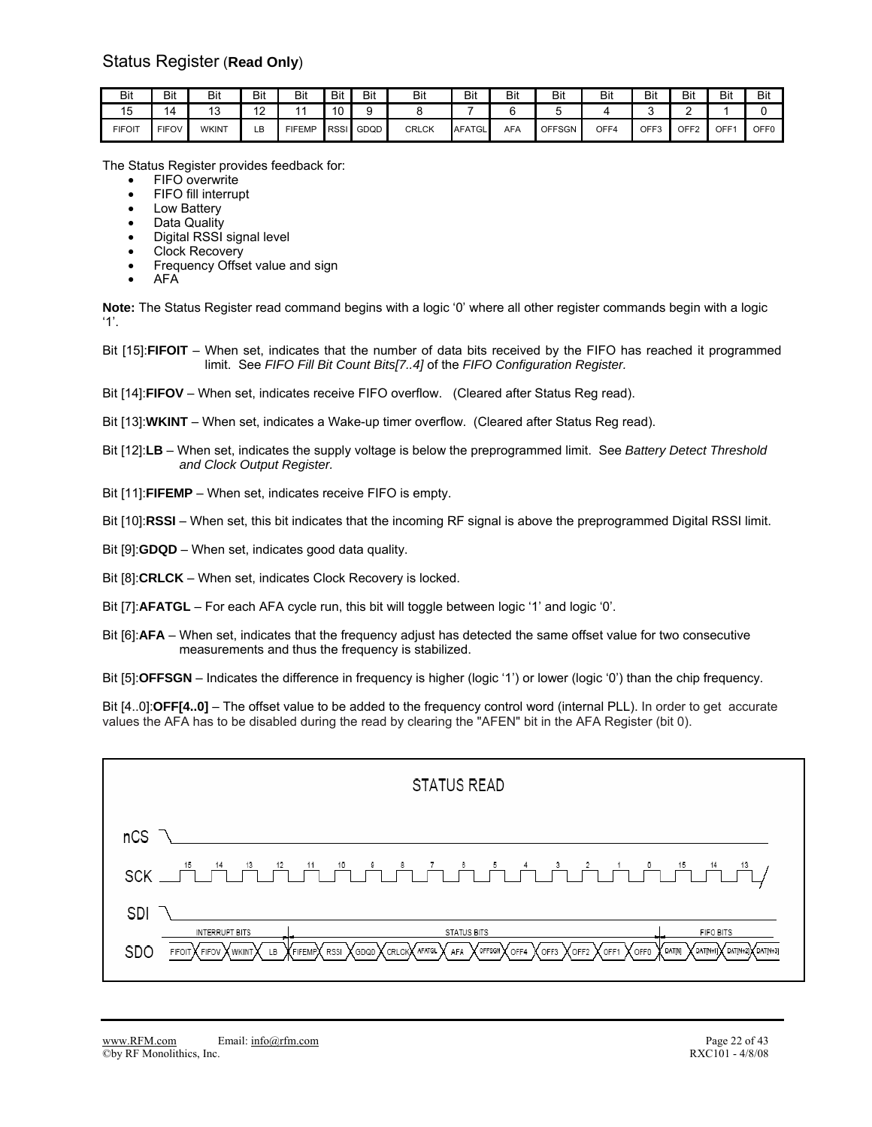| Bit                   | Bit                            | Bit          | Bit           | Bit    | Bit         | Bit  | Bit          | Bit           | Bit        | Bit           | Bit  | Bit  | Bit              | Bit | Bit              |
|-----------------------|--------------------------------|--------------|---------------|--------|-------------|------|--------------|---------------|------------|---------------|------|------|------------------|-----|------------------|
| $\overline{A}$<br>ن ا | $\overline{\phantom{a}}$<br>14 | ∪ו           | $\sim$<br>. . |        | 10          |      |              | -             |            |               |      |      |                  |     |                  |
| <b>FIFOIT</b>         | <b>FIFOV</b>                   | <b>WKINT</b> | LB            | FIFEMP | <b>RSSI</b> | GDQD | <b>CRLCK</b> | <b>AFATGL</b> | <b>AFA</b> | <b>OFFSGN</b> | OFF4 | OFF3 | OFF <sub>2</sub> | OFF | OFF <sub>0</sub> |

The Status Register provides feedback for:

- **FIFO** overwrite
- FIFO fill interrupt
- Low Battery
- Data Quality
- Digital RSSI signal level
- Clock Recovery
- Frequency Offset value and sign
- AFA

**Note:** The Status Register read command begins with a logic '0' where all other register commands begin with a logic '1'.

- Bit [15]:**FIFOIT** When set, indicates that the number of data bits received by the FIFO has reached it programmed limit. See *FIFO Fill Bit Count Bits[7..4]* of the *FIFO Configuration Register.*
- Bit [14]:**FIFOV** When set, indicates receive FIFO overflow. (Cleared after Status Reg read).

Bit [13]:**WKINT** – When set, indicates a Wake-up timer overflow. (Cleared after Status Reg read).

- Bit [12]:**LB** When set, indicates the supply voltage is below the preprogrammed limit. See *Battery Detect Threshold and Clock Output Register.*
- Bit [11]:**FIFEMP** When set, indicates receive FIFO is empty.

Bit [10]:**RSSI** – When set, this bit indicates that the incoming RF signal is above the preprogrammed Digital RSSI limit.

- Bit [9]:**GDQD** When set, indicates good data quality.
- Bit [8]:**CRLCK** When set, indicates Clock Recovery is locked.
- Bit [7]:**AFATGL** For each AFA cycle run, this bit will toggle between logic '1' and logic '0'.
- Bit [6]:**AFA** When set, indicates that the frequency adjust has detected the same offset value for two consecutive measurements and thus the frequency is stabilized.
- Bit [5]:**OFFSGN** Indicates the difference in frequency is higher (logic '1') or lower (logic '0') than the chip frequency.

Bit [4..0]:**OFF[4..0]** – The offset value to be added to the frequency control word (internal PLL). In order to get accurate values the AFA has to be disabled during the read by clearing the "AFEN" bit in the AFA Register (bit 0).

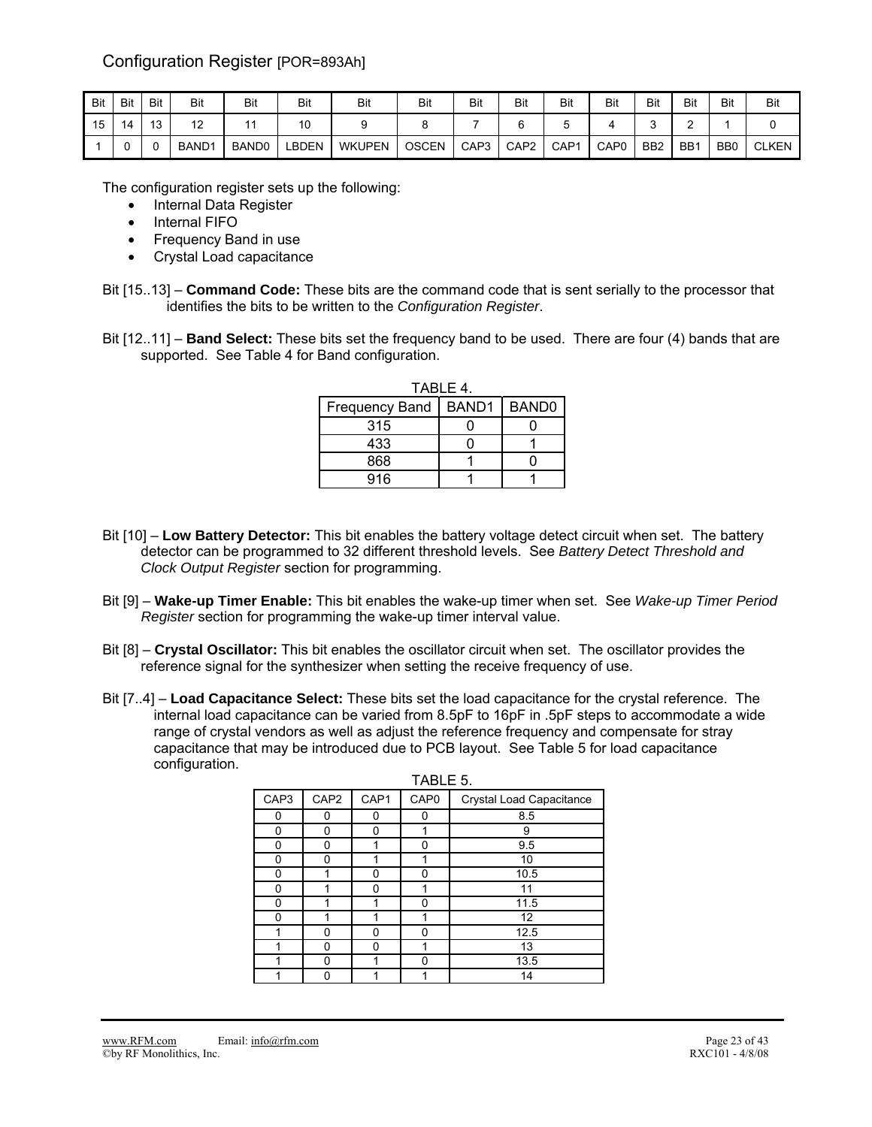## Configuration Register [POR=893Ah]

| Bit | Bit | Bit                  | Bit               | Bit               | Bit   | Bit           | Bit          | Bit              | Bit              | Bit              | Bit              | Bit             | Bit             | Bit             | Bit          |
|-----|-----|----------------------|-------------------|-------------------|-------|---------------|--------------|------------------|------------------|------------------|------------------|-----------------|-----------------|-----------------|--------------|
| 15  | 14  | $\overline{a}$<br>ັບ | $\sqrt{2}$<br>c   |                   | 10    |               |              |                  |                  |                  |                  |                 |                 |                 |              |
|     | ີ   |                      | BAND <sub>1</sub> | BAND <sub>0</sub> | BDEN. | <b>WKUPEN</b> | <b>OSCEN</b> | CAP <sub>3</sub> | CAP <sub>2</sub> | CAP <sub>1</sub> | CAP <sub>0</sub> | B <sub>B2</sub> | BB <sub>1</sub> | B <sub>B0</sub> | <b>CLKEN</b> |

The configuration register sets up the following:

- Internal Data Register
- Internal FIFO
- Frequency Band in use
- Crystal Load capacitance
- Bit [15..13] **Command Code:** These bits are the command code that is sent serially to the processor that identifies the bits to be written to the *Configuration Register*.
- Bit [12..11] **Band Select:** These bits set the frequency band to be used. There are four (4) bands that are supported. See Table 4 for Band configuration.

| TABLE 4.              |                   |                   |  |  |  |  |  |
|-----------------------|-------------------|-------------------|--|--|--|--|--|
| <b>Frequency Band</b> | BAND <sub>1</sub> | BAND <sub>0</sub> |  |  |  |  |  |
| 315                   |                   |                   |  |  |  |  |  |
| 433                   |                   |                   |  |  |  |  |  |
| 868                   |                   |                   |  |  |  |  |  |
| 916                   |                   |                   |  |  |  |  |  |

- Bit [10] **Low Battery Detector:** This bit enables the battery voltage detect circuit when set. The battery detector can be programmed to 32 different threshold levels. See *Battery Detect Threshold and Clock Output Register* section for programming.
- Bit [9] **Wake-up Timer Enable:** This bit enables the wake-up timer when set. See *Wake-up Timer Period Register* section for programming the wake-up timer interval value.
- Bit [8] **Crystal Oscillator:** This bit enables the oscillator circuit when set. The oscillator provides the reference signal for the synthesizer when setting the receive frequency of use.
- Bit [7..4] **Load Capacitance Select:** These bits set the load capacitance for the crystal reference. The internal load capacitance can be varied from 8.5pF to 16pF in .5pF steps to accommodate a wide range of crystal vendors as well as adjust the reference frequency and compensate for stray capacitance that may be introduced due to PCB layout. See Table 5 for load capacitance configuration.

| CAP3 | CAP <sub>2</sub> | CAP1 | CAP <sub>0</sub> | Crystal Load Capacitance |
|------|------------------|------|------------------|--------------------------|
| ŋ    | n                | U    | n                | 8.5                      |
| 0    | ŋ                | O    |                  | 9                        |
| 0    | ი                |      | U                | 9.5                      |
| n    | n                |      |                  | 10                       |
| ŋ    |                  | ŋ    | n                | 10.5                     |
| ŋ    |                  | n    |                  | 11                       |
| 0    |                  |      | n                | 11.5                     |
| n    |                  |      |                  | 12                       |
|      | n                | n    | n                | 12.5                     |
|      | n                | n    |                  | 13                       |
|      | ŋ                |      | n                | 13.5                     |
|      | n                |      |                  | 14                       |

### TABLE 5.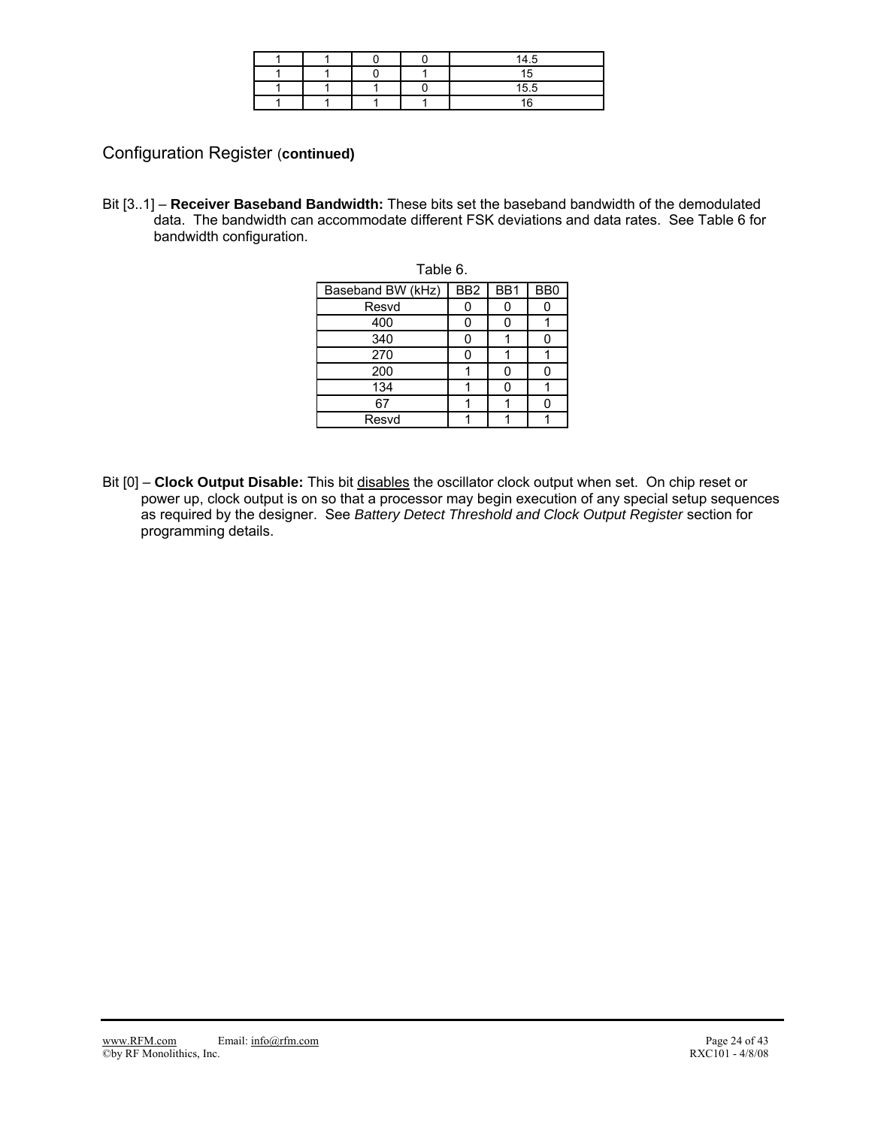|  |  | 14.5 |
|--|--|------|
|  |  |      |
|  |  | 15.5 |
|  |  |      |

Configuration Register (**continued)** 

Bit [3..1] – **Receiver Baseband Bandwidth:** These bits set the baseband bandwidth of the demodulated data. The bandwidth can accommodate different FSK deviations and data rates. See Table 6 for bandwidth configuration.

| Table 6.          |                 |     |                |  |  |  |  |  |
|-------------------|-----------------|-----|----------------|--|--|--|--|--|
| Baseband BW (kHz) | BB <sub>2</sub> | BB1 | B <sub>B</sub> |  |  |  |  |  |
| Resvd             |                 |     |                |  |  |  |  |  |
| 400               |                 | ი   |                |  |  |  |  |  |
| 340               | U               |     | 0              |  |  |  |  |  |
| 270               |                 |     |                |  |  |  |  |  |
| 200               |                 | U   | Ω              |  |  |  |  |  |
| 134               |                 | U   |                |  |  |  |  |  |
| 67                |                 |     |                |  |  |  |  |  |
| Resvd             |                 |     |                |  |  |  |  |  |

Bit [0] – **Clock Output Disable:** This bit disables the oscillator clock output when set. On chip reset or power up, clock output is on so that a processor may begin execution of any special setup sequences as required by the designer. See *Battery Detect Threshold and Clock Output Register* section for programming details.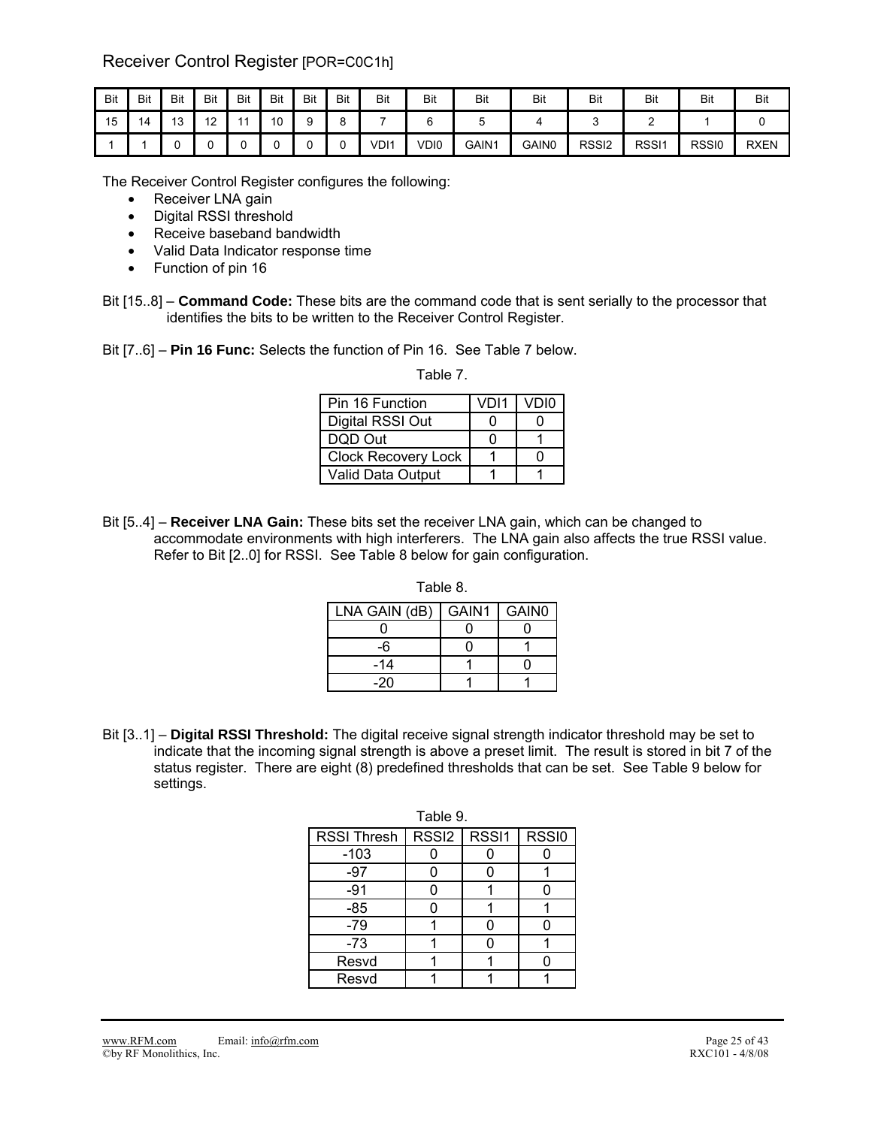## Receiver Control Register [POR=C0C1h]

| Bit | Bit | Bit                    | Bit | Bit | Bit | Bit | Bit    | Bit              | Bit  | Bit   | Bit   | <b>Bit</b>        | Bit   | <b>Bit</b> | Bit         |
|-----|-----|------------------------|-----|-----|-----|-----|--------|------------------|------|-------|-------|-------------------|-------|------------|-------------|
| 15  | 14  | $\overline{10}$<br>ر ا | 12  |     | 10  |     | Ω<br>c |                  |      |       |       |                   |       |            |             |
|     |     |                        | u   |     |     |     |        | VDI <sup>4</sup> | VDI0 | GAIN1 | GAIN0 | RSSI <sub>2</sub> | RSSI1 | RSSI0      | <b>RXEN</b> |

The Receiver Control Register configures the following:

- Receiver LNA gain
- Digital RSSI threshold
- Receive baseband bandwidth
- Valid Data Indicator response time
- Function of pin 16
- Bit [15..8] **Command Code:** These bits are the command code that is sent serially to the processor that identifies the bits to be written to the Receiver Control Register.

Bit [7..6] – **Pin 16 Func:** Selects the function of Pin 16. See Table 7 below.

Table 7.

| Pin 16 Function     | VDI1 | VDI0 |
|---------------------|------|------|
| Digital RSSI Out    |      |      |
| DOD Out             |      |      |
| Clock Recovery Lock |      |      |
| Valid Data Output   |      |      |

Bit [5..4] – **Receiver LNA Gain:** These bits set the receiver LNA gain, which can be changed to accommodate environments with high interferers. The LNA gain also affects the true RSSI value. Refer to Bit [2..0] for RSSI. See Table 8 below for gain configuration.

Table 8.

| LNA GAIN (dB) | GAIN1 | GAIN <sub>0</sub> |
|---------------|-------|-------------------|
|               |       |                   |
| -6            |       |                   |
| -14           |       |                   |
| -20           |       |                   |

Bit [3..1] – **Digital RSSI Threshold:** The digital receive signal strength indicator threshold may be set to indicate that the incoming signal strength is above a preset limit. The result is stored in bit 7 of the status register. There are eight (8) predefined thresholds that can be set. See Table 9 below for settings.

| RSSI Thresh | RSSI2   RSSI1 | RSSI0 |
|-------------|---------------|-------|
| $-103$      |               |       |
| -97         |               |       |
| $-91$       |               |       |
| -85         |               |       |
| $-79$       |               |       |
| $-73$       |               |       |
| Resvd       |               |       |
| Resvd       |               |       |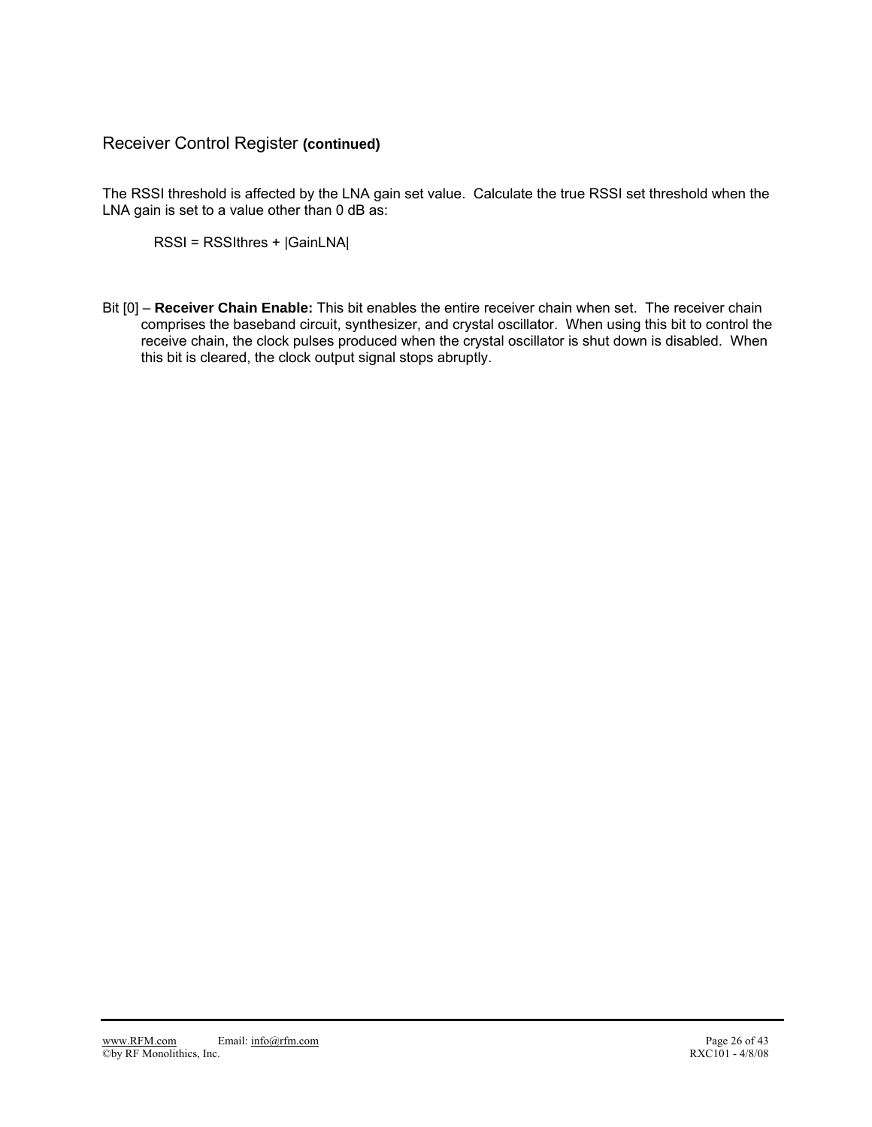## Receiver Control Register **(continued)**

The RSSI threshold is affected by the LNA gain set value. Calculate the true RSSI set threshold when the LNA gain is set to a value other than 0 dB as:

RSSI = RSSIthres + |GainLNA|

Bit [0] – **Receiver Chain Enable:** This bit enables the entire receiver chain when set. The receiver chain comprises the baseband circuit, synthesizer, and crystal oscillator. When using this bit to control the receive chain, the clock pulses produced when the crystal oscillator is shut down is disabled. When this bit is cleared, the clock output signal stops abruptly.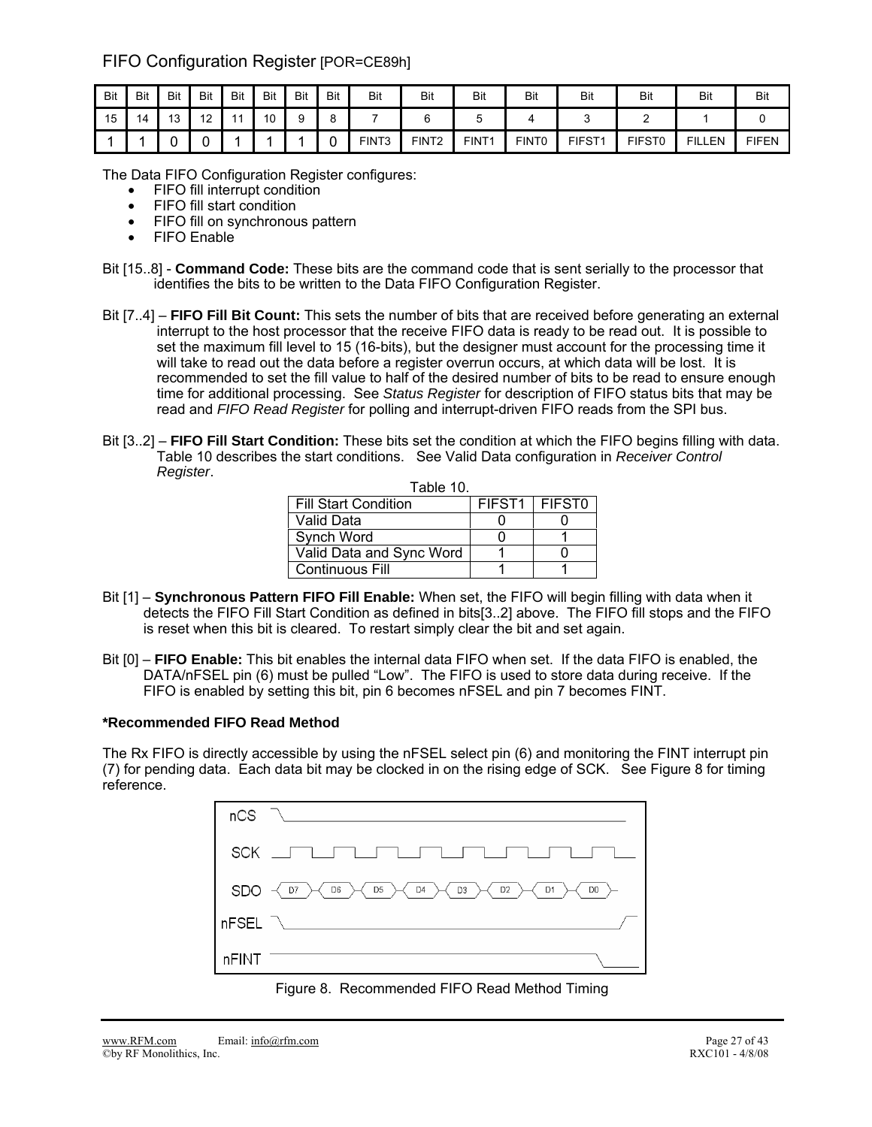## FIFO Configuration Register [POR=CE89h]

| Bit | Bit | Bit       | Bit     | Bit | Bit                  | Bit | Bit | Bit               | Bit               | Bit               | Bit               | Bit    | Bit           | Bit           | Bit          |
|-----|-----|-----------|---------|-----|----------------------|-----|-----|-------------------|-------------------|-------------------|-------------------|--------|---------------|---------------|--------------|
| 15  | 14  | 12<br>ں ا | 12<br>- |     | $\overline{A}$<br>ັບ |     |     |                   |                   |                   |                   |        |               |               |              |
|     |     | ,<br>ີ    |         |     |                      |     |     | FINT <sub>3</sub> | FINT <sub>2</sub> | FINT <sub>1</sub> | FINT <sub>0</sub> | FIFST1 | <b>FIFST0</b> | <b>FILLEN</b> | <b>FIFEN</b> |

The Data FIFO Configuration Register configures:

- FIFO fill interrupt condition
- FIFO fill start condition
- FIFO fill on synchronous pattern
- **FIFO** Enable
- Bit [15..8] **Command Code:** These bits are the command code that is sent serially to the processor that identifies the bits to be written to the Data FIFO Configuration Register.
- Bit [7..4] **FIFO Fill Bit Count:** This sets the number of bits that are received before generating an external interrupt to the host processor that the receive FIFO data is ready to be read out. It is possible to set the maximum fill level to 15 (16-bits), but the designer must account for the processing time it will take to read out the data before a register overrun occurs, at which data will be lost. It is recommended to set the fill value to half of the desired number of bits to be read to ensure enough time for additional processing. See *Status Register* for description of FIFO status bits that may be read and *FIFO Read Register* for polling and interrupt-driven FIFO reads from the SPI bus.
- Bit [3..2] **FIFO Fill Start Condition:** These bits set the condition at which the FIFO begins filling with data. Table 10 describes the start conditions. See Valid Data configuration in *Receiver Control Register*.

| Table 10.                   |                    |                    |  |  |  |  |
|-----------------------------|--------------------|--------------------|--|--|--|--|
| <b>Fill Start Condition</b> | FIFST <sub>1</sub> | FIFST <sub>0</sub> |  |  |  |  |
| Valid Data                  |                    |                    |  |  |  |  |
| Synch Word                  |                    |                    |  |  |  |  |
| Valid Data and Sync Word    |                    |                    |  |  |  |  |
| <b>Continuous Fill</b>      |                    |                    |  |  |  |  |

- Bit [1] **Synchronous Pattern FIFO Fill Enable:** When set, the FIFO will begin filling with data when it detects the FIFO Fill Start Condition as defined in bits[3..2] above. The FIFO fill stops and the FIFO is reset when this bit is cleared. To restart simply clear the bit and set again.
- Bit [0] **FIFO Enable:** This bit enables the internal data FIFO when set. If the data FIFO is enabled, the DATA/nFSEL pin (6) must be pulled "Low". The FIFO is used to store data during receive. If the FIFO is enabled by setting this bit, pin 6 becomes nFSEL and pin 7 becomes FINT.

### **\*Recommended FIFO Read Method**

The Rx FIFO is directly accessible by using the nFSEL select pin (6) and monitoring the FINT interrupt pin (7) for pending data. Each data bit may be clocked in on the rising edge of SCK. See Figure 8 for timing reference.

|       | $nCS$ $\sqrt{2n}$                                                                                   |
|-------|-----------------------------------------------------------------------------------------------------|
|       | SCK ______________________________                                                                  |
|       | SDO $\prec$ D7 $\succ$ O6 $\succ$ D5 $\succ$ D4 $\succ$ D3 $\succ$ D2 $\succ$ D1 $\succ$ D0 $\succ$ |
|       | nFSEL $\bigwedge$                                                                                   |
| nFINT |                                                                                                     |

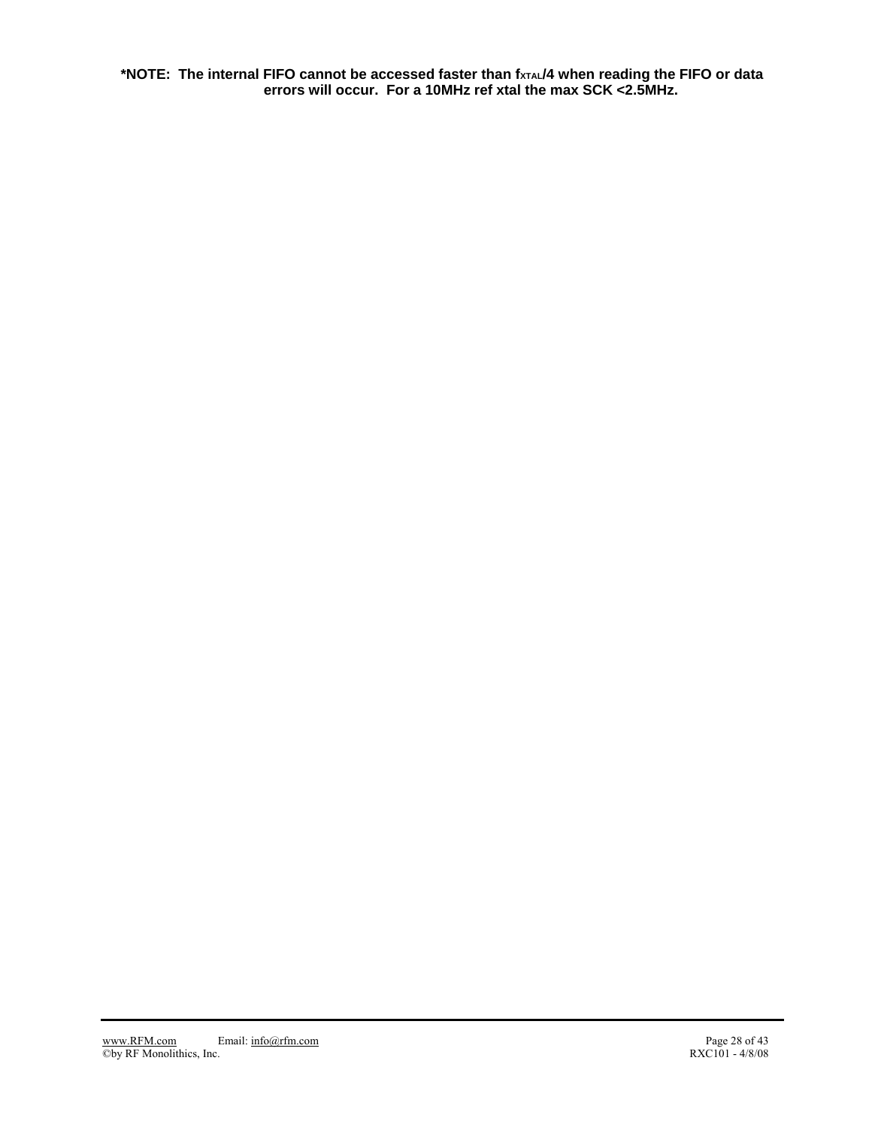**\*NOTE: The internal FIFO cannot be accessed faster than fxTAL/4 when reading the FIFO or data errors will occur. For a 10MHz ref xtal the max SCK <2.5MHz.**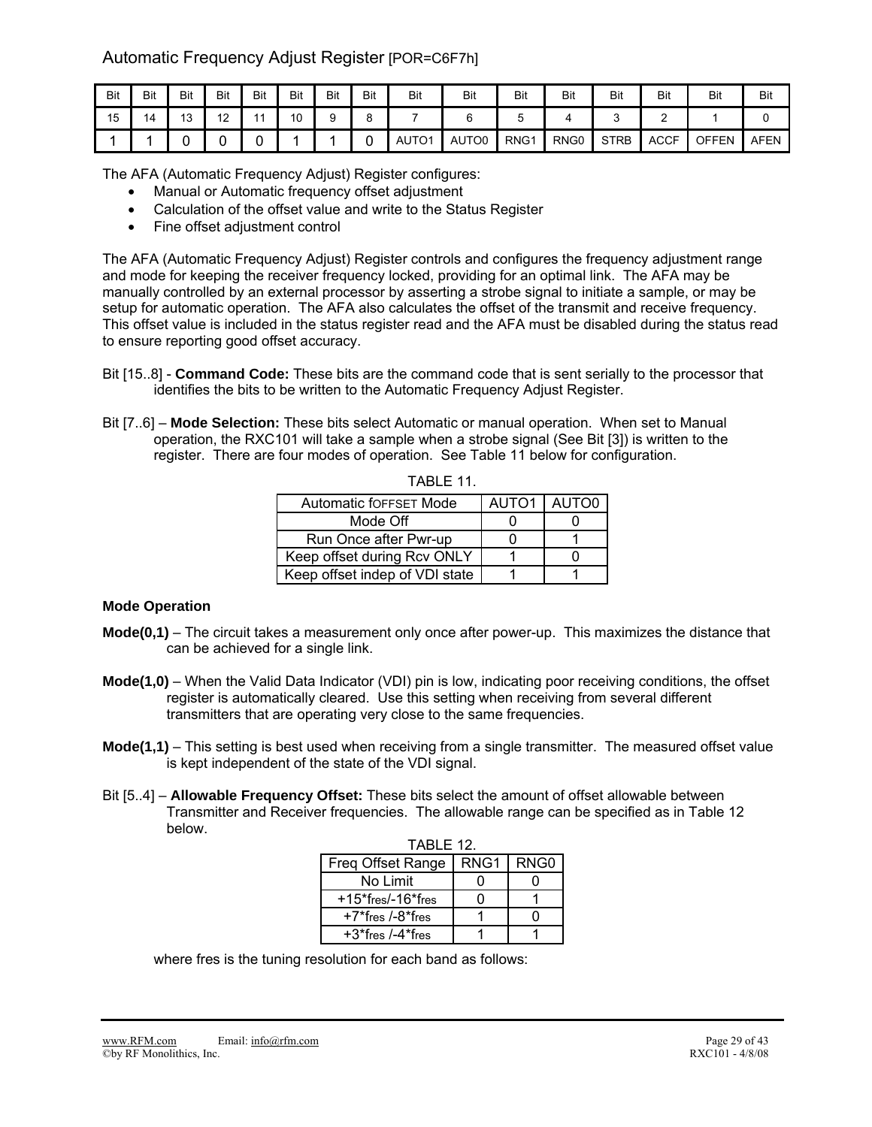## Automatic Frequency Adjust Register [POR=C6F7h]

| Bit | Bit | Bit       | Bit            | Bit | Bit | Bit | Bit | Bit         | Bit   | Bit  | Bit              | Bit         | Bit         | Bit          | Bit         |
|-----|-----|-----------|----------------|-----|-----|-----|-----|-------------|-------|------|------------------|-------------|-------------|--------------|-------------|
| 15  | 14  | 12<br>ر ا | 12<br><u>.</u> |     | 10  |     |     |             |       |      |                  | ັ           |             |              |             |
|     |     |           |                |     |     |     |     | <b>AUTO</b> | AUTO0 | RNG1 | RNG <sub>0</sub> | <b>STRB</b> | <b>ACCF</b> | <b>OFFEN</b> | <b>AFEN</b> |

The AFA (Automatic Frequency Adjust) Register configures:

- Manual or Automatic frequency offset adjustment
- Calculation of the offset value and write to the Status Register
- Fine offset adjustment control

The AFA (Automatic Frequency Adjust) Register controls and configures the frequency adjustment range and mode for keeping the receiver frequency locked, providing for an optimal link. The AFA may be manually controlled by an external processor by asserting a strobe signal to initiate a sample, or may be setup for automatic operation. The AFA also calculates the offset of the transmit and receive frequency. This offset value is included in the status register read and the AFA must be disabled during the status read to ensure reporting good offset accuracy.

- Bit [15..8] **Command Code:** These bits are the command code that is sent serially to the processor that identifies the bits to be written to the Automatic Frequency Adjust Register.
- Bit [7..6] **Mode Selection:** These bits select Automatic or manual operation. When set to Manual operation, the RXC101 will take a sample when a strobe signal (See Bit [3]) is written to the register. There are four modes of operation. See Table 11 below for configuration.

| Automatic fOFFSET Mode         | AUTO1 | AUTO <sub>0</sub> |
|--------------------------------|-------|-------------------|
| Mode Off                       |       |                   |
| Run Once after Pwr-up          |       |                   |
| Keep offset during Rcv ONLY    |       |                   |
| Keep offset indep of VDI state |       |                   |

TABLE 11.

### **Mode Operation**

- **Mode(0,1)** The circuit takes a measurement only once after power-up. This maximizes the distance that can be achieved for a single link.
- **Mode(1,0)** When the Valid Data Indicator (VDI) pin is low, indicating poor receiving conditions, the offset register is automatically cleared. Use this setting when receiving from several different transmitters that are operating very close to the same frequencies.
- **Mode(1,1)** This setting is best used when receiving from a single transmitter. The measured offset value is kept independent of the state of the VDI signal.
- Bit [5..4] **Allowable Frequency Offset:** These bits select the amount of offset allowable between Transmitter and Receiver frequencies. The allowable range can be specified as in Table 12 below.

| TABLE 12.               |             |  |  |  |  |  |  |  |  |  |  |
|-------------------------|-------------|--|--|--|--|--|--|--|--|--|--|
| Freq Offset Range       | RNG1   RNG0 |  |  |  |  |  |  |  |  |  |  |
| No Limit                |             |  |  |  |  |  |  |  |  |  |  |
| $+15$ *fres/-16*fres    |             |  |  |  |  |  |  |  |  |  |  |
| $+7$ *fres /- $8$ *fres |             |  |  |  |  |  |  |  |  |  |  |
| $+3$ *fres /-4*fres     |             |  |  |  |  |  |  |  |  |  |  |

where fres is the tuning resolution for each band as follows: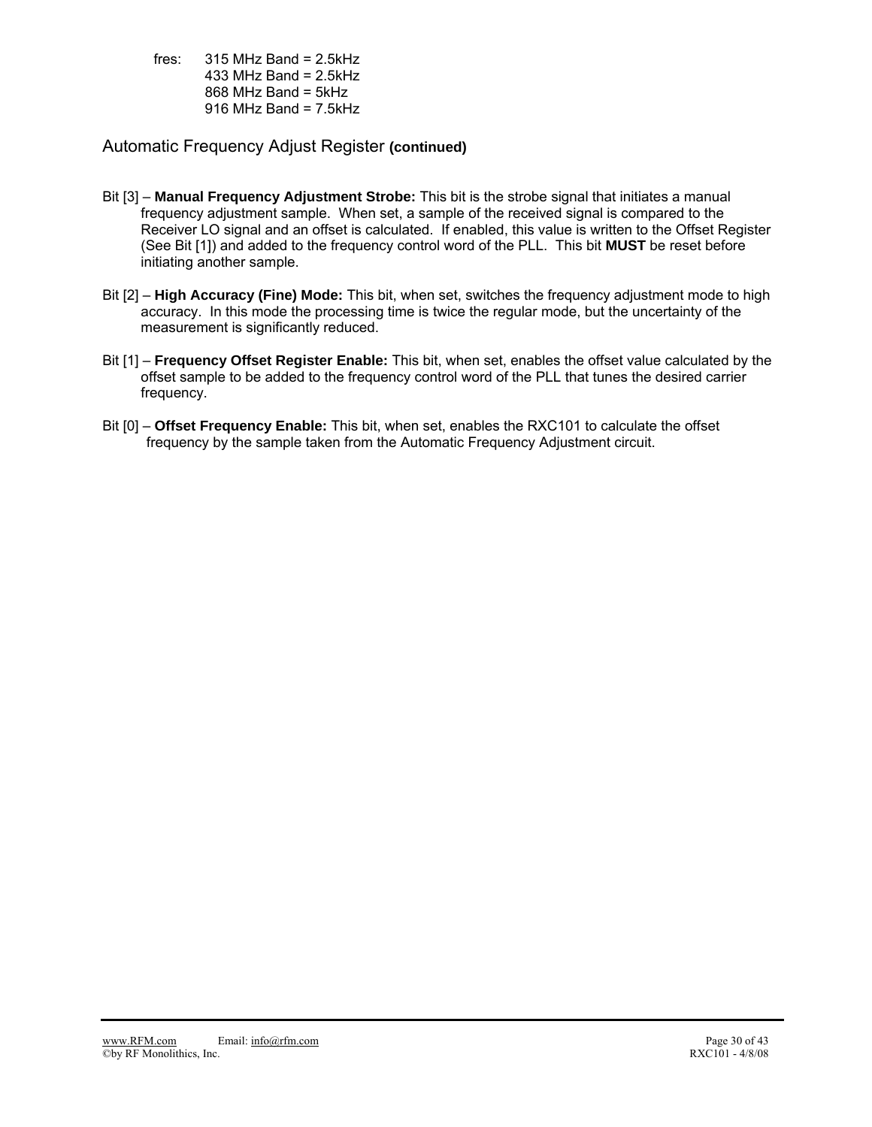fres:  $315 \text{ MHz}$  Band = 2.5kHz 433 MHz Band =  $2.5$ kHz 868 MHz Band = 5kHz 916 MHz Band =  $7.5$ kHz

### Automatic Frequency Adjust Register **(continued)**

- Bit [3] **Manual Frequency Adjustment Strobe:** This bit is the strobe signal that initiates a manual frequency adjustment sample. When set, a sample of the received signal is compared to the Receiver LO signal and an offset is calculated. If enabled, this value is written to the Offset Register (See Bit [1]) and added to the frequency control word of the PLL. This bit **MUST** be reset before initiating another sample.
- Bit [2] **High Accuracy (Fine) Mode:** This bit, when set, switches the frequency adjustment mode to high accuracy. In this mode the processing time is twice the regular mode, but the uncertainty of the measurement is significantly reduced.
- Bit [1] **Frequency Offset Register Enable:** This bit, when set, enables the offset value calculated by the offset sample to be added to the frequency control word of the PLL that tunes the desired carrier frequency.
- Bit [0] **Offset Frequency Enable:** This bit, when set, enables the RXC101 to calculate the offset frequency by the sample taken from the Automatic Frequency Adjustment circuit.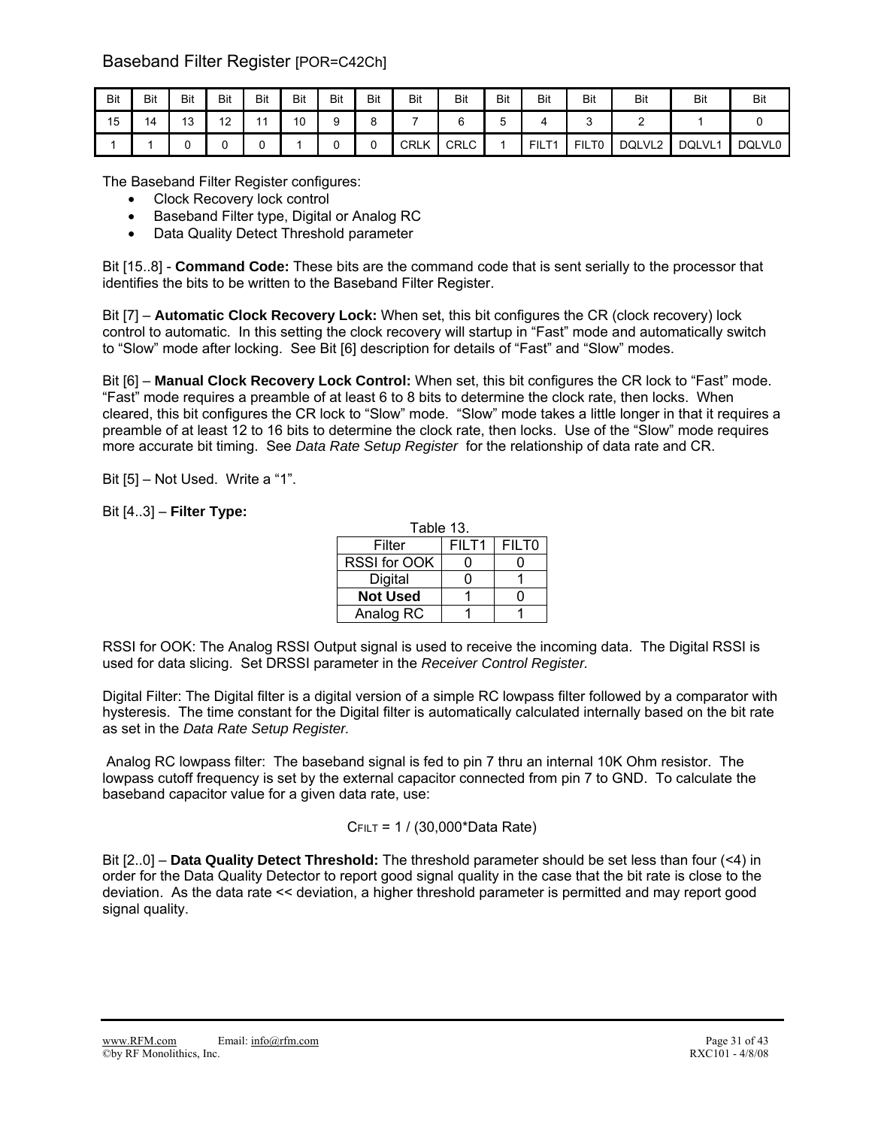## Baseband Filter Register [POR=C42Ch]

| Bit | Bit | <b>Bit</b> | Bit                  | Bit | Bit | Bit | Bit | Bit         | <b>Bit</b>  | Bit | <b>Bit</b>                         | Bit                    | <b>Bit</b> | Bit    | Bit           |
|-----|-----|------------|----------------------|-----|-----|-----|-----|-------------|-------------|-----|------------------------------------|------------------------|------------|--------|---------------|
| 15  | 14  | 12<br>J    | $\overline{10}$<br>- | 44  | 10  |     |     |             |             | ັ   |                                    | ັ                      | -          |        |               |
|     |     |            |                      |     |     |     |     | <b>CRLK</b> | <b>CRLC</b> |     | FIL <sub>L</sub><br>T <sub>1</sub> | FIL.<br>T <sub>0</sub> | DQLVL2     | DQLVL1 | <b>DQLVL0</b> |

The Baseband Filter Register configures:

- Clock Recovery lock control
- Baseband Filter type, Digital or Analog RC
- Data Quality Detect Threshold parameter

Bit [15..8] - **Command Code:** These bits are the command code that is sent serially to the processor that identifies the bits to be written to the Baseband Filter Register.

Bit [7] – **Automatic Clock Recovery Lock:** When set, this bit configures the CR (clock recovery) lock control to automatic. In this setting the clock recovery will startup in "Fast" mode and automatically switch to "Slow" mode after locking. See Bit [6] description for details of "Fast" and "Slow" modes.

Bit [6] – **Manual Clock Recovery Lock Control:** When set, this bit configures the CR lock to "Fast" mode. "Fast" mode requires a preamble of at least 6 to 8 bits to determine the clock rate, then locks. When cleared, this bit configures the CR lock to "Slow" mode. "Slow" mode takes a little longer in that it requires a preamble of at least 12 to 16 bits to determine the clock rate, then locks. Use of the "Slow" mode requires more accurate bit timing. See *Data Rate Setup Register* for the relationship of data rate and CR.

Bit [5] – Not Used. Write a "1".

### Bit [4..3] – **Filter Type:**

| Table 13.       |       |                   |  |  |  |  |  |  |  |  |  |
|-----------------|-------|-------------------|--|--|--|--|--|--|--|--|--|
| Filter          | FILT1 | FILT <sub>0</sub> |  |  |  |  |  |  |  |  |  |
| RSSI for OOK    |       |                   |  |  |  |  |  |  |  |  |  |
| Digital         | n     |                   |  |  |  |  |  |  |  |  |  |
| <b>Not Used</b> |       |                   |  |  |  |  |  |  |  |  |  |
| Analog RC       |       |                   |  |  |  |  |  |  |  |  |  |

RSSI for OOK: The Analog RSSI Output signal is used to receive the incoming data. The Digital RSSI is used for data slicing. Set DRSSI parameter in the *Receiver Control Register.* 

Digital Filter: The Digital filter is a digital version of a simple RC lowpass filter followed by a comparator with hysteresis. The time constant for the Digital filter is automatically calculated internally based on the bit rate as set in the *Data Rate Setup Register.*

Analog RC lowpass filter: The baseband signal is fed to pin 7 thru an internal 10K Ohm resistor. The lowpass cutoff frequency is set by the external capacitor connected from pin 7 to GND. To calculate the baseband capacitor value for a given data rate, use:

### CFILT = 1 / (30,000\*Data Rate)

Bit [2..0] – **Data Quality Detect Threshold:** The threshold parameter should be set less than four (<4) in order for the Data Quality Detector to report good signal quality in the case that the bit rate is close to the deviation. As the data rate << deviation, a higher threshold parameter is permitted and may report good signal quality.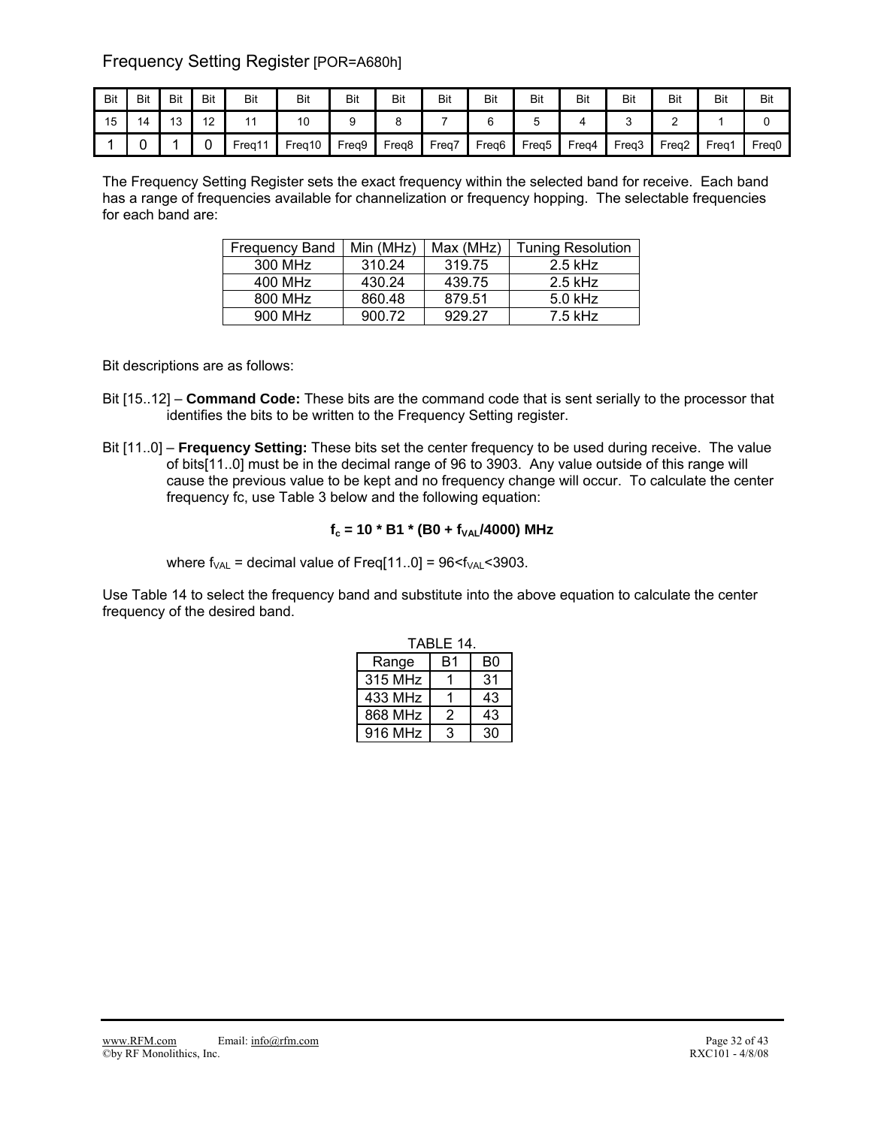Frequency Setting Register [POR=A680h]

| Bit | Bit | Bit                   | <b>Bit</b> | Bit    | Bit    | Bit   | Bit   | <b>Bit</b>        | <b>Bit</b>        | <b>Bit</b> | Bit   | Bit   | Bit   | Bit               | Bit   |
|-----|-----|-----------------------|------------|--------|--------|-------|-------|-------------------|-------------------|------------|-------|-------|-------|-------------------|-------|
| 15  |     | $\overline{A}$<br>د ا | 10<br>' 4  |        | 10     |       |       |                   |                   |            |       |       |       |                   |       |
|     |     |                       |            | Freg11 | Freg10 | Freg9 | Freq8 | Freq <sub>i</sub> | Freg <sub>6</sub> | Freq5      | Freq4 | Freq3 | Freq2 | Frea <sup>-</sup> | Freg0 |

The Frequency Setting Register sets the exact frequency within the selected band for receive. Each band has a range of frequencies available for channelization or frequency hopping. The selectable frequencies for each band are:

| <b>Frequency Band</b> | Min (MHz) | Max (MHz) | <b>Tuning Resolution</b> |
|-----------------------|-----------|-----------|--------------------------|
| 300 MHz               | 310.24    | 319.75    | $2.5$ kHz                |
| 400 MHz               | 430.24    | 439.75    | $2.5$ kHz                |
| 800 MHz               | 860.48    | 879.51    | 5.0 kHz                  |
| 900 MHz               | 900.72    | 929.27    | 7.5 kHz                  |

Bit descriptions are as follows:

- Bit [15..12] **Command Code:** These bits are the command code that is sent serially to the processor that identifies the bits to be written to the Frequency Setting register.
- Bit [11..0] **Frequency Setting:** These bits set the center frequency to be used during receive. The value of bits[11..0] must be in the decimal range of 96 to 3903. Any value outside of this range will cause the previous value to be kept and no frequency change will occur. To calculate the center frequency fc, use Table 3 below and the following equation:

### $f_c = 10 * B1 * (B0 + f<sub>VAL</sub>/4000) MHz$

where  $f_{VAL}$  = decimal value of Freq[11..0] = 96 $\lt f_{VAL}$  < 3903.

Use Table 14 to select the frequency band and substitute into the above equation to calculate the center frequency of the desired band.

|         | TABLE 14. |    |
|---------|-----------|----|
| Range   | B1        | B0 |
| 315 MHz |           | 31 |
| 433 MHz |           | 43 |
| 868 MHz | 2         | 43 |
| 916 MHz | З         | 30 |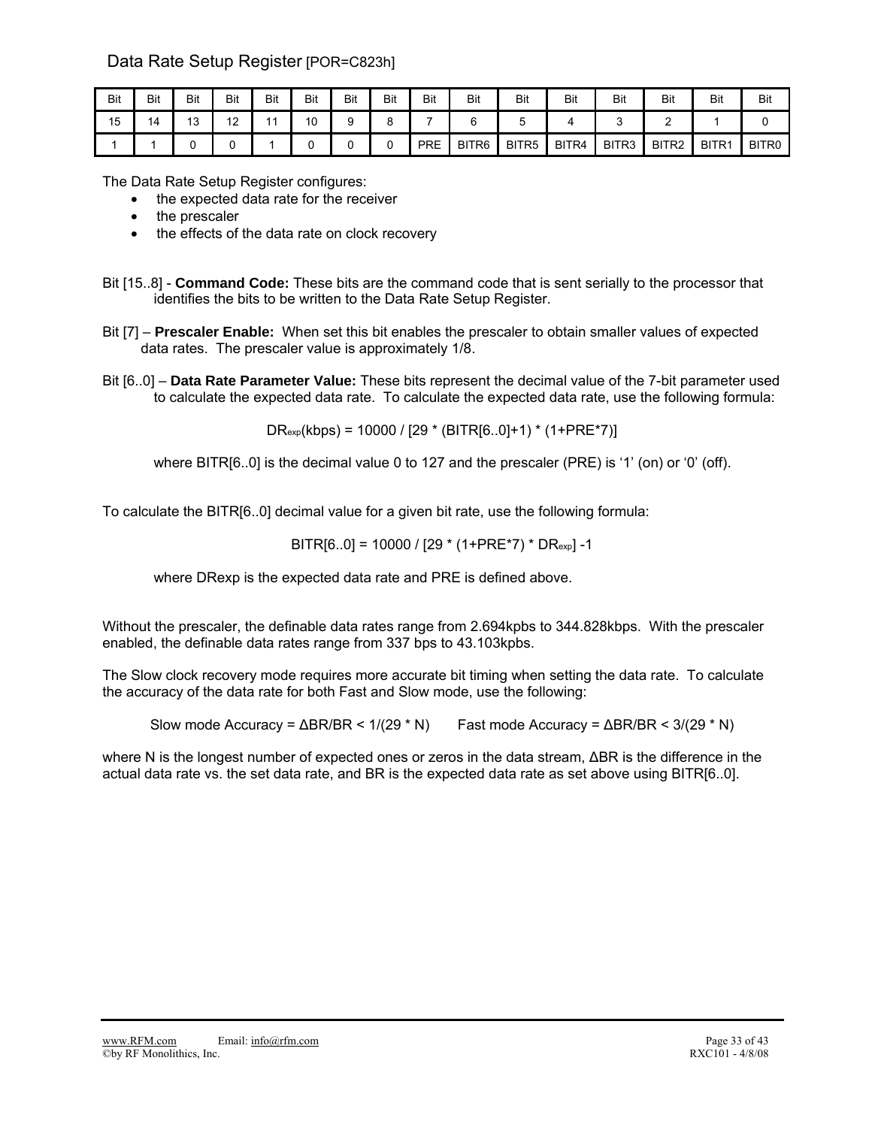## Data Rate Setup Register [POR=C823h]

| Bit | Bit | Bit      | Bit               | Bit | Bit | Bit | Bit | Bit        | Bit               | Bit               | Bit   | Bit   | Bit   | <b>Bit</b> | <b>Bit</b>        |
|-----|-----|----------|-------------------|-----|-----|-----|-----|------------|-------------------|-------------------|-------|-------|-------|------------|-------------------|
| 15  | 14  | 12<br>∪ו | $\sqrt{2}$<br>' - |     | 10  |     |     |            |                   |                   |       |       | -     |            |                   |
|     |     |          |                   |     |     | u   |     | <b>PRE</b> | BITR <sub>6</sub> | BITR <sub>5</sub> | BITR4 | BITR3 | BITR2 | BITR1      | BITR <sub>0</sub> |

The Data Rate Setup Register configures:

- the expected data rate for the receiver
- the prescaler
- the effects of the data rate on clock recovery

- Bit [7] **Prescaler Enable:** When set this bit enables the prescaler to obtain smaller values of expected data rates. The prescaler value is approximately 1/8.
- Bit [6..0] **Data Rate Parameter Value:** These bits represent the decimal value of the 7-bit parameter used to calculate the expected data rate. To calculate the expected data rate, use the following formula:

 $DR_{exp}(kbps) = 10000 / [29 * (BITR[6..0]+1) * (1+PRE*7)]$ 

where BITR[6..0] is the decimal value 0 to 127 and the prescaler (PRE) is '1' (on) or '0' (off).

To calculate the BITR[6..0] decimal value for a given bit rate, use the following formula:

 $BITR[6..0] = 10000 / [29 * (1+PRE*7) * DR<sub>exp</sub>] -1$ 

where DRexp is the expected data rate and PRE is defined above.

Without the prescaler, the definable data rates range from 2.694kpbs to 344.828kbps. With the prescaler enabled, the definable data rates range from 337 bps to 43.103kpbs.

The Slow clock recovery mode requires more accurate bit timing when setting the data rate. To calculate the accuracy of the data rate for both Fast and Slow mode, use the following:

Slow mode Accuracy =  $\triangle$ BR/BR < 1/(29 \* N) Fast mode Accuracy =  $\triangle$ BR/BR < 3/(29 \* N)

where N is the longest number of expected ones or zeros in the data stream, ΔBR is the difference in the actual data rate vs. the set data rate, and BR is the expected data rate as set above using BITR[6..0].

Bit [15..8] - **Command Code:** These bits are the command code that is sent serially to the processor that identifies the bits to be written to the Data Rate Setup Register.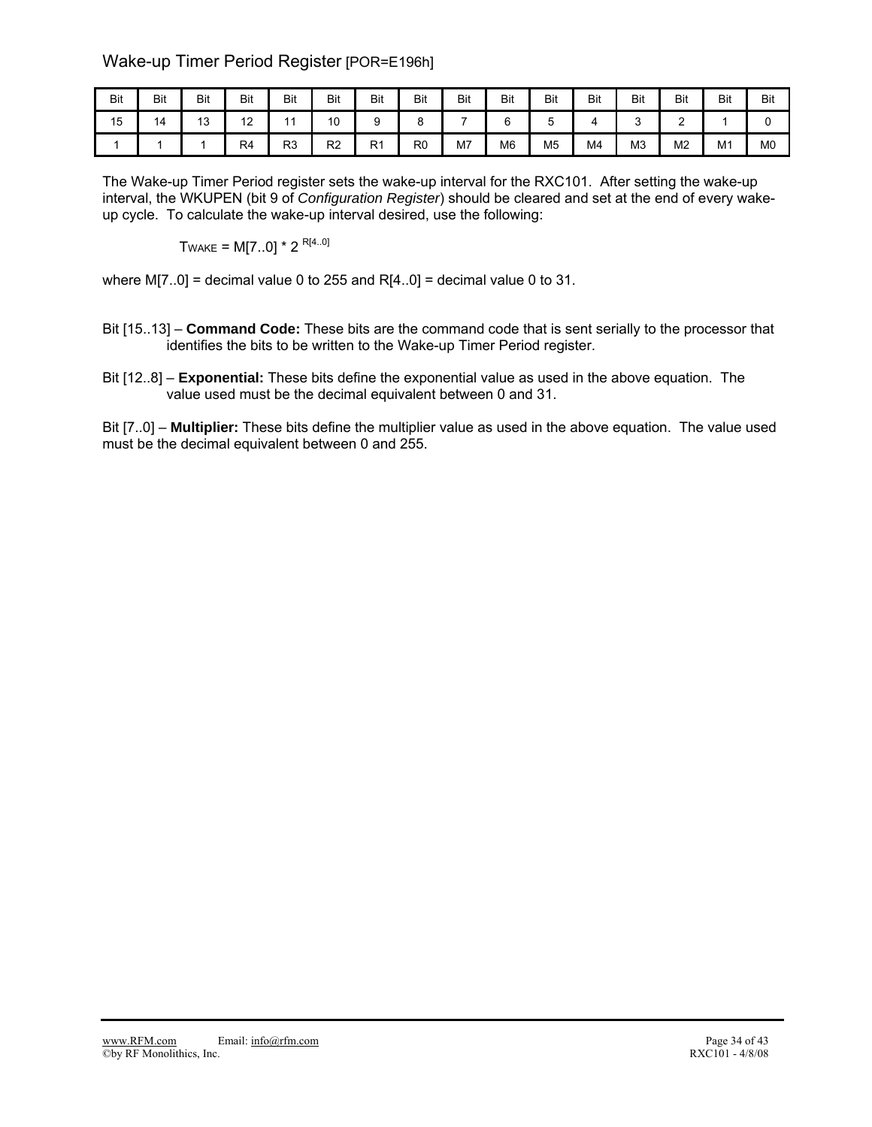## Wake-up Timer Period Register [POR=E196h]

| Bit | Bit | Bit                  | Bit      | <b>Bit</b>     | Bit                   | Bit | Bit            | <b>Bit</b> | Bit            | <b>Bit</b>     | Bit            | Bit            | Bit            | Bit            | <b>Bit</b>     |
|-----|-----|----------------------|----------|----------------|-----------------------|-----|----------------|------------|----------------|----------------|----------------|----------------|----------------|----------------|----------------|
| 15  | 14  | $\overline{ }$<br>∪ו | 12<br>ı∠ | A A            | $\overline{10}$<br>טו |     | ັ              |            |                | ັ              |                |                | -              |                |                |
|     |     |                      | R4       | R <sub>3</sub> | R <sub>2</sub>        | R1  | R <sub>0</sub> | M7         | M <sub>6</sub> | M <sub>5</sub> | M <sub>4</sub> | M <sub>3</sub> | M <sub>2</sub> | M <sub>1</sub> | M <sub>0</sub> |

The Wake-up Timer Period register sets the wake-up interval for the RXC101. After setting the wake-up interval, the WKUPEN (bit 9 of *Configuration Register*) should be cleared and set at the end of every wakeup cycle. To calculate the wake-up interval desired, use the following:

TWAKE =  $M[7..0]$  \* 2<sup>R[4..0]</sup>

where  $M[7..0]$  = decimal value 0 to 255 and R[4..0] = decimal value 0 to 31.

- Bit [15..13] **Command Code:** These bits are the command code that is sent serially to the processor that identifies the bits to be written to the Wake-up Timer Period register.
- Bit [12..8] **Exponential:** These bits define the exponential value as used in the above equation. The value used must be the decimal equivalent between 0 and 31.

Bit [7..0] – **Multiplier:** These bits define the multiplier value as used in the above equation. The value used must be the decimal equivalent between 0 and 255.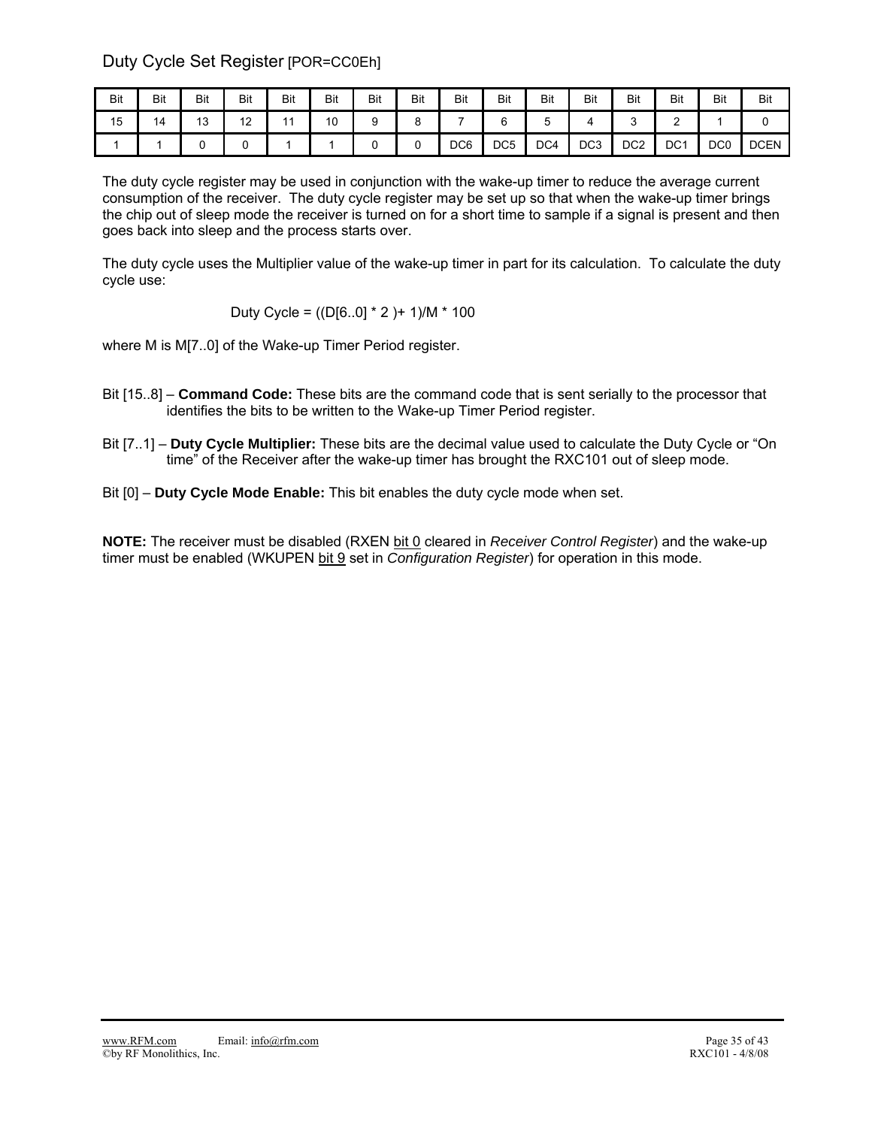Duty Cycle Set Register [POR=CC0Eh]

| Bit | Bit | Bit       | Bit | Bit            | Bit | Bit | Bit | <b>Bit</b>      | Bit             | <b>Bit</b> | Bit             | Bit             | Bit             | <b>Bit</b>      | Bit         |
|-----|-----|-----------|-----|----------------|-----|-----|-----|-----------------|-----------------|------------|-----------------|-----------------|-----------------|-----------------|-------------|
| 15  | 14  | 12<br>ں ا | 12  | $\overline{A}$ | 10  | ັ   |     | -               |                 |            |                 | ∽<br>ັ          |                 |                 |             |
|     |     |           |     |                |     |     |     | DC <sub>6</sub> | DC <sub>5</sub> | DC4        | DC <sub>3</sub> | DC <sub>2</sub> | DC <sub>1</sub> | DC <sub>0</sub> | <b>DCEN</b> |

The duty cycle register may be used in conjunction with the wake-up timer to reduce the average current consumption of the receiver. The duty cycle register may be set up so that when the wake-up timer brings the chip out of sleep mode the receiver is turned on for a short time to sample if a signal is present and then goes back into sleep and the process starts over.

The duty cycle uses the Multiplier value of the wake-up timer in part for its calculation. To calculate the duty cycle use:

Duty Cycle = ((D[6..0] \* 2 )+ 1)/M \* 100

where M is M[7..0] of the Wake-up Timer Period register.

- Bit [15..8] **Command Code:** These bits are the command code that is sent serially to the processor that identifies the bits to be written to the Wake-up Timer Period register.
- Bit [7..1] **Duty Cycle Multiplier:** These bits are the decimal value used to calculate the Duty Cycle or "On time" of the Receiver after the wake-up timer has brought the RXC101 out of sleep mode.
- Bit [0] **Duty Cycle Mode Enable:** This bit enables the duty cycle mode when set.

**NOTE:** The receiver must be disabled (RXEN bit 0 cleared in *Receiver Control Register*) and the wake-up timer must be enabled (WKUPEN bit 9 set in *Configuration Register*) for operation in this mode.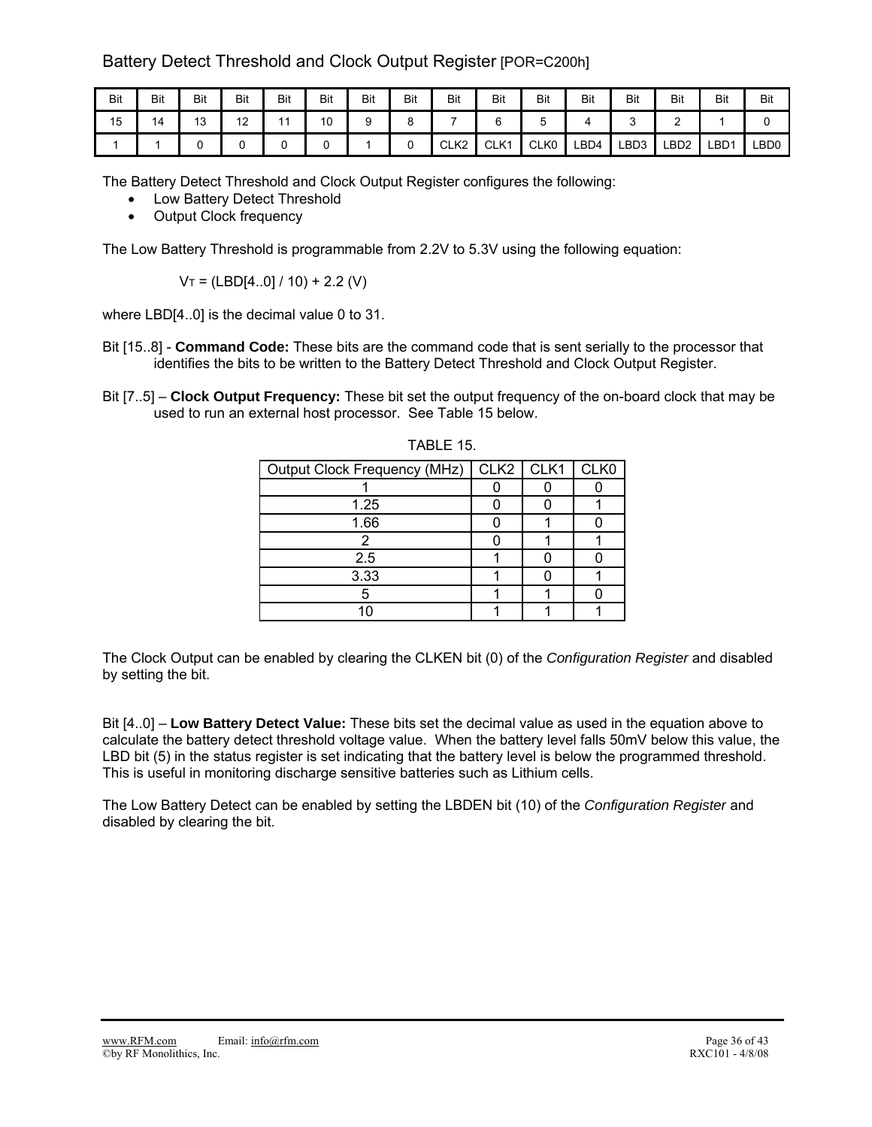## Battery Detect Threshold and Clock Output Register [POR=C200h]

| Bit | <b>Bit</b> | <b>Bit</b> | Bit              | Bit            | Bit | Bit | Bit | Bit              | Bit  | <b>Bit</b>       | Bit  | Bit              | Bit              | Bit              | Bit              |
|-----|------------|------------|------------------|----------------|-----|-----|-----|------------------|------|------------------|------|------------------|------------------|------------------|------------------|
| 15  | 14         | 13         | 10<br>. <u>.</u> | $\overline{A}$ | 10  |     | ∼   |                  |      | w                |      |                  | -                |                  |                  |
|     |            |            |                  |                |     |     |     | CLK <sub>2</sub> | CLK1 | CLK <sub>0</sub> | LBD4 | LBD <sub>3</sub> | LBD <sub>2</sub> | LBD <sup>1</sup> | LBD <sub>0</sub> |

The Battery Detect Threshold and Clock Output Register configures the following:

- Low Battery Detect Threshold
- Output Clock frequency

The Low Battery Threshold is programmable from 2.2V to 5.3V using the following equation:

 $V_T = (LBD[4..0]/10) + 2.2$  (V)

where LBD[4..0] is the decimal value 0 to 31.

- Bit [15..8] **Command Code:** These bits are the command code that is sent serially to the processor that identifies the bits to be written to the Battery Detect Threshold and Clock Output Register.
- Bit [7..5] **Clock Output Frequency:** These bit set the output frequency of the on-board clock that may be used to run an external host processor. See Table 15 below.

| Output Clock Frequency (MHz)   CLK2   CLK1   CLK0 |  |  |
|---------------------------------------------------|--|--|
|                                                   |  |  |
| 1.25                                              |  |  |
| 1.66                                              |  |  |
|                                                   |  |  |
| 2.5                                               |  |  |
| 3.33                                              |  |  |
|                                                   |  |  |
| n                                                 |  |  |

TABLE 15.

The Clock Output can be enabled by clearing the CLKEN bit (0) of the *Configuration Register* and disabled by setting the bit.

Bit [4..0] – **Low Battery Detect Value:** These bits set the decimal value as used in the equation above to calculate the battery detect threshold voltage value. When the battery level falls 50mV below this value, the LBD bit (5) in the status register is set indicating that the battery level is below the programmed threshold. This is useful in monitoring discharge sensitive batteries such as Lithium cells.

The Low Battery Detect can be enabled by setting the LBDEN bit (10) of the *Configuration Register* and disabled by clearing the bit.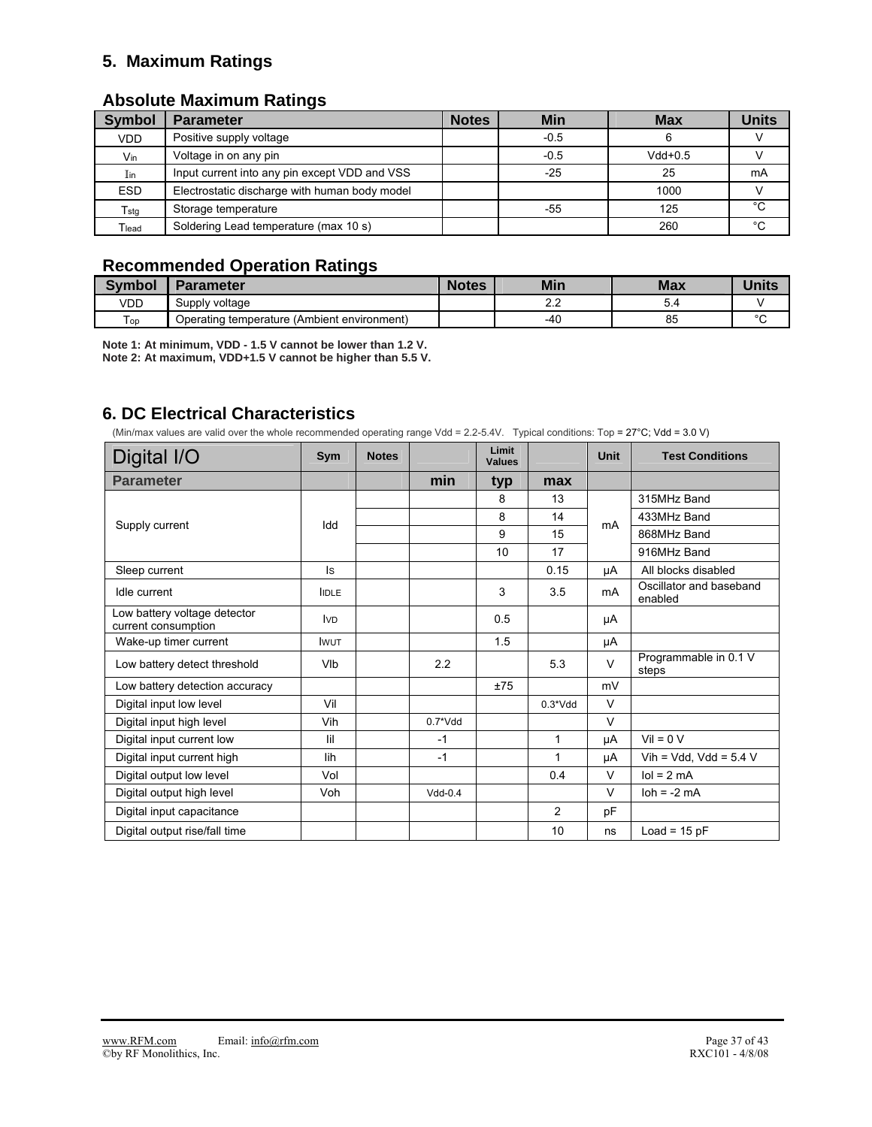## **5. Maximum Ratings**

### **Absolute Maximum Ratings**

| <b>Symbol</b>         | <b>Parameter</b>                              | <b>Notes</b> | <b>Min</b> | <b>Max</b> | <b>Units</b> |
|-----------------------|-----------------------------------------------|--------------|------------|------------|--------------|
| <b>VDD</b>            | Positive supply voltage                       |              | $-0.5$     |            |              |
| Vin                   | Voltage in on any pin                         |              | $-0.5$     | $Vdd+0.5$  |              |
| $\mathop{\text{Iin}}$ | Input current into any pin except VDD and VSS |              | $-25$      | 25         | mA           |
| <b>ESD</b>            | Electrostatic discharge with human body model |              |            | 1000       |              |
| T <sub>stg</sub>      | Storage temperature                           |              | $-55$      | 125        | °C           |
| Tlead                 | Soldering Lead temperature (max 10 s)         |              |            | 260        | °C           |

## **Recommended Operation Ratings**

| <b>Symbol</b> | Parameter                                   | <b>Notes</b> | <b>Min</b>       | <b>Max</b> | <b>Units</b> |
|---------------|---------------------------------------------|--------------|------------------|------------|--------------|
| VDD           | Supply voltage                              |              | $\sim$<br>$\sim$ | 9.4        |              |
| l op          | Operating temperature (Ambient environment) |              | $-40$            | 85         | $\sim$       |

**Note 1: At minimum, VDD - 1.5 V cannot be lower than 1.2 V. Note 2: At maximum, VDD+1.5 V cannot be higher than 5.5 V.**

## **6. DC Electrical Characteristics**

(Min/max values are valid over the whole recommended operating range Vdd = 2.2-5.4V. Typical conditions: Top = 27°C; Vdd = 3.0 V)

| Digital I/O                                         | Sym          | <b>Notes</b> |            | Limit<br><b>Values</b> |                | <b>Unit</b> | <b>Test Conditions</b>             |
|-----------------------------------------------------|--------------|--------------|------------|------------------------|----------------|-------------|------------------------------------|
| <b>Parameter</b>                                    |              |              | min        | typ                    | max            |             |                                    |
|                                                     |              |              |            | 8                      | 13             |             | 315MHz Band                        |
| Supply current                                      | Idd          |              |            | 8                      | 14             | mA          | 433MHz Band                        |
|                                                     |              |              |            | 9                      | 15             |             | 868MHz Band                        |
|                                                     |              |              |            | 10                     | 17             |             | 916MHz Band                        |
| Sleep current                                       | ls.          |              |            |                        | 0.15           | μA          | All blocks disabled                |
| Idle current                                        | <b>IDLE</b>  |              |            | 3                      | 3.5            | mA          | Oscillator and baseband<br>enabled |
| Low battery voltage detector<br>current consumption | <b>IVD</b>   |              |            | 0.5                    |                | μA          |                                    |
| Wake-up timer current                               | <b>I</b> WUT |              |            | 1.5                    |                | μA          |                                    |
| Low battery detect threshold                        | VIb          |              | 2.2        |                        | 5.3            | $\vee$      | Programmable in 0.1 V<br>steps     |
| Low battery detection accuracy                      |              |              |            | ±75                    |                | mV          |                                    |
| Digital input low level                             | Vil          |              |            |                        | $0.3*Vdd$      | $\vee$      |                                    |
| Digital input high level                            | Vih          |              | $0.7^*Vdd$ |                        |                | $\vee$      |                                    |
| Digital input current low                           | lil          |              | $-1$       |                        | 1              | μA          | $Vil = 0 V$                        |
| Digital input current high                          | lih          |              | $-1$       |                        | $\mathbf{1}$   | μA          | Vih = Vdd, Vdd = $5.4$ V           |
| Digital output low level                            | Vol          |              |            |                        | 0.4            | V           | $\text{Io} = 2 \text{ mA}$         |
| Digital output high level                           | Voh          |              | $Vdd-0.4$  |                        |                | V           | $\text{loh} = -2 \text{ mA}$       |
| Digital input capacitance                           |              |              |            |                        | $\overline{2}$ | pF          |                                    |
| Digital output rise/fall time                       |              |              |            |                        | 10             | ns          | $Load = 15 pF$                     |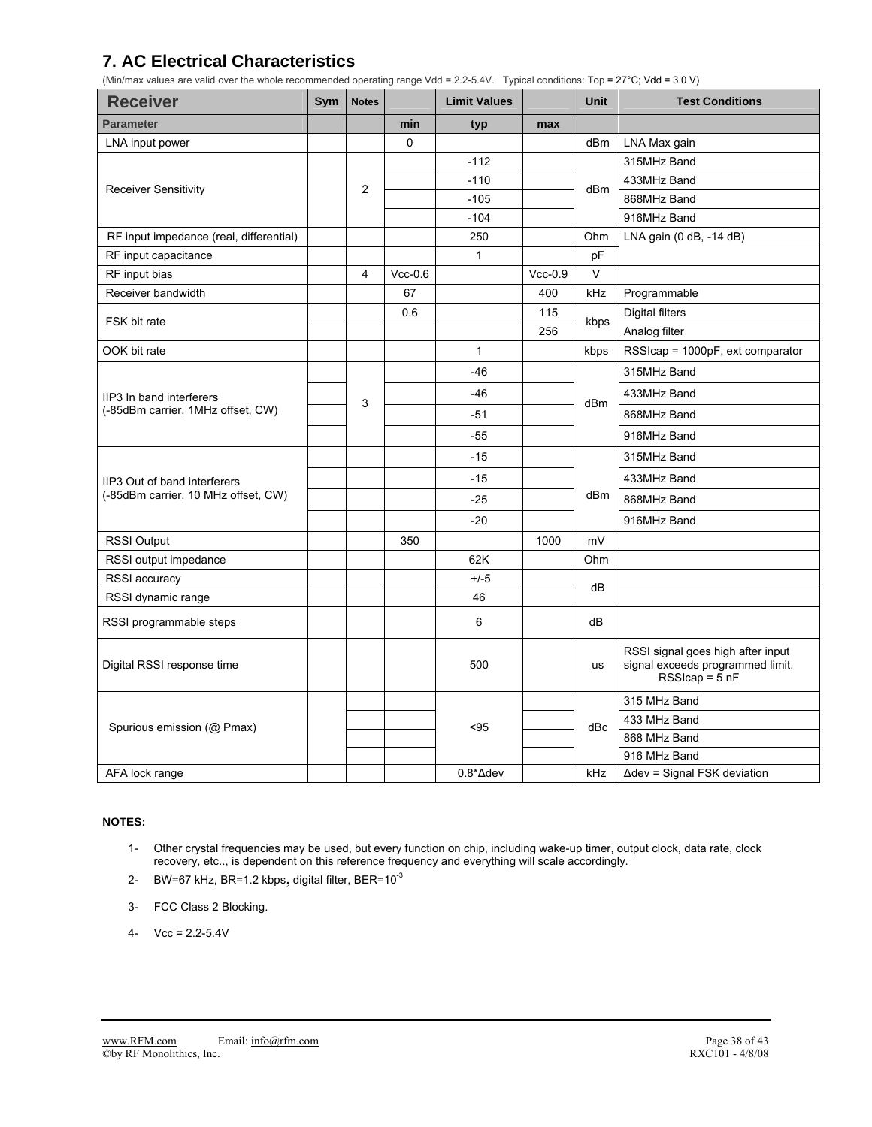## **7. AC Electrical Characteristics**

(Min/max values are valid over the whole recommended operating range Vdd = 2.2-5.4V. Typical conditions: Top = 27°C; Vdd = 3.0 V)

| <b>Receiver</b>                                               | Sym | <b>Notes</b>   |           | <b>Limit Values</b> |           | <b>Unit</b> | <b>Test Conditions</b>                                                                  |
|---------------------------------------------------------------|-----|----------------|-----------|---------------------|-----------|-------------|-----------------------------------------------------------------------------------------|
| <b>Parameter</b>                                              |     |                | min       | typ                 | max       |             |                                                                                         |
| LNA input power                                               |     |                | 0         |                     |           | dBm         | LNA Max gain                                                                            |
| <b>Receiver Sensitivity</b>                                   |     |                |           | $-112$              |           |             | 315MHz Band                                                                             |
|                                                               |     | $\overline{2}$ |           | $-110$              |           | dBm         | 433MHz Band                                                                             |
|                                                               |     |                |           | $-105$              |           |             | 868MHz Band                                                                             |
|                                                               |     |                |           | $-104$              |           |             | 916MHz Band                                                                             |
| RF input impedance (real, differential)                       |     |                |           | 250                 |           | Ohm         | LNA gain (0 dB, -14 dB)                                                                 |
| RF input capacitance                                          |     |                |           | $\mathbf{1}$        |           | pF          |                                                                                         |
| RF input bias                                                 |     | 4              | $Vcc-0.6$ |                     | $Vcc-0.9$ | V           |                                                                                         |
| Receiver bandwidth                                            |     |                | 67        |                     | 400       | kHz         | Programmable                                                                            |
| FSK bit rate                                                  |     |                | 0.6       |                     | 115       | kbps        | Digital filters                                                                         |
|                                                               |     |                |           |                     | 256       |             | Analog filter                                                                           |
| OOK bit rate                                                  |     |                |           | $\mathbf{1}$        |           | kbps        | RSSIcap = 1000pF, ext comparator                                                        |
|                                                               |     |                |           | $-46$               |           |             | 315MHz Band                                                                             |
| IIP3 In band interferers<br>(-85dBm carrier, 1MHz offset, CW) |     | 3              |           | $-46$               |           | dBm         | 433MHz Band                                                                             |
|                                                               |     |                |           | $-51$               |           |             | 868MHz Band                                                                             |
|                                                               |     |                |           | $-55$               |           |             | 916MHz Band                                                                             |
|                                                               |     |                |           | $-15$               |           |             | 315MHz Band                                                                             |
| IIP3 Out of band interferers                                  |     |                |           | $-15$               |           |             | 433MHz Band                                                                             |
| (-85dBm carrier, 10 MHz offset, CW)                           |     |                |           | $-25$               |           | dBm         | 868MHz Band                                                                             |
|                                                               |     |                |           | $-20$               |           |             | 916MHz Band                                                                             |
| <b>RSSI Output</b>                                            |     |                | 350       |                     | 1000      | mV          |                                                                                         |
| RSSI output impedance                                         |     |                |           | 62K                 |           | Ohm         |                                                                                         |
| RSSI accuracy                                                 |     |                |           | $+/-5$              |           | dB          |                                                                                         |
| RSSI dynamic range                                            |     |                |           | 46                  |           |             |                                                                                         |
| RSSI programmable steps                                       |     |                |           | 6                   |           | dB          |                                                                                         |
| Digital RSSI response time                                    |     |                |           | 500                 |           | us          | RSSI signal goes high after input<br>signal exceeds programmed limit.<br>$RSScap = 5nF$ |
|                                                               |     |                |           |                     |           |             | 315 MHz Band                                                                            |
| Spurious emission (@ Pmax)                                    |     |                |           | <95                 |           | dBc         | 433 MHz Band                                                                            |
|                                                               |     |                |           |                     |           |             | 868 MHz Band                                                                            |
|                                                               |     |                |           |                     |           |             | 916 MHz Band                                                                            |
| AFA lock range                                                |     |                |           | $0.8^* \Delta$ dev  |           | kHz         | $\Delta$ dev = Signal FSK deviation                                                     |

### **NOTES:**

- 1- Other crystal frequencies may be used, but every function on chip, including wake-up timer, output clock, data rate, clock recovery, etc.., is dependent on this reference frequency and everything will scale accordingly.
- 2- BW=67 kHz, BR=1.2 kbps, digital filter, BER=10<sup>-3</sup>
- 3- FCC Class 2 Blocking.
- 4-  $Vcc = 2.2 5.4V$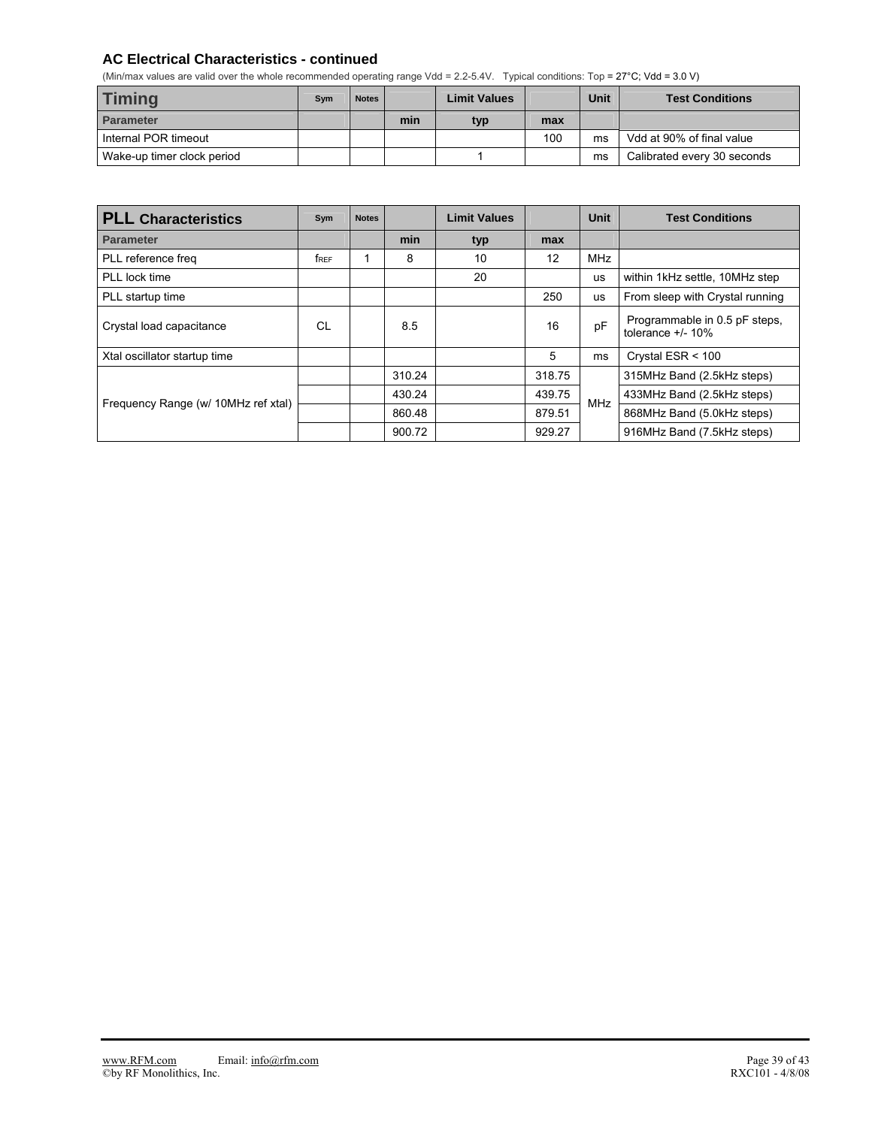### **AC Electrical Characteristics - continued**

(Min/max values are valid over the whole recommended operating range Vdd = 2.2-5.4V. Typical conditions: Top = 27°C; Vdd = 3.0 V)

| <b>Timing</b>              | Sym | <b>Notes</b> |     | <b>Limit Values</b> |     | <b>Unit</b> | <b>Test Conditions</b>      |
|----------------------------|-----|--------------|-----|---------------------|-----|-------------|-----------------------------|
| Parameter                  |     |              | min | typ                 | max |             |                             |
| Internal POR timeout       |     |              |     |                     | 100 | ms          | Vdd at 90% of final value   |
| Wake-up timer clock period |     |              |     |                     |     | ms          | Calibrated every 30 seconds |

| <b>PLL Characteristics</b>          | Sym  | <b>Notes</b> |        | <b>Limit Values</b> |        | <b>Unit</b> | <b>Test Conditions</b>                                |
|-------------------------------------|------|--------------|--------|---------------------|--------|-------------|-------------------------------------------------------|
| <b>Parameter</b>                    |      |              | min    | typ                 | max    |             |                                                       |
| PLL reference freq                  | free |              | 8      | 10                  | 12     | <b>MHz</b>  |                                                       |
| PLL lock time                       |      |              |        | 20                  |        | <b>US</b>   | within 1kHz settle, 10MHz step                        |
| PLL startup time                    |      |              |        |                     | 250    | <b>us</b>   | From sleep with Crystal running                       |
| Crystal load capacitance            | СL   |              | 8.5    |                     | 16     | pF          | Programmable in 0.5 pF steps,<br>tolerance $+/- 10\%$ |
| Xtal oscillator startup time        |      |              |        |                     | 5      | ms          | Crystal ESR < 100                                     |
|                                     |      |              | 310.24 |                     | 318.75 |             | 315MHz Band (2.5kHz steps)                            |
| Frequency Range (w/ 10MHz ref xtal) |      |              | 430.24 |                     | 439.75 | <b>MHz</b>  | 433MHz Band (2.5kHz steps)                            |
|                                     |      |              | 860.48 |                     | 879.51 |             | 868MHz Band (5.0kHz steps)                            |
|                                     |      |              | 900.72 |                     | 929.27 |             | 916MHz Band (7.5kHz steps)                            |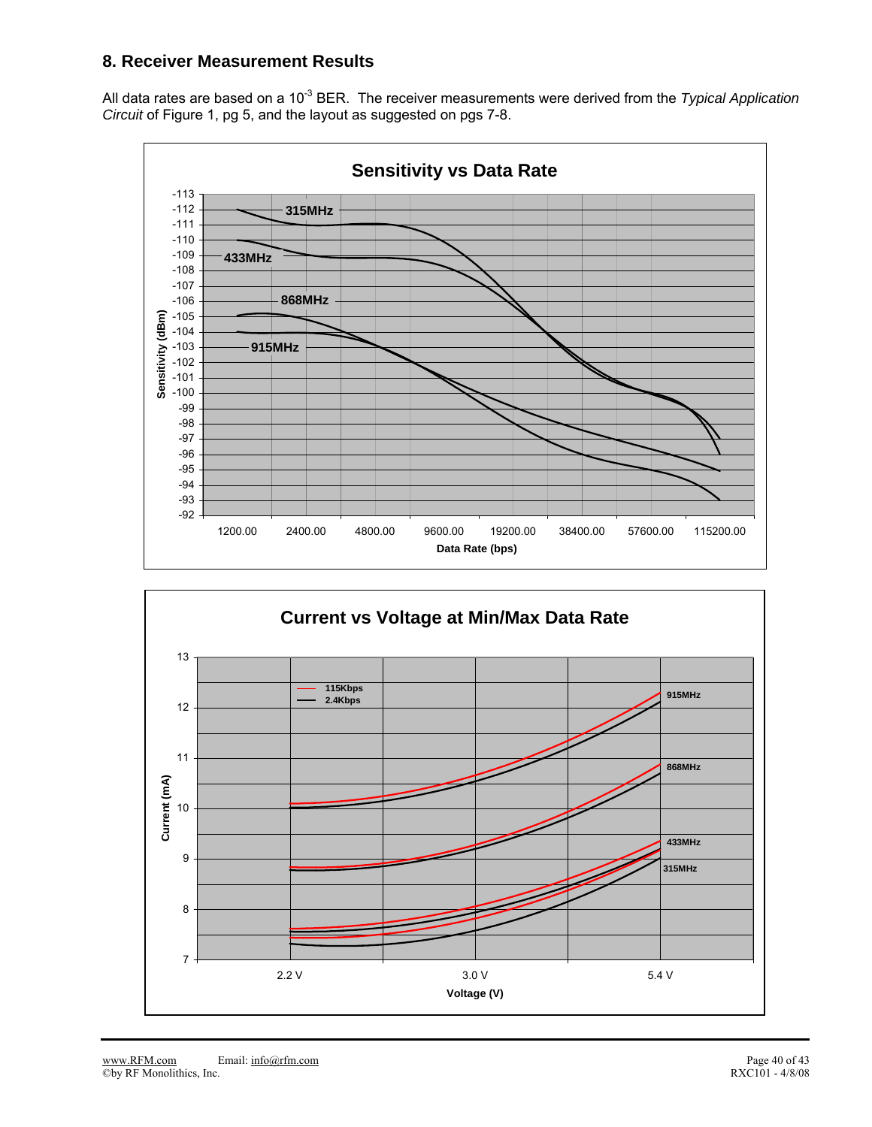## **8. Receiver Measurement Results**

All data rates are based on a 10<sup>-3</sup> BER. The receiver measurements were derived from the *Typical Application Circuit* of Figure 1, pg 5, and the layout as suggested on pgs 7-8.



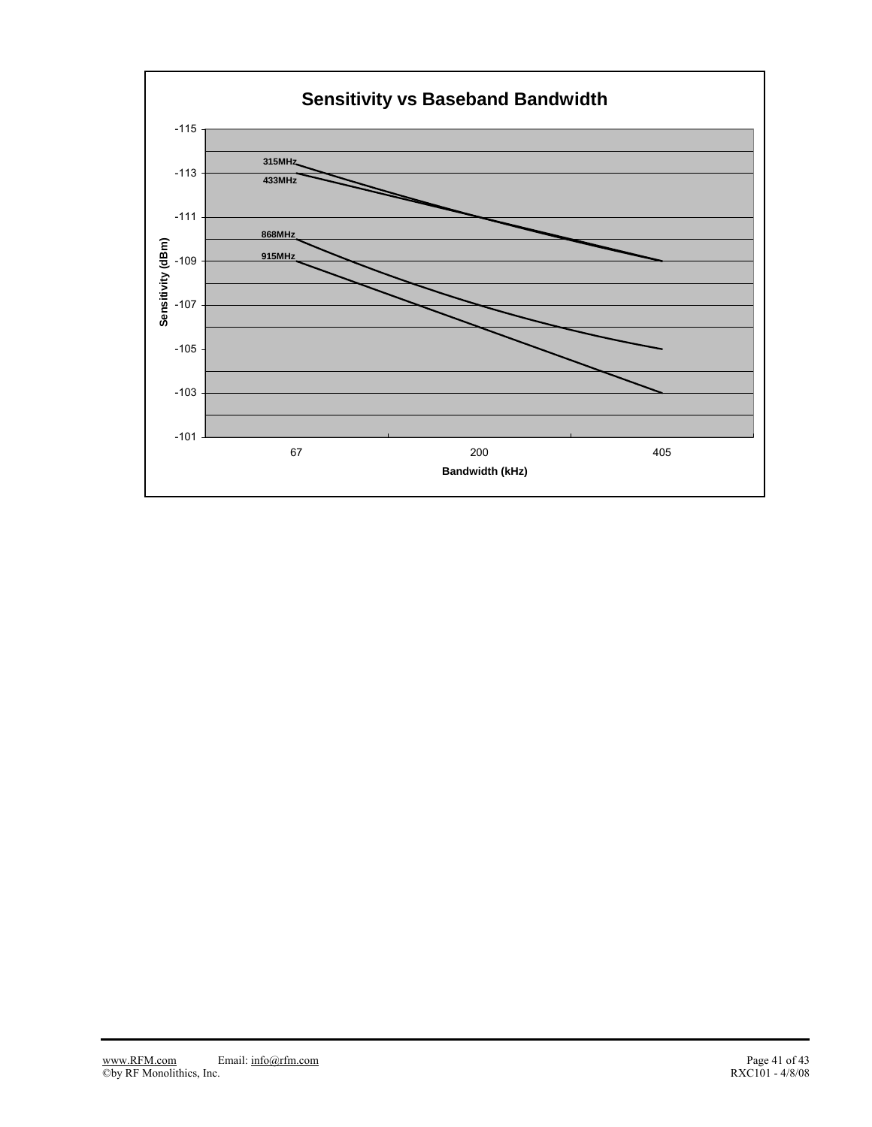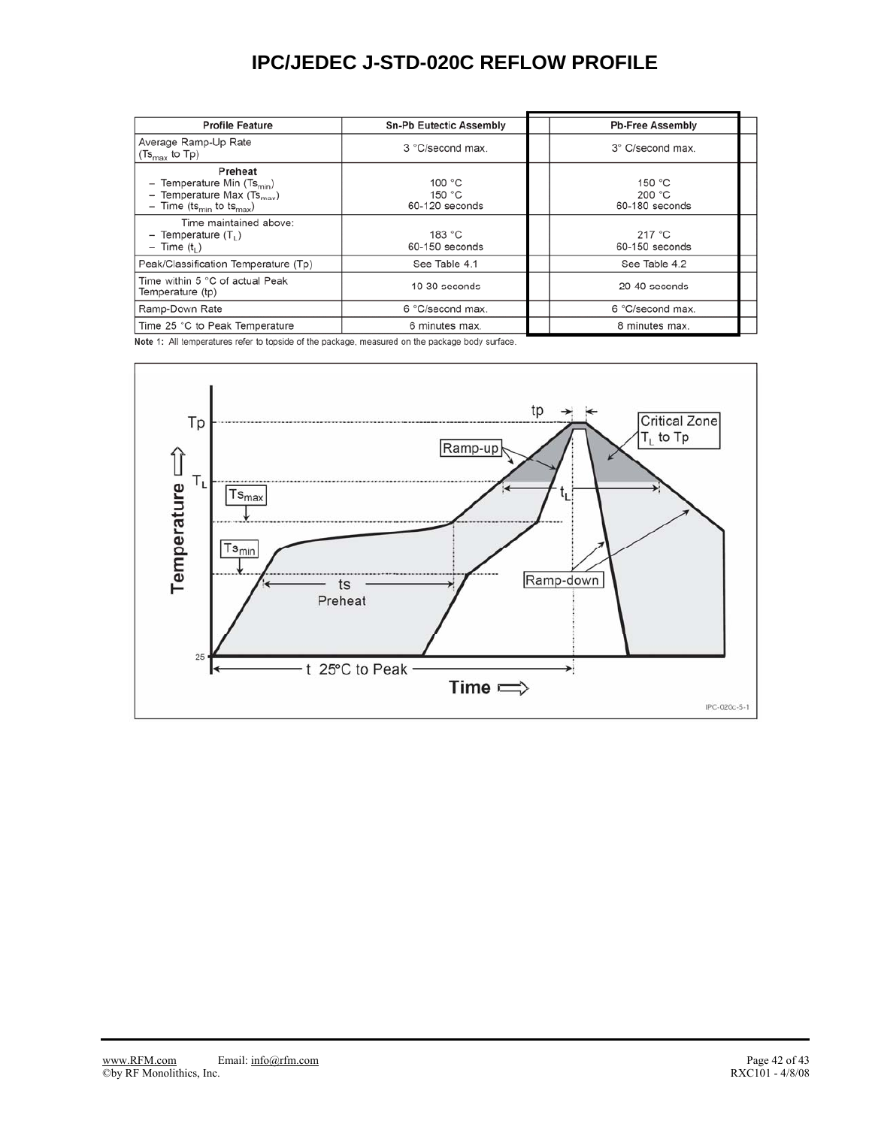## **IPC/JEDEC J-STD-020C REFLOW PROFILE**

| <b>Profile Feature</b>                                                                                                      | <b>Sn-Pb Eutectic Assembly</b>                 | <b>Pb-Free Assembly</b>              |  |
|-----------------------------------------------------------------------------------------------------------------------------|------------------------------------------------|--------------------------------------|--|
| Average Ramp-Up Rate<br>$(Ts_{\text{max}}$ to Tp)                                                                           | 3 °C/second max.                               | 3° C/second max.                     |  |
| Preheat<br>Temperature Min $(Ts_{min})$<br>Temperature Max $(Ts_{max})$<br>- Time (ts <sub>min</sub> to ts <sub>max</sub> ) | 100 $^{\circ}$ C<br>150 $°C$<br>60-120 seconds | 150 $°C$<br>200 °C<br>60-180 seconds |  |
| Time maintained above:<br>$-$ Temperature $(T_1)$<br>$-$ Time $(t_1)$                                                       | 183 °C<br>60-150 seconds                       | 217 °C<br>60-150 seconds             |  |
| Peak/Classification Temperature (Tp)                                                                                        | See Table 4.1                                  | See Table 4.2                        |  |
| Time within 5 °C of actual Peak<br>Temperature (tp)                                                                         | $10-30$ seconds                                | 20-40 seconds                        |  |
| Ramp-Down Rate                                                                                                              | 6 °C/second max.                               | 6 °C/second max.                     |  |
| Time 25 °C to Peak Temperature                                                                                              | 6 minutes max.                                 | 8 minutes max.                       |  |

Note 1: All temperatures refer to topside of the package, measured on the package body surface.

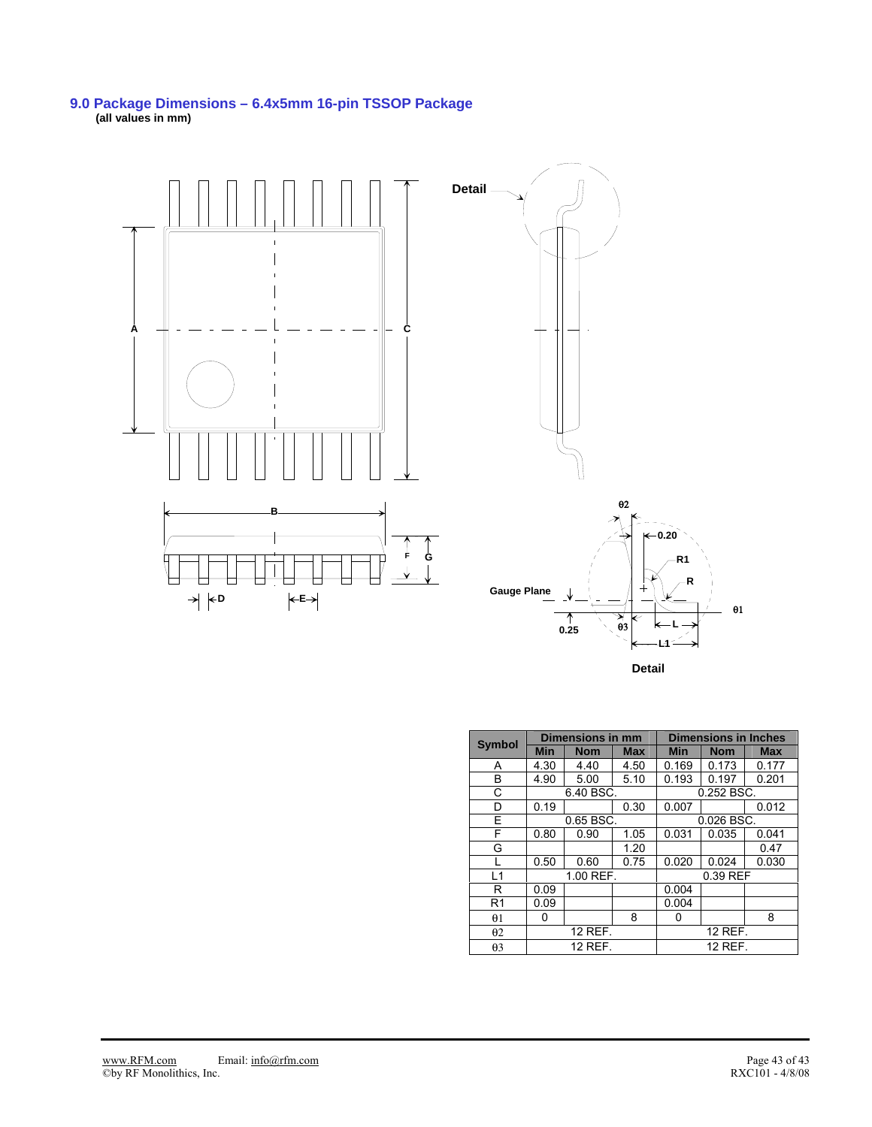#### **9.0 Package Dimensions – 6.4x5mm 16-pin TSSOP Package (all values in mm)**



**Detail**

| <b>Symbol</b>  |            | <b>Dimensions in mm</b> |            |            | <b>Dimensions in Inches</b> |            |  |  |
|----------------|------------|-------------------------|------------|------------|-----------------------------|------------|--|--|
|                | <b>Min</b> | <b>Nom</b>              | <b>Max</b> | <b>Min</b> | <b>Nom</b>                  | <b>Max</b> |  |  |
| A              | 4.30       | 4.40                    | 4.50       | 0.169      | 0.173                       | 0.177      |  |  |
| B              | 4.90       | 5.00                    | 5.10       | 0.193      | 0.197                       | 0.201      |  |  |
| C              |            | 6.40 BSC.               |            |            | 0.252 BSC.                  |            |  |  |
| D              | 0.19       |                         | 0.30       | 0.007      |                             | 0.012      |  |  |
| F              |            | 0.65 BSC.               |            | 0.026 BSC. |                             |            |  |  |
| F              | 0.80       | 0.90                    | 1.05       | 0.031      | 0.035                       | 0.041      |  |  |
| G              |            |                         | 1.20       |            |                             | 0.47       |  |  |
|                | 0.50       | 0.60                    | 0.75       | 0.020      | 0.024                       | 0.030      |  |  |
| L1             |            | 1.00 REF.               |            | 0.39 REF   |                             |            |  |  |
| R              | 0.09       |                         |            | 0.004      |                             |            |  |  |
| R <sub>1</sub> | 0.09       |                         |            | 0.004      |                             |            |  |  |
| $\theta$ 1     | 0          |                         | 8          | Ω          |                             | 8          |  |  |
| $\theta$ 2     |            | 12 REF.                 |            | 12 REF.    |                             |            |  |  |
| $\theta$ 3     |            | 12 REF.                 |            |            | 12 REF.                     |            |  |  |